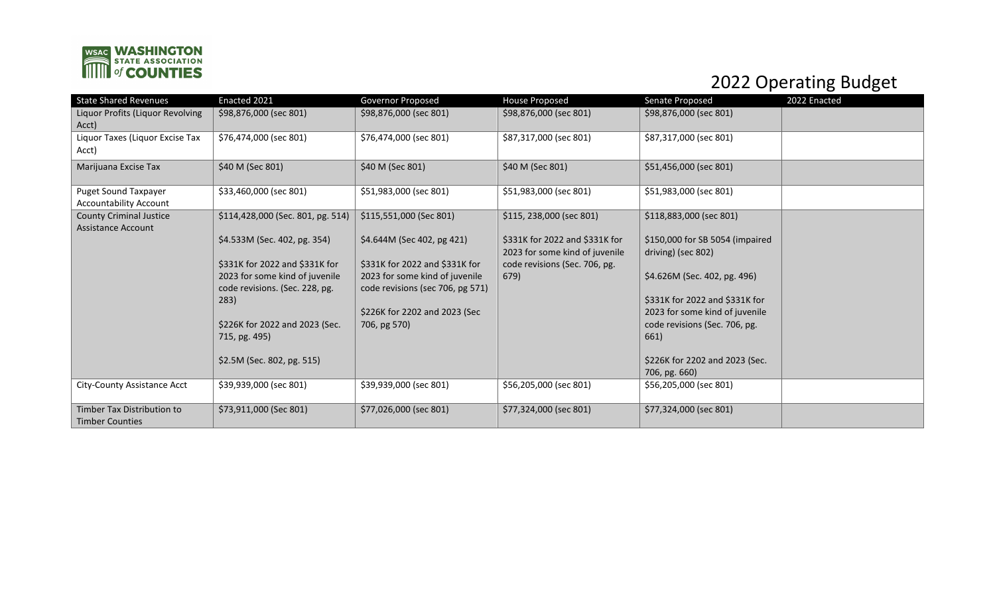

## 2022 Operating Budget

| <b>State Shared Revenues</b>                                 | Enacted 2021                                                                                       | Governor Proposed                                                                                    | House Proposed                                                   | Senate Proposed                                                  | 2022 Enacted |
|--------------------------------------------------------------|----------------------------------------------------------------------------------------------------|------------------------------------------------------------------------------------------------------|------------------------------------------------------------------|------------------------------------------------------------------|--------------|
| Liquor Profits (Liquor Revolving<br>Acct)                    | \$98,876,000 (sec 801)                                                                             | \$98,876,000 (sec 801)                                                                               | \$98,876,000 (sec 801)                                           | \$98,876,000 (sec 801)                                           |              |
| Liquor Taxes (Liquor Excise Tax<br>Acct)                     | \$76,474,000 (sec 801)                                                                             | \$76,474,000 (sec 801)                                                                               | \$87,317,000 (sec 801)                                           | \$87,317,000 (sec 801)                                           |              |
| Marijuana Excise Tax                                         | \$40 M (Sec 801)                                                                                   | \$40 M (Sec 801)                                                                                     | \$40 M (Sec 801)                                                 | \$51,456,000 (sec 801)                                           |              |
| <b>Puget Sound Taxpayer</b><br><b>Accountability Account</b> | \$33,460,000 (sec 801)                                                                             | \$51,983,000 (sec 801)                                                                               | \$51,983,000 (sec 801)                                           | \$51,983,000 (sec 801)                                           |              |
| <b>County Criminal Justice</b><br><b>Assistance Account</b>  | \$114,428,000 (Sec. 801, pg. 514)                                                                  | \$115,551,000 (Sec 801)                                                                              | \$115, 238,000 (sec 801)                                         | \$118,883,000 (sec 801)                                          |              |
|                                                              | \$4.533M (Sec. 402, pg. 354)                                                                       | \$4.644M (Sec 402, pg 421)                                                                           | \$331K for 2022 and \$331K for<br>2023 for some kind of juvenile | \$150,000 for SB 5054 (impaired<br>driving) (sec 802)            |              |
|                                                              | \$331K for 2022 and \$331K for<br>2023 for some kind of juvenile<br>code revisions. (Sec. 228, pg. | \$331K for 2022 and \$331K for<br>2023 for some kind of juvenile<br>code revisions (sec 706, pg 571) | code revisions (Sec. 706, pg.<br>679)                            | \$4.626M (Sec. 402, pg. 496)                                     |              |
|                                                              | 283)                                                                                               | \$226K for 2202 and 2023 (Sec                                                                        |                                                                  | \$331K for 2022 and \$331K for<br>2023 for some kind of juvenile |              |
|                                                              | \$226K for 2022 and 2023 (Sec.<br>715, pg. 495)                                                    | 706, pg 570)                                                                                         |                                                                  | code revisions (Sec. 706, pg.<br>661)                            |              |
|                                                              | \$2.5M (Sec. 802, pg. 515)                                                                         |                                                                                                      |                                                                  | \$226K for 2202 and 2023 (Sec.<br>706, pg. 660)                  |              |
| City-County Assistance Acct                                  | \$39,939,000 (sec 801)                                                                             | \$39,939,000 (sec 801)                                                                               | \$56,205,000 (sec 801)                                           | \$56,205,000 (sec 801)                                           |              |
| <b>Timber Tax Distribution to</b><br><b>Timber Counties</b>  | \$73,911,000 (Sec 801)                                                                             | \$77,026,000 (sec 801)                                                                               | \$77,324,000 (sec 801)                                           | \$77,324,000 (sec 801)                                           |              |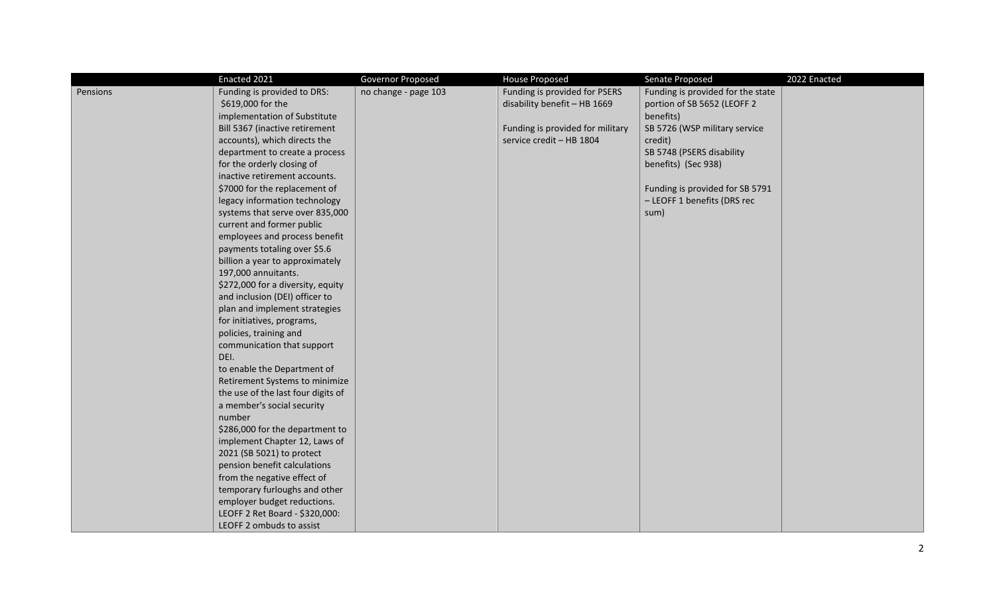|          | Enacted 2021                       | Governor Proposed    | <b>House Proposed</b>            | Senate Proposed                   | 2022 Enacted |
|----------|------------------------------------|----------------------|----------------------------------|-----------------------------------|--------------|
| Pensions | Funding is provided to DRS:        | no change - page 103 | Funding is provided for PSERS    | Funding is provided for the state |              |
|          | \$619,000 for the                  |                      | disability benefit - HB 1669     | portion of SB 5652 (LEOFF 2       |              |
|          | implementation of Substitute       |                      |                                  | benefits)                         |              |
|          | Bill 5367 (inactive retirement     |                      | Funding is provided for military | SB 5726 (WSP military service     |              |
|          | accounts), which directs the       |                      | service credit - HB 1804         | credit)                           |              |
|          | department to create a process     |                      |                                  | SB 5748 (PSERS disability         |              |
|          | for the orderly closing of         |                      |                                  | benefits) (Sec 938)               |              |
|          | inactive retirement accounts.      |                      |                                  |                                   |              |
|          | \$7000 for the replacement of      |                      |                                  | Funding is provided for SB 5791   |              |
|          | legacy information technology      |                      |                                  | - LEOFF 1 benefits (DRS rec       |              |
|          | systems that serve over 835,000    |                      |                                  | sum)                              |              |
|          | current and former public          |                      |                                  |                                   |              |
|          | employees and process benefit      |                      |                                  |                                   |              |
|          | payments totaling over \$5.6       |                      |                                  |                                   |              |
|          | billion a year to approximately    |                      |                                  |                                   |              |
|          | 197,000 annuitants.                |                      |                                  |                                   |              |
|          | \$272,000 for a diversity, equity  |                      |                                  |                                   |              |
|          | and inclusion (DEI) officer to     |                      |                                  |                                   |              |
|          | plan and implement strategies      |                      |                                  |                                   |              |
|          | for initiatives, programs,         |                      |                                  |                                   |              |
|          | policies, training and             |                      |                                  |                                   |              |
|          | communication that support         |                      |                                  |                                   |              |
|          | DEI.                               |                      |                                  |                                   |              |
|          | to enable the Department of        |                      |                                  |                                   |              |
|          | Retirement Systems to minimize     |                      |                                  |                                   |              |
|          | the use of the last four digits of |                      |                                  |                                   |              |
|          | a member's social security         |                      |                                  |                                   |              |
|          | number                             |                      |                                  |                                   |              |
|          | \$286,000 for the department to    |                      |                                  |                                   |              |
|          | implement Chapter 12, Laws of      |                      |                                  |                                   |              |
|          | 2021 (SB 5021) to protect          |                      |                                  |                                   |              |
|          | pension benefit calculations       |                      |                                  |                                   |              |
|          | from the negative effect of        |                      |                                  |                                   |              |
|          | temporary furloughs and other      |                      |                                  |                                   |              |
|          | employer budget reductions.        |                      |                                  |                                   |              |
|          | LEOFF 2 Ret Board - \$320,000:     |                      |                                  |                                   |              |
|          | LEOFF 2 ombuds to assist           |                      |                                  |                                   |              |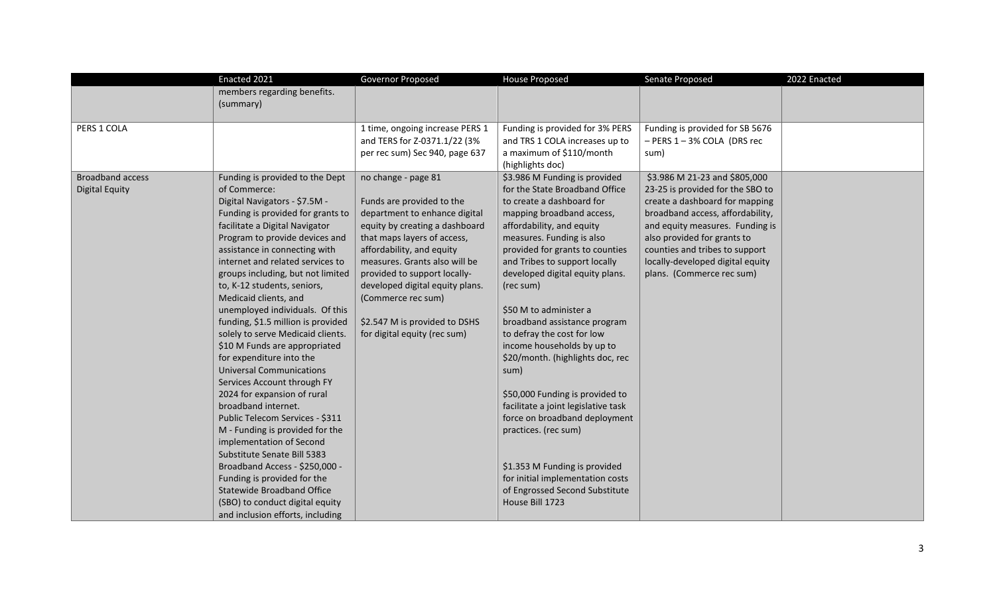|                         | Enacted 2021                       | Governor Proposed               | <b>House Proposed</b>               | Senate Proposed                  | 2022 Enacted |
|-------------------------|------------------------------------|---------------------------------|-------------------------------------|----------------------------------|--------------|
|                         | members regarding benefits.        |                                 |                                     |                                  |              |
|                         | (summary)                          |                                 |                                     |                                  |              |
|                         |                                    |                                 |                                     |                                  |              |
| PERS 1 COLA             |                                    | 1 time, ongoing increase PERS 1 | Funding is provided for 3% PERS     | Funding is provided for SB 5676  |              |
|                         |                                    | and TERS for Z-0371.1/22 (3%    | and TRS 1 COLA increases up to      | - PERS 1-3% COLA (DRS rec        |              |
|                         |                                    | per rec sum) Sec 940, page 637  | a maximum of \$110/month            | sum)                             |              |
|                         |                                    |                                 | (highlights doc)                    |                                  |              |
| <b>Broadband access</b> | Funding is provided to the Dept    | no change - page 81             | \$3.986 M Funding is provided       | \$3.986 M 21-23 and \$805,000    |              |
| <b>Digital Equity</b>   | of Commerce:                       |                                 | for the State Broadband Office      | 23-25 is provided for the SBO to |              |
|                         | Digital Navigators - \$7.5M -      | Funds are provided to the       | to create a dashboard for           | create a dashboard for mapping   |              |
|                         | Funding is provided for grants to  | department to enhance digital   | mapping broadband access,           | broadband access, affordability, |              |
|                         | facilitate a Digital Navigator     | equity by creating a dashboard  | affordability, and equity           | and equity measures. Funding is  |              |
|                         | Program to provide devices and     | that maps layers of access,     | measures. Funding is also           | also provided for grants to      |              |
|                         | assistance in connecting with      | affordability, and equity       | provided for grants to counties     | counties and tribes to support   |              |
|                         | internet and related services to   | measures. Grants also will be   | and Tribes to support locally       | locally-developed digital equity |              |
|                         | groups including, but not limited  | provided to support locally-    | developed digital equity plans.     | plans. (Commerce rec sum)        |              |
|                         | to, K-12 students, seniors,        | developed digital equity plans. | (rec sum)                           |                                  |              |
|                         | Medicaid clients, and              | (Commerce rec sum)              |                                     |                                  |              |
|                         | unemployed individuals. Of this    |                                 | \$50 M to administer a              |                                  |              |
|                         | funding, \$1.5 million is provided | \$2.547 M is provided to DSHS   | broadband assistance program        |                                  |              |
|                         | solely to serve Medicaid clients.  | for digital equity (rec sum)    | to defray the cost for low          |                                  |              |
|                         | \$10 M Funds are appropriated      |                                 | income households by up to          |                                  |              |
|                         | for expenditure into the           |                                 | \$20/month. (highlights doc, rec    |                                  |              |
|                         | <b>Universal Communications</b>    |                                 | sum)                                |                                  |              |
|                         | Services Account through FY        |                                 |                                     |                                  |              |
|                         | 2024 for expansion of rural        |                                 | \$50,000 Funding is provided to     |                                  |              |
|                         | broadband internet.                |                                 | facilitate a joint legislative task |                                  |              |
|                         | Public Telecom Services - \$311    |                                 | force on broadband deployment       |                                  |              |
|                         | M - Funding is provided for the    |                                 | practices. (rec sum)                |                                  |              |
|                         | implementation of Second           |                                 |                                     |                                  |              |
|                         | Substitute Senate Bill 5383        |                                 |                                     |                                  |              |
|                         | Broadband Access - \$250,000 -     |                                 | \$1.353 M Funding is provided       |                                  |              |
|                         | Funding is provided for the        |                                 | for initial implementation costs    |                                  |              |
|                         | <b>Statewide Broadband Office</b>  |                                 | of Engrossed Second Substitute      |                                  |              |
|                         | (SBO) to conduct digital equity    |                                 | House Bill 1723                     |                                  |              |
|                         | and inclusion efforts, including   |                                 |                                     |                                  |              |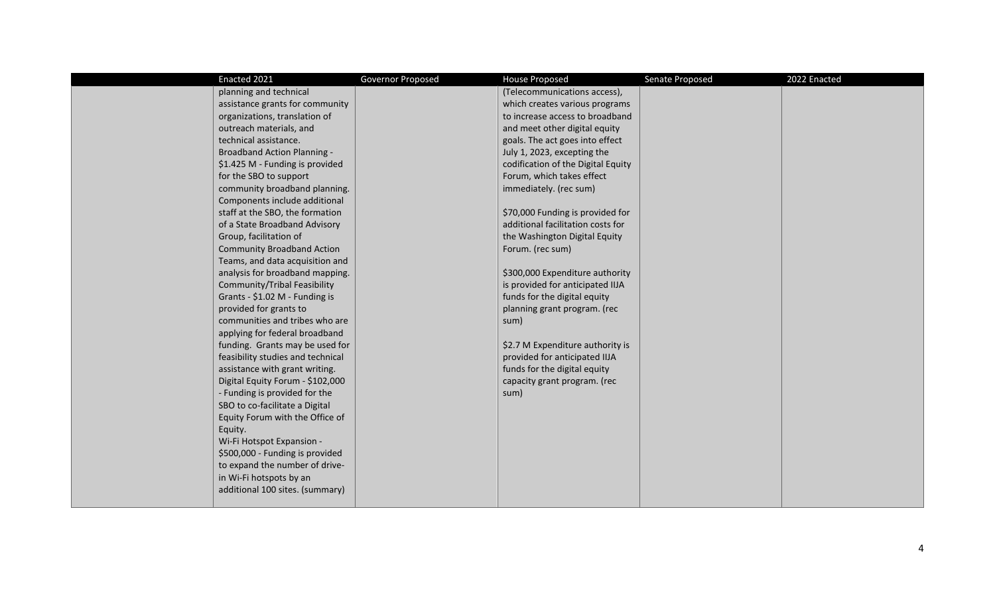| Enacted 2021                        | Governor Proposed | <b>House Proposed</b>              | Senate Proposed | 2022 Enacted |
|-------------------------------------|-------------------|------------------------------------|-----------------|--------------|
| planning and technical              |                   | (Telecommunications access),       |                 |              |
| assistance grants for community     |                   | which creates various programs     |                 |              |
| organizations, translation of       |                   | to increase access to broadband    |                 |              |
| outreach materials, and             |                   | and meet other digital equity      |                 |              |
| technical assistance.               |                   | goals. The act goes into effect    |                 |              |
| <b>Broadband Action Planning -</b>  |                   | July 1, 2023, excepting the        |                 |              |
| \$1.425 M - Funding is provided     |                   | codification of the Digital Equity |                 |              |
| for the SBO to support              |                   | Forum, which takes effect          |                 |              |
| community broadband planning.       |                   | immediately. (rec sum)             |                 |              |
| Components include additional       |                   |                                    |                 |              |
| staff at the SBO, the formation     |                   | \$70,000 Funding is provided for   |                 |              |
| of a State Broadband Advisory       |                   | additional facilitation costs for  |                 |              |
| Group, facilitation of              |                   | the Washington Digital Equity      |                 |              |
| <b>Community Broadband Action</b>   |                   | Forum. (rec sum)                   |                 |              |
| Teams, and data acquisition and     |                   |                                    |                 |              |
| analysis for broadband mapping.     |                   | \$300,000 Expenditure authority    |                 |              |
| <b>Community/Tribal Feasibility</b> |                   | is provided for anticipated IIJA   |                 |              |
| Grants - \$1.02 M - Funding is      |                   | funds for the digital equity       |                 |              |
| provided for grants to              |                   | planning grant program. (rec       |                 |              |
| communities and tribes who are      |                   | sum)                               |                 |              |
| applying for federal broadband      |                   |                                    |                 |              |
| funding. Grants may be used for     |                   | \$2.7 M Expenditure authority is   |                 |              |
| feasibility studies and technical   |                   | provided for anticipated IIJA      |                 |              |
| assistance with grant writing.      |                   | funds for the digital equity       |                 |              |
| Digital Equity Forum - \$102,000    |                   | capacity grant program. (rec       |                 |              |
| - Funding is provided for the       |                   | sum)                               |                 |              |
| SBO to co-facilitate a Digital      |                   |                                    |                 |              |
| Equity Forum with the Office of     |                   |                                    |                 |              |
| Equity.                             |                   |                                    |                 |              |
| Wi-Fi Hotspot Expansion -           |                   |                                    |                 |              |
| \$500,000 - Funding is provided     |                   |                                    |                 |              |
| to expand the number of drive-      |                   |                                    |                 |              |
| in Wi-Fi hotspots by an             |                   |                                    |                 |              |
| additional 100 sites. (summary)     |                   |                                    |                 |              |
|                                     |                   |                                    |                 |              |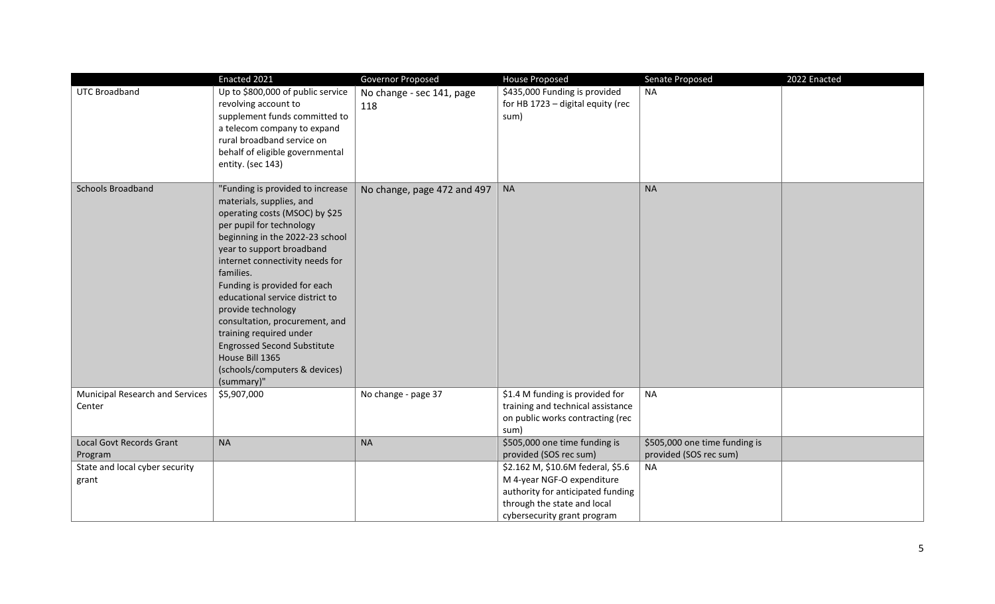|                                           | Enacted 2021                                                                                                                                                                                                                                                                                                                                                                                                                                                                                             | Governor Proposed                | House Proposed                                                                                                   | 2022 Enacted<br>Senate Proposed |
|-------------------------------------------|----------------------------------------------------------------------------------------------------------------------------------------------------------------------------------------------------------------------------------------------------------------------------------------------------------------------------------------------------------------------------------------------------------------------------------------------------------------------------------------------------------|----------------------------------|------------------------------------------------------------------------------------------------------------------|---------------------------------|
| <b>UTC Broadband</b>                      | Up to \$800,000 of public service<br>revolving account to<br>supplement funds committed to<br>a telecom company to expand<br>rural broadband service on<br>behalf of eligible governmental<br>entity. (sec 143)                                                                                                                                                                                                                                                                                          | No change - sec 141, page<br>118 | \$435,000 Funding is provided<br>for HB 1723 - digital equity (rec<br>sum)                                       | <b>NA</b>                       |
| Schools Broadband                         | "Funding is provided to increase<br>materials, supplies, and<br>operating costs (MSOC) by \$25<br>per pupil for technology<br>beginning in the 2022-23 school<br>year to support broadband<br>internet connectivity needs for<br>families.<br>Funding is provided for each<br>educational service district to<br>provide technology<br>consultation, procurement, and<br>training required under<br><b>Engrossed Second Substitute</b><br>House Bill 1365<br>(schools/computers & devices)<br>(summary)" | No change, page 472 and 497      | <b>NA</b>                                                                                                        | <b>NA</b>                       |
| Municipal Research and Services<br>Center | \$5,907,000                                                                                                                                                                                                                                                                                                                                                                                                                                                                                              | No change - page 37              | \$1.4 M funding is provided for<br>training and technical assistance<br>on public works contracting (rec<br>sum) | <b>NA</b>                       |
| <b>Local Govt Records Grant</b>           | <b>NA</b>                                                                                                                                                                                                                                                                                                                                                                                                                                                                                                | <b>NA</b>                        | \$505,000 one time funding is                                                                                    | \$505,000 one time funding is   |
| Program                                   |                                                                                                                                                                                                                                                                                                                                                                                                                                                                                                          |                                  | provided (SOS rec sum)                                                                                           | provided (SOS rec sum)          |
| State and local cyber security            |                                                                                                                                                                                                                                                                                                                                                                                                                                                                                                          |                                  | \$2.162 M, \$10.6M federal, \$5.6                                                                                | <b>NA</b>                       |
| grant                                     |                                                                                                                                                                                                                                                                                                                                                                                                                                                                                                          |                                  | M 4-year NGF-O expenditure                                                                                       |                                 |
|                                           |                                                                                                                                                                                                                                                                                                                                                                                                                                                                                                          |                                  | authority for anticipated funding                                                                                |                                 |
|                                           |                                                                                                                                                                                                                                                                                                                                                                                                                                                                                                          |                                  | through the state and local                                                                                      |                                 |
|                                           |                                                                                                                                                                                                                                                                                                                                                                                                                                                                                                          |                                  | cybersecurity grant program                                                                                      |                                 |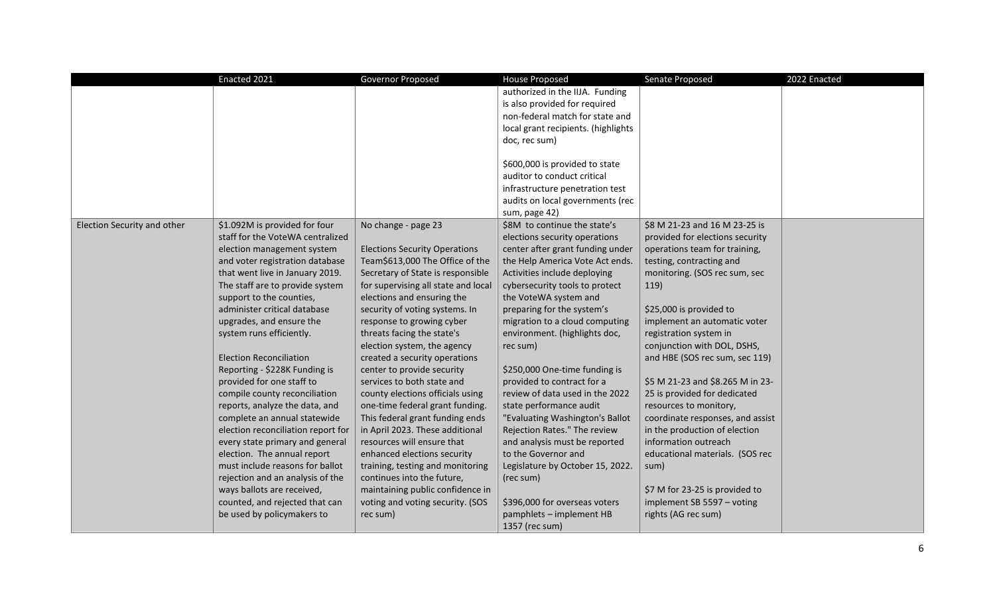|                             | Enacted 2021                       | Governor Proposed                    | <b>House Proposed</b>               | Senate Proposed                  | 2022 Enacted |
|-----------------------------|------------------------------------|--------------------------------------|-------------------------------------|----------------------------------|--------------|
|                             |                                    |                                      | authorized in the IIJA. Funding     |                                  |              |
|                             |                                    |                                      | is also provided for required       |                                  |              |
|                             |                                    |                                      | non-federal match for state and     |                                  |              |
|                             |                                    |                                      | local grant recipients. (highlights |                                  |              |
|                             |                                    |                                      | doc, rec sum)                       |                                  |              |
|                             |                                    |                                      |                                     |                                  |              |
|                             |                                    |                                      | \$600,000 is provided to state      |                                  |              |
|                             |                                    |                                      | auditor to conduct critical         |                                  |              |
|                             |                                    |                                      | infrastructure penetration test     |                                  |              |
|                             |                                    |                                      | audits on local governments (rec    |                                  |              |
|                             |                                    |                                      | sum, page 42)                       |                                  |              |
| Election Security and other | \$1.092M is provided for four      | No change - page 23                  | \$8M to continue the state's        | \$8 M 21-23 and 16 M 23-25 is    |              |
|                             | staff for the VoteWA centralized   |                                      | elections security operations       | provided for elections security  |              |
|                             | election management system         | <b>Elections Security Operations</b> | center after grant funding under    | operations team for training,    |              |
|                             | and voter registration database    | Team\$613,000 The Office of the      | the Help America Vote Act ends.     | testing, contracting and         |              |
|                             | that went live in January 2019.    | Secretary of State is responsible    | Activities include deploying        | monitoring. (SOS rec sum, sec    |              |
|                             | The staff are to provide system    | for supervising all state and local  | cybersecurity tools to protect      | 119)                             |              |
|                             | support to the counties,           | elections and ensuring the           | the VoteWA system and               |                                  |              |
|                             | administer critical database       | security of voting systems. In       | preparing for the system's          | \$25,000 is provided to          |              |
|                             | upgrades, and ensure the           | response to growing cyber            | migration to a cloud computing      | implement an automatic voter     |              |
|                             | system runs efficiently.           | threats facing the state's           | environment. (highlights doc,       | registration system in           |              |
|                             |                                    | election system, the agency          | rec sum)                            | conjunction with DOL, DSHS,      |              |
|                             | <b>Election Reconciliation</b>     | created a security operations        |                                     | and HBE (SOS rec sum, sec 119)   |              |
|                             | Reporting - \$228K Funding is      | center to provide security           | \$250,000 One-time funding is       |                                  |              |
|                             | provided for one staff to          | services to both state and           | provided to contract for a          | \$5 M 21-23 and \$8.265 M in 23- |              |
|                             | compile county reconciliation      | county elections officials using     | review of data used in the 2022     | 25 is provided for dedicated     |              |
|                             | reports, analyze the data, and     | one-time federal grant funding.      | state performance audit             | resources to monitory,           |              |
|                             | complete an annual statewide       | This federal grant funding ends      | "Evaluating Washington's Ballot     | coordinate responses, and assist |              |
|                             | election reconciliation report for | in April 2023. These additional      | Rejection Rates." The review        | in the production of election    |              |
|                             | every state primary and general    | resources will ensure that           | and analysis must be reported       | information outreach             |              |
|                             | election. The annual report        | enhanced elections security          | to the Governor and                 | educational materials. (SOS rec  |              |
|                             | must include reasons for ballot    | training, testing and monitoring     | Legislature by October 15, 2022.    | sum)                             |              |
|                             | rejection and an analysis of the   | continues into the future,           | (rec sum)                           |                                  |              |
|                             | ways ballots are received,         | maintaining public confidence in     | \$396,000 for overseas voters       | \$7 M for 23-25 is provided to   |              |
|                             | counted, and rejected that can     | voting and voting security. (SOS     |                                     | implement SB 5597 - voting       |              |
|                             | be used by policymakers to         | rec sum)                             | pamphlets - implement HB            | rights (AG rec sum)              |              |
|                             |                                    |                                      | 1357 (rec sum)                      |                                  |              |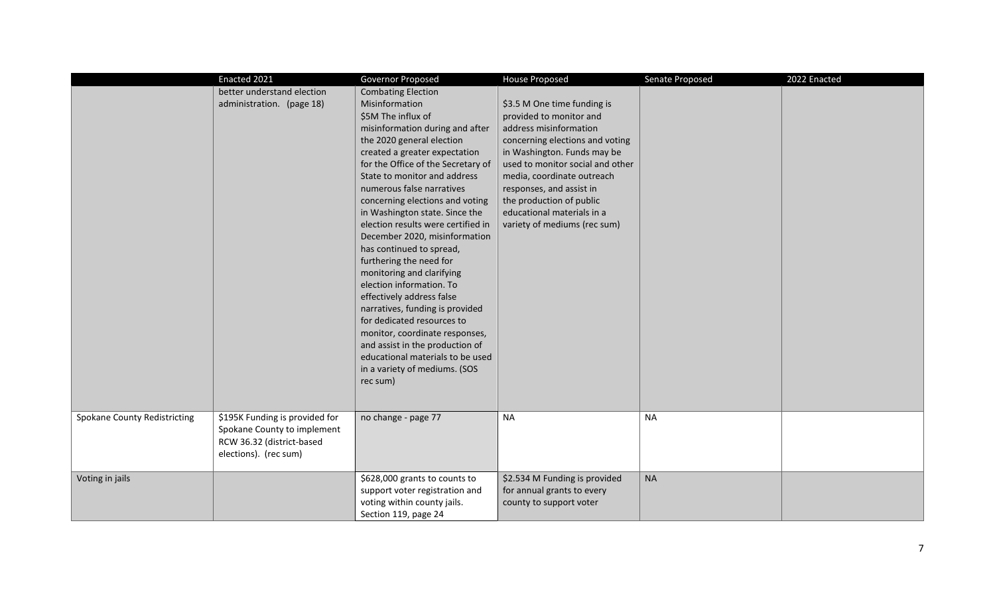|                                     | Enacted 2021                                                                                                        | Governor Proposed                                                                                                                                                                                                                                                                                                                                                                                                                                                                                                                                                                                                                                                                                                                                                                     | <b>House Proposed</b>                                                                                                                                                                                                                                                                                                                      | Senate Proposed | 2022 Enacted |
|-------------------------------------|---------------------------------------------------------------------------------------------------------------------|---------------------------------------------------------------------------------------------------------------------------------------------------------------------------------------------------------------------------------------------------------------------------------------------------------------------------------------------------------------------------------------------------------------------------------------------------------------------------------------------------------------------------------------------------------------------------------------------------------------------------------------------------------------------------------------------------------------------------------------------------------------------------------------|--------------------------------------------------------------------------------------------------------------------------------------------------------------------------------------------------------------------------------------------------------------------------------------------------------------------------------------------|-----------------|--------------|
|                                     | better understand election<br>administration. (page 18)                                                             | <b>Combating Election</b><br>Misinformation<br>\$5M The influx of<br>misinformation during and after<br>the 2020 general election<br>created a greater expectation<br>for the Office of the Secretary of<br>State to monitor and address<br>numerous false narratives<br>concerning elections and voting<br>in Washington state. Since the<br>election results were certified in<br>December 2020, misinformation<br>has continued to spread,<br>furthering the need for<br>monitoring and clarifying<br>election information. To<br>effectively address false<br>narratives, funding is provided<br>for dedicated resources to<br>monitor, coordinate responses,<br>and assist in the production of<br>educational materials to be used<br>in a variety of mediums. (SOS<br>rec sum) | \$3.5 M One time funding is<br>provided to monitor and<br>address misinformation<br>concerning elections and voting<br>in Washington. Funds may be<br>used to monitor social and other<br>media, coordinate outreach<br>responses, and assist in<br>the production of public<br>educational materials in a<br>variety of mediums (rec sum) |                 |              |
| <b>Spokane County Redistricting</b> | \$195K Funding is provided for<br>Spokane County to implement<br>RCW 36.32 (district-based<br>elections). (rec sum) | no change - page 77                                                                                                                                                                                                                                                                                                                                                                                                                                                                                                                                                                                                                                                                                                                                                                   | <b>NA</b>                                                                                                                                                                                                                                                                                                                                  | <b>NA</b>       |              |
| Voting in jails                     |                                                                                                                     | \$628,000 grants to counts to<br>support voter registration and<br>voting within county jails.<br>Section 119, page 24                                                                                                                                                                                                                                                                                                                                                                                                                                                                                                                                                                                                                                                                | \$2.534 M Funding is provided<br>for annual grants to every<br>county to support voter                                                                                                                                                                                                                                                     | <b>NA</b>       |              |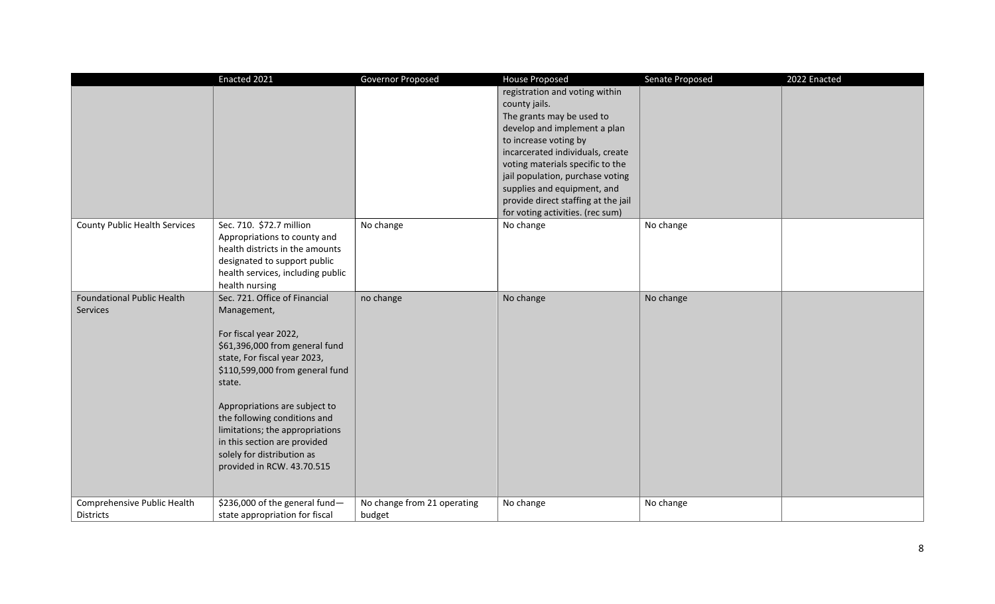|                                      | Enacted 2021                                                    | Governor Proposed           | <b>House Proposed</b>               | Senate Proposed | 2022 Enacted |
|--------------------------------------|-----------------------------------------------------------------|-----------------------------|-------------------------------------|-----------------|--------------|
|                                      |                                                                 |                             | registration and voting within      |                 |              |
|                                      |                                                                 |                             | county jails.                       |                 |              |
|                                      |                                                                 |                             | The grants may be used to           |                 |              |
|                                      |                                                                 |                             | develop and implement a plan        |                 |              |
|                                      |                                                                 |                             | to increase voting by               |                 |              |
|                                      |                                                                 |                             | incarcerated individuals, create    |                 |              |
|                                      |                                                                 |                             | voting materials specific to the    |                 |              |
|                                      |                                                                 |                             | jail population, purchase voting    |                 |              |
|                                      |                                                                 |                             | supplies and equipment, and         |                 |              |
|                                      |                                                                 |                             | provide direct staffing at the jail |                 |              |
|                                      |                                                                 |                             | for voting activities. (rec sum)    |                 |              |
| <b>County Public Health Services</b> | Sec. 710. \$72.7 million                                        | No change                   | No change                           | No change       |              |
|                                      | Appropriations to county and                                    |                             |                                     |                 |              |
|                                      | health districts in the amounts                                 |                             |                                     |                 |              |
|                                      | designated to support public                                    |                             |                                     |                 |              |
|                                      | health services, including public                               |                             |                                     |                 |              |
|                                      | health nursing                                                  |                             |                                     |                 |              |
| <b>Foundational Public Health</b>    | Sec. 721. Office of Financial                                   | no change                   | No change                           | No change       |              |
| Services                             | Management,                                                     |                             |                                     |                 |              |
|                                      |                                                                 |                             |                                     |                 |              |
|                                      | For fiscal year 2022,                                           |                             |                                     |                 |              |
|                                      | \$61,396,000 from general fund                                  |                             |                                     |                 |              |
|                                      | state, For fiscal year 2023,<br>\$110,599,000 from general fund |                             |                                     |                 |              |
|                                      |                                                                 |                             |                                     |                 |              |
|                                      | state.                                                          |                             |                                     |                 |              |
|                                      | Appropriations are subject to                                   |                             |                                     |                 |              |
|                                      | the following conditions and                                    |                             |                                     |                 |              |
|                                      | limitations; the appropriations                                 |                             |                                     |                 |              |
|                                      | in this section are provided                                    |                             |                                     |                 |              |
|                                      | solely for distribution as                                      |                             |                                     |                 |              |
|                                      | provided in RCW. 43.70.515                                      |                             |                                     |                 |              |
|                                      |                                                                 |                             |                                     |                 |              |
|                                      |                                                                 |                             |                                     |                 |              |
| Comprehensive Public Health          | \$236,000 of the general fund-                                  | No change from 21 operating | No change                           | No change       |              |
| <b>Districts</b>                     | state appropriation for fiscal                                  | budget                      |                                     |                 |              |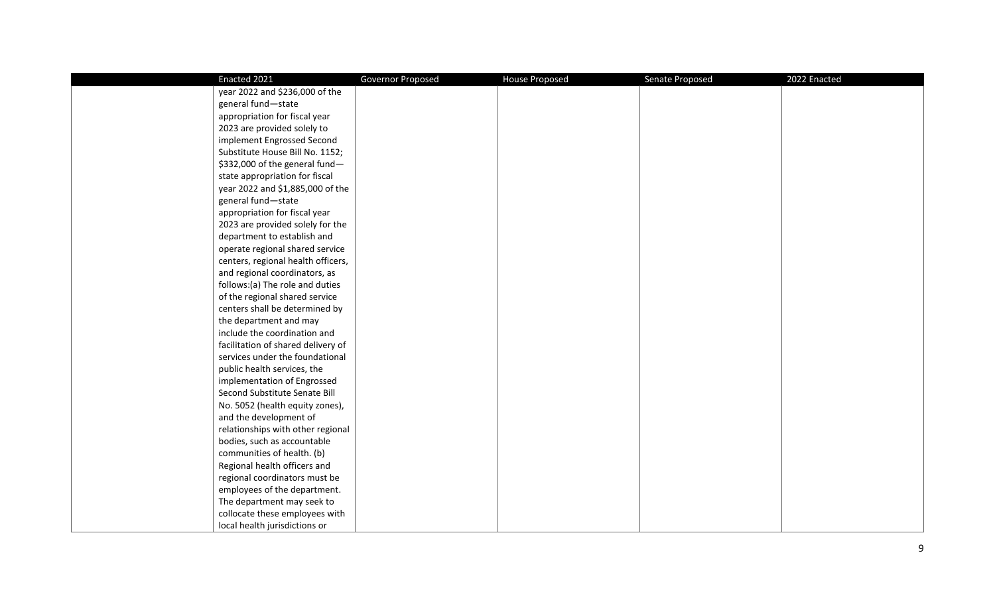| Enacted 2021                       | Governor Proposed | <b>House Proposed</b> | Senate Proposed | 2022 Enacted |
|------------------------------------|-------------------|-----------------------|-----------------|--------------|
| year 2022 and \$236,000 of the     |                   |                       |                 |              |
| general fund-state                 |                   |                       |                 |              |
| appropriation for fiscal year      |                   |                       |                 |              |
| 2023 are provided solely to        |                   |                       |                 |              |
| implement Engrossed Second         |                   |                       |                 |              |
| Substitute House Bill No. 1152;    |                   |                       |                 |              |
| \$332,000 of the general fund-     |                   |                       |                 |              |
| state appropriation for fiscal     |                   |                       |                 |              |
| year 2022 and \$1,885,000 of the   |                   |                       |                 |              |
| general fund-state                 |                   |                       |                 |              |
| appropriation for fiscal year      |                   |                       |                 |              |
| 2023 are provided solely for the   |                   |                       |                 |              |
| department to establish and        |                   |                       |                 |              |
| operate regional shared service    |                   |                       |                 |              |
| centers, regional health officers, |                   |                       |                 |              |
| and regional coordinators, as      |                   |                       |                 |              |
| follows:(a) The role and duties    |                   |                       |                 |              |
| of the regional shared service     |                   |                       |                 |              |
| centers shall be determined by     |                   |                       |                 |              |
| the department and may             |                   |                       |                 |              |
| include the coordination and       |                   |                       |                 |              |
| facilitation of shared delivery of |                   |                       |                 |              |
| services under the foundational    |                   |                       |                 |              |
| public health services, the        |                   |                       |                 |              |
| implementation of Engrossed        |                   |                       |                 |              |
| Second Substitute Senate Bill      |                   |                       |                 |              |
| No. 5052 (health equity zones),    |                   |                       |                 |              |
| and the development of             |                   |                       |                 |              |
| relationships with other regional  |                   |                       |                 |              |
| bodies, such as accountable        |                   |                       |                 |              |
| communities of health. (b)         |                   |                       |                 |              |
| Regional health officers and       |                   |                       |                 |              |
| regional coordinators must be      |                   |                       |                 |              |
| employees of the department.       |                   |                       |                 |              |
| The department may seek to         |                   |                       |                 |              |
| collocate these employees with     |                   |                       |                 |              |
| local health jurisdictions or      |                   |                       |                 |              |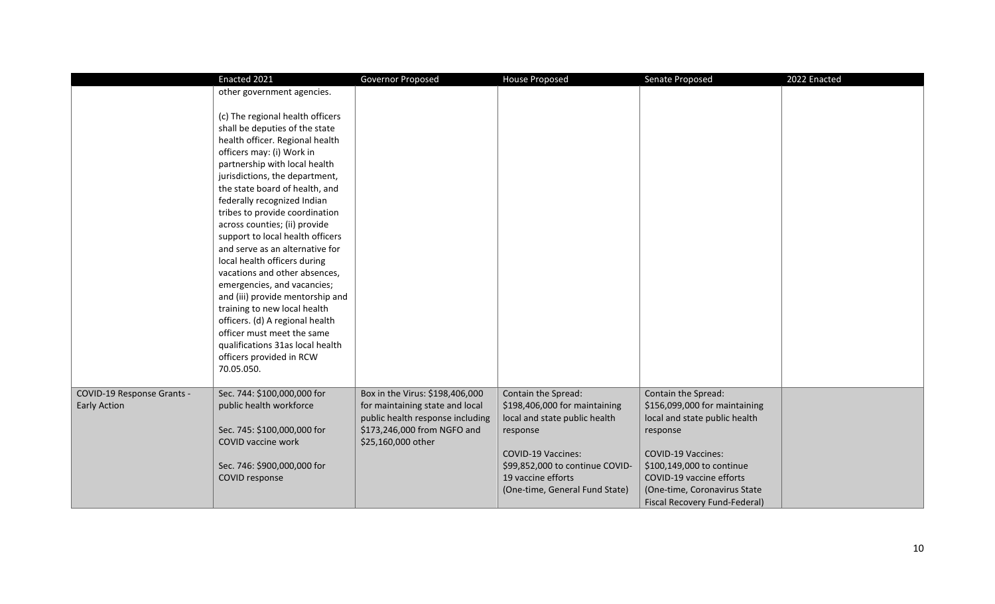|                            | Enacted 2021                     | Governor Proposed                | <b>House Proposed</b>           | Senate Proposed               | 2022 Enacted |
|----------------------------|----------------------------------|----------------------------------|---------------------------------|-------------------------------|--------------|
|                            | other government agencies.       |                                  |                                 |                               |              |
|                            |                                  |                                  |                                 |                               |              |
|                            | (c) The regional health officers |                                  |                                 |                               |              |
|                            | shall be deputies of the state   |                                  |                                 |                               |              |
|                            | health officer. Regional health  |                                  |                                 |                               |              |
|                            | officers may: (i) Work in        |                                  |                                 |                               |              |
|                            | partnership with local health    |                                  |                                 |                               |              |
|                            | jurisdictions, the department,   |                                  |                                 |                               |              |
|                            | the state board of health, and   |                                  |                                 |                               |              |
|                            | federally recognized Indian      |                                  |                                 |                               |              |
|                            | tribes to provide coordination   |                                  |                                 |                               |              |
|                            | across counties; (ii) provide    |                                  |                                 |                               |              |
|                            | support to local health officers |                                  |                                 |                               |              |
|                            | and serve as an alternative for  |                                  |                                 |                               |              |
|                            | local health officers during     |                                  |                                 |                               |              |
|                            | vacations and other absences,    |                                  |                                 |                               |              |
|                            | emergencies, and vacancies;      |                                  |                                 |                               |              |
|                            | and (iii) provide mentorship and |                                  |                                 |                               |              |
|                            | training to new local health     |                                  |                                 |                               |              |
|                            | officers. (d) A regional health  |                                  |                                 |                               |              |
|                            | officer must meet the same       |                                  |                                 |                               |              |
|                            | qualifications 31as local health |                                  |                                 |                               |              |
|                            | officers provided in RCW         |                                  |                                 |                               |              |
|                            | 70.05.050.                       |                                  |                                 |                               |              |
|                            |                                  |                                  |                                 |                               |              |
| COVID-19 Response Grants - | Sec. 744: \$100,000,000 for      | Box in the Virus: \$198,406,000  | Contain the Spread:             | Contain the Spread:           |              |
| <b>Early Action</b>        | public health workforce          | for maintaining state and local  | \$198,406,000 for maintaining   | \$156,099,000 for maintaining |              |
|                            |                                  | public health response including | local and state public health   | local and state public health |              |
|                            | Sec. 745: \$100,000,000 for      | \$173,246,000 from NGFO and      | response                        | response                      |              |
|                            | COVID vaccine work               | \$25,160,000 other               |                                 |                               |              |
|                            |                                  |                                  | <b>COVID-19 Vaccines:</b>       | <b>COVID-19 Vaccines:</b>     |              |
|                            | Sec. 746: \$900,000,000 for      |                                  | \$99,852,000 to continue COVID- | \$100,149,000 to continue     |              |
|                            | COVID response                   |                                  | 19 vaccine efforts              | COVID-19 vaccine efforts      |              |
|                            |                                  |                                  | (One-time, General Fund State)  | (One-time, Coronavirus State  |              |
|                            |                                  |                                  |                                 | Fiscal Recovery Fund-Federal) |              |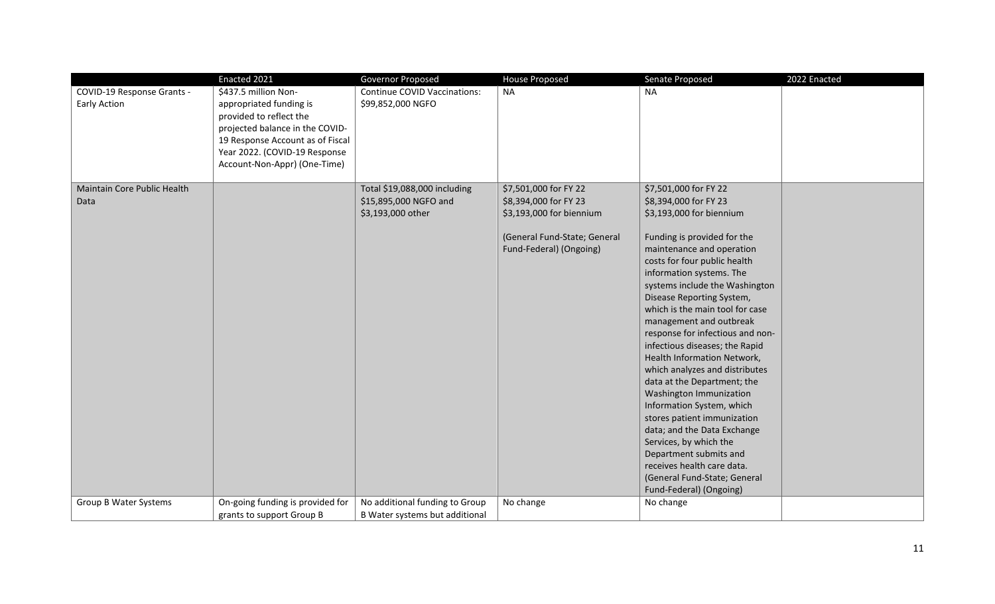|                                            | Enacted 2021                                                                                                                                                                                                       | <b>Governor Proposed</b>                                 | <b>House Proposed</b>        | Senate Proposed                                               | 2022 Enacted |
|--------------------------------------------|--------------------------------------------------------------------------------------------------------------------------------------------------------------------------------------------------------------------|----------------------------------------------------------|------------------------------|---------------------------------------------------------------|--------------|
| COVID-19 Response Grants -<br>Early Action | \$437.5 million Non-<br>appropriated funding is<br>provided to reflect the<br>projected balance in the COVID-<br>19 Response Account as of Fiscal<br>Year 2022. (COVID-19 Response<br>Account-Non-Appr) (One-Time) | <b>Continue COVID Vaccinations:</b><br>\$99,852,000 NGFO | <b>NA</b>                    | <b>NA</b>                                                     |              |
| Maintain Core Public Health                |                                                                                                                                                                                                                    | Total \$19,088,000 including                             | \$7,501,000 for FY 22        | \$7,501,000 for FY 22                                         |              |
| Data                                       |                                                                                                                                                                                                                    | \$15,895,000 NGFO and                                    | \$8,394,000 for FY 23        | \$8,394,000 for FY 23                                         |              |
|                                            |                                                                                                                                                                                                                    | \$3,193,000 other                                        | \$3,193,000 for biennium     | \$3,193,000 for biennium                                      |              |
|                                            |                                                                                                                                                                                                                    |                                                          | (General Fund-State; General | Funding is provided for the                                   |              |
|                                            |                                                                                                                                                                                                                    |                                                          | Fund-Federal) (Ongoing)      | maintenance and operation                                     |              |
|                                            |                                                                                                                                                                                                                    |                                                          |                              | costs for four public health                                  |              |
|                                            |                                                                                                                                                                                                                    |                                                          |                              | information systems. The                                      |              |
|                                            |                                                                                                                                                                                                                    |                                                          |                              | systems include the Washington                                |              |
|                                            |                                                                                                                                                                                                                    |                                                          |                              | Disease Reporting System,                                     |              |
|                                            |                                                                                                                                                                                                                    |                                                          |                              | which is the main tool for case                               |              |
|                                            |                                                                                                                                                                                                                    |                                                          |                              | management and outbreak                                       |              |
|                                            |                                                                                                                                                                                                                    |                                                          |                              | response for infectious and non-                              |              |
|                                            |                                                                                                                                                                                                                    |                                                          |                              | infectious diseases; the Rapid<br>Health Information Network, |              |
|                                            |                                                                                                                                                                                                                    |                                                          |                              | which analyzes and distributes                                |              |
|                                            |                                                                                                                                                                                                                    |                                                          |                              | data at the Department; the                                   |              |
|                                            |                                                                                                                                                                                                                    |                                                          |                              | Washington Immunization                                       |              |
|                                            |                                                                                                                                                                                                                    |                                                          |                              | Information System, which                                     |              |
|                                            |                                                                                                                                                                                                                    |                                                          |                              | stores patient immunization                                   |              |
|                                            |                                                                                                                                                                                                                    |                                                          |                              | data; and the Data Exchange                                   |              |
|                                            |                                                                                                                                                                                                                    |                                                          |                              | Services, by which the                                        |              |
|                                            |                                                                                                                                                                                                                    |                                                          |                              | Department submits and                                        |              |
|                                            |                                                                                                                                                                                                                    |                                                          |                              | receives health care data.                                    |              |
|                                            |                                                                                                                                                                                                                    |                                                          |                              | (General Fund-State; General                                  |              |
|                                            |                                                                                                                                                                                                                    |                                                          |                              | Fund-Federal) (Ongoing)                                       |              |
| Group B Water Systems                      | On-going funding is provided for                                                                                                                                                                                   | No additional funding to Group                           | No change                    | No change                                                     |              |
|                                            | grants to support Group B                                                                                                                                                                                          | B Water systems but additional                           |                              |                                                               |              |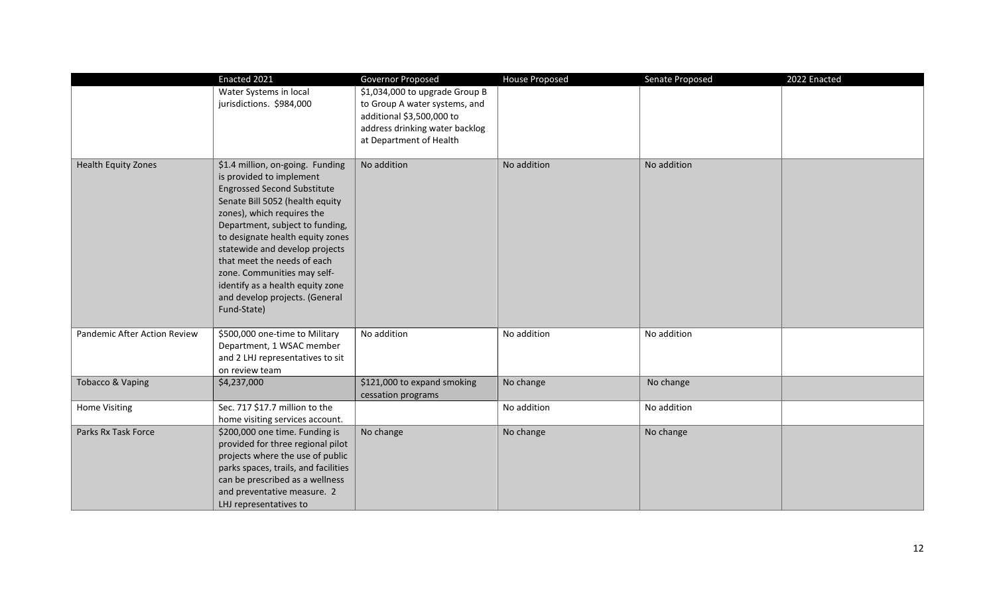|                              | Enacted 2021                                                                                                                                                                                                                                                                                                                                                                                                                    | Governor Proposed                                                                                                                                         | House Proposed | Senate Proposed | 2022 Enacted |
|------------------------------|---------------------------------------------------------------------------------------------------------------------------------------------------------------------------------------------------------------------------------------------------------------------------------------------------------------------------------------------------------------------------------------------------------------------------------|-----------------------------------------------------------------------------------------------------------------------------------------------------------|----------------|-----------------|--------------|
|                              | Water Systems in local<br>jurisdictions. \$984,000                                                                                                                                                                                                                                                                                                                                                                              | \$1,034,000 to upgrade Group B<br>to Group A water systems, and<br>additional \$3,500,000 to<br>address drinking water backlog<br>at Department of Health |                |                 |              |
| <b>Health Equity Zones</b>   | \$1.4 million, on-going. Funding<br>is provided to implement<br><b>Engrossed Second Substitute</b><br>Senate Bill 5052 (health equity<br>zones), which requires the<br>Department, subject to funding,<br>to designate health equity zones<br>statewide and develop projects<br>that meet the needs of each<br>zone. Communities may self-<br>identify as a health equity zone<br>and develop projects. (General<br>Fund-State) | No addition                                                                                                                                               | No addition    | No addition     |              |
| Pandemic After Action Review | \$500,000 one-time to Military<br>Department, 1 WSAC member<br>and 2 LHJ representatives to sit<br>on review team                                                                                                                                                                                                                                                                                                               | No addition                                                                                                                                               | No addition    | No addition     |              |
| Tobacco & Vaping             | \$4,237,000                                                                                                                                                                                                                                                                                                                                                                                                                     | \$121,000 to expand smoking<br>cessation programs                                                                                                         | No change      | No change       |              |
| <b>Home Visiting</b>         | Sec. 717 \$17.7 million to the<br>home visiting services account.                                                                                                                                                                                                                                                                                                                                                               |                                                                                                                                                           | No addition    | No addition     |              |
| Parks Rx Task Force          | \$200,000 one time. Funding is<br>provided for three regional pilot<br>projects where the use of public<br>parks spaces, trails, and facilities<br>can be prescribed as a wellness<br>and preventative measure. 2<br>LHJ representatives to                                                                                                                                                                                     | No change                                                                                                                                                 | No change      | No change       |              |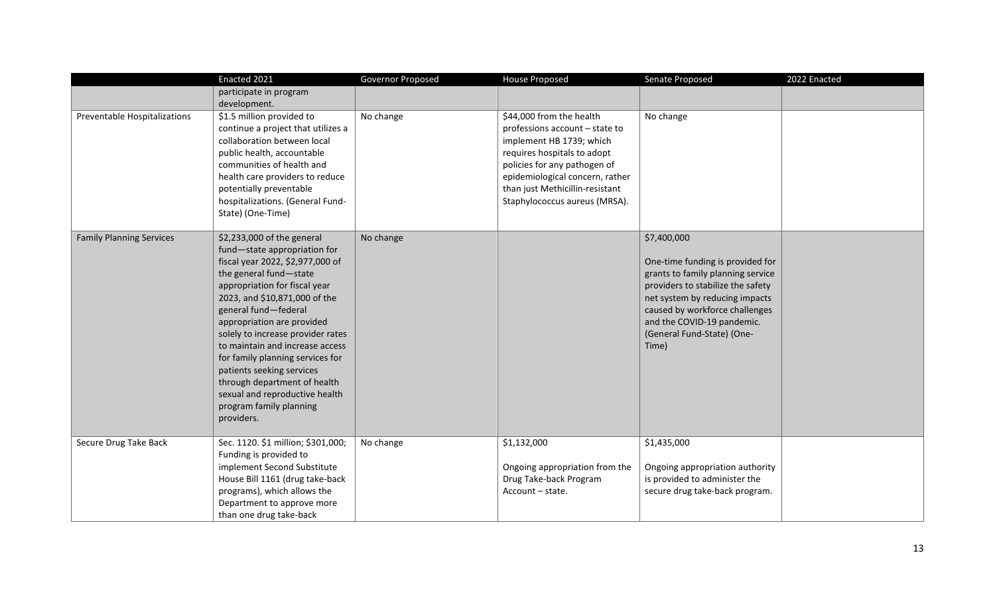|                                 | Enacted 2021                                                                                                                                                                                                                                                                                                                                                                                                                                                                                         | Governor Proposed | <b>House Proposed</b>                                                                                                                                                                                                                                        | Senate Proposed                                                                                                                                                                                                                                                    | 2022 Enacted |
|---------------------------------|------------------------------------------------------------------------------------------------------------------------------------------------------------------------------------------------------------------------------------------------------------------------------------------------------------------------------------------------------------------------------------------------------------------------------------------------------------------------------------------------------|-------------------|--------------------------------------------------------------------------------------------------------------------------------------------------------------------------------------------------------------------------------------------------------------|--------------------------------------------------------------------------------------------------------------------------------------------------------------------------------------------------------------------------------------------------------------------|--------------|
|                                 | participate in program<br>development.                                                                                                                                                                                                                                                                                                                                                                                                                                                               |                   |                                                                                                                                                                                                                                                              |                                                                                                                                                                                                                                                                    |              |
| Preventable Hospitalizations    | \$1.5 million provided to<br>continue a project that utilizes a<br>collaboration between local<br>public health, accountable<br>communities of health and<br>health care providers to reduce<br>potentially preventable<br>hospitalizations. (General Fund-<br>State) (One-Time)                                                                                                                                                                                                                     | No change         | \$44,000 from the health<br>professions account - state to<br>implement HB 1739; which<br>requires hospitals to adopt<br>policies for any pathogen of<br>epidemiological concern, rather<br>than just Methicillin-resistant<br>Staphylococcus aureus (MRSA). | No change                                                                                                                                                                                                                                                          |              |
| <b>Family Planning Services</b> | \$2,233,000 of the general<br>fund-state appropriation for<br>fiscal year 2022, \$2,977,000 of<br>the general fund-state<br>appropriation for fiscal year<br>2023, and \$10,871,000 of the<br>general fund-federal<br>appropriation are provided<br>solely to increase provider rates<br>to maintain and increase access<br>for family planning services for<br>patients seeking services<br>through department of health<br>sexual and reproductive health<br>program family planning<br>providers. | No change         |                                                                                                                                                                                                                                                              | \$7,400,000<br>One-time funding is provided for<br>grants to family planning service<br>providers to stabilize the safety<br>net system by reducing impacts<br>caused by workforce challenges<br>and the COVID-19 pandemic.<br>(General Fund-State) (One-<br>Time) |              |
| Secure Drug Take Back           | Sec. 1120. \$1 million; \$301,000;<br>Funding is provided to<br>implement Second Substitute<br>House Bill 1161 (drug take-back<br>programs), which allows the<br>Department to approve more<br>than one drug take-back                                                                                                                                                                                                                                                                               | No change         | \$1,132,000<br>Ongoing appropriation from the<br>Drug Take-back Program<br>Account - state.                                                                                                                                                                  | \$1,435,000<br>Ongoing appropriation authority<br>is provided to administer the<br>secure drug take-back program.                                                                                                                                                  |              |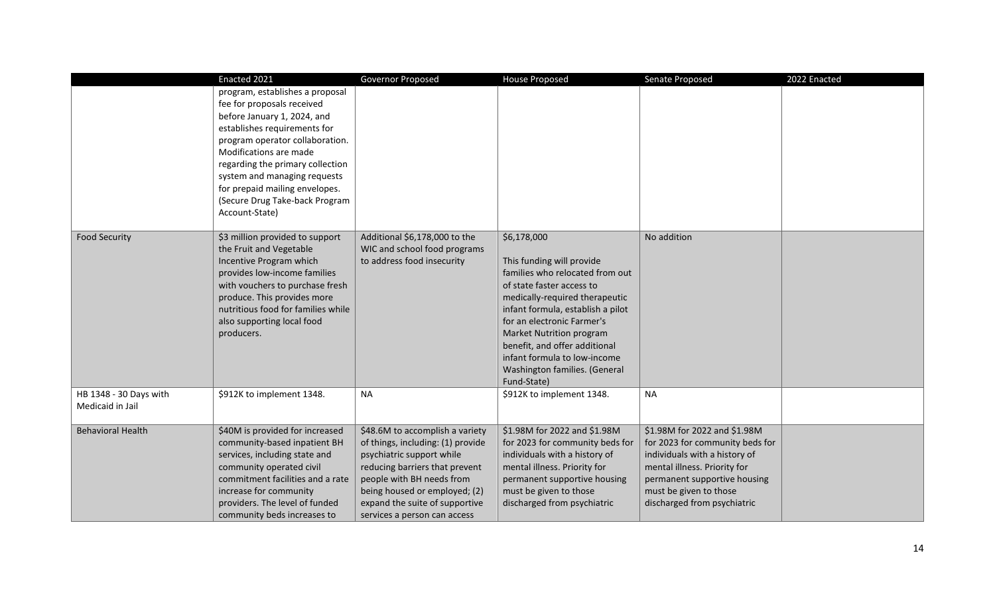|                                            | Enacted 2021                                                                                                                                                                                                                                                                                                                                        | Governor Proposed                                                                                                                                                                                                                                                   | <b>House Proposed</b>                                                                                                                                                                                                                                                                                                                                      | Senate Proposed                                                                                                                                                                                                           | 2022 Enacted |
|--------------------------------------------|-----------------------------------------------------------------------------------------------------------------------------------------------------------------------------------------------------------------------------------------------------------------------------------------------------------------------------------------------------|---------------------------------------------------------------------------------------------------------------------------------------------------------------------------------------------------------------------------------------------------------------------|------------------------------------------------------------------------------------------------------------------------------------------------------------------------------------------------------------------------------------------------------------------------------------------------------------------------------------------------------------|---------------------------------------------------------------------------------------------------------------------------------------------------------------------------------------------------------------------------|--------------|
|                                            | program, establishes a proposal<br>fee for proposals received<br>before January 1, 2024, and<br>establishes requirements for<br>program operator collaboration.<br>Modifications are made<br>regarding the primary collection<br>system and managing requests<br>for prepaid mailing envelopes.<br>(Secure Drug Take-back Program<br>Account-State) |                                                                                                                                                                                                                                                                     |                                                                                                                                                                                                                                                                                                                                                            |                                                                                                                                                                                                                           |              |
| <b>Food Security</b>                       | \$3 million provided to support<br>the Fruit and Vegetable<br>Incentive Program which<br>provides low-income families<br>with vouchers to purchase fresh<br>produce. This provides more<br>nutritious food for families while<br>also supporting local food<br>producers.                                                                           | Additional \$6,178,000 to the<br>WIC and school food programs<br>to address food insecurity                                                                                                                                                                         | \$6,178,000<br>This funding will provide<br>families who relocated from out<br>of state faster access to<br>medically-required therapeutic<br>infant formula, establish a pilot<br>for an electronic Farmer's<br>Market Nutrition program<br>benefit, and offer additional<br>infant formula to low-income<br>Washington families. (General<br>Fund-State) | No addition                                                                                                                                                                                                               |              |
| HB 1348 - 30 Days with<br>Medicaid in Jail | \$912K to implement 1348.                                                                                                                                                                                                                                                                                                                           | <b>NA</b>                                                                                                                                                                                                                                                           | \$912K to implement 1348.                                                                                                                                                                                                                                                                                                                                  | <b>NA</b>                                                                                                                                                                                                                 |              |
| <b>Behavioral Health</b>                   | \$40M is provided for increased<br>community-based inpatient BH<br>services, including state and<br>community operated civil<br>commitment facilities and a rate<br>increase for community<br>providers. The level of funded<br>community beds increases to                                                                                         | \$48.6M to accomplish a variety<br>of things, including: (1) provide<br>psychiatric support while<br>reducing barriers that prevent<br>people with BH needs from<br>being housed or employed; (2)<br>expand the suite of supportive<br>services a person can access | \$1.98M for 2022 and \$1.98M<br>for 2023 for community beds for<br>individuals with a history of<br>mental illness. Priority for<br>permanent supportive housing<br>must be given to those<br>discharged from psychiatric                                                                                                                                  | \$1.98M for 2022 and \$1.98M<br>for 2023 for community beds for<br>individuals with a history of<br>mental illness. Priority for<br>permanent supportive housing<br>must be given to those<br>discharged from psychiatric |              |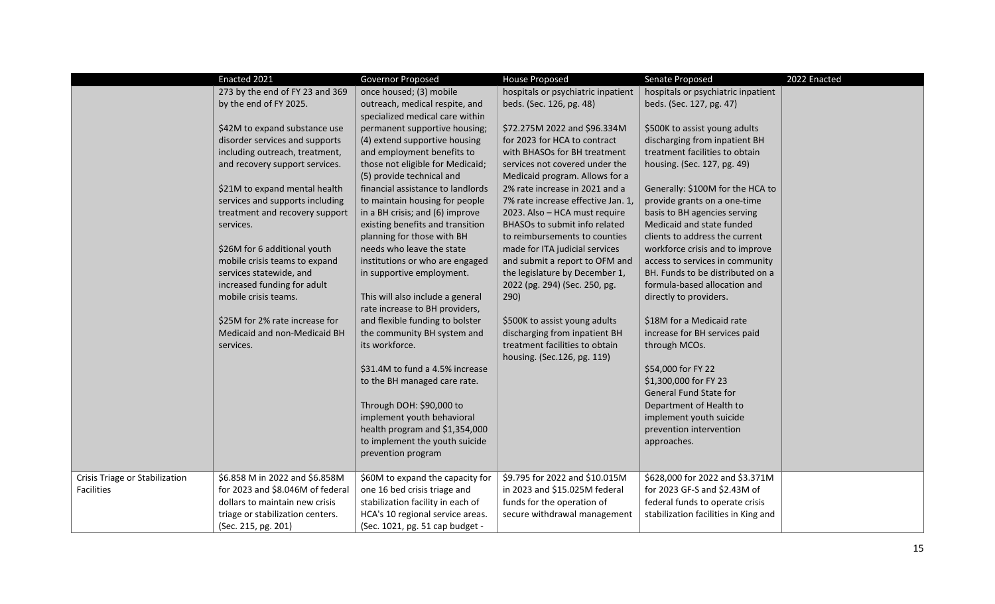|                                              | Enacted 2021                                                                                                                                                                                                                                                                                                                                                                                                                                                                             | Governor Proposed                                                                                                                                                                                                                                                                                                                                                                                                                                                                                                                                                                                                                                                                                                                                               | <b>House Proposed</b>                                                                                                                                                                                                                                                                                                                                                                                                                                                                                                                                                                                                         | Senate Proposed                                                                                                                                                                                                                                                                                                                                                                                                                                                                                                                                                                                                                                                                                                 | 2022 Enacted |
|----------------------------------------------|------------------------------------------------------------------------------------------------------------------------------------------------------------------------------------------------------------------------------------------------------------------------------------------------------------------------------------------------------------------------------------------------------------------------------------------------------------------------------------------|-----------------------------------------------------------------------------------------------------------------------------------------------------------------------------------------------------------------------------------------------------------------------------------------------------------------------------------------------------------------------------------------------------------------------------------------------------------------------------------------------------------------------------------------------------------------------------------------------------------------------------------------------------------------------------------------------------------------------------------------------------------------|-------------------------------------------------------------------------------------------------------------------------------------------------------------------------------------------------------------------------------------------------------------------------------------------------------------------------------------------------------------------------------------------------------------------------------------------------------------------------------------------------------------------------------------------------------------------------------------------------------------------------------|-----------------------------------------------------------------------------------------------------------------------------------------------------------------------------------------------------------------------------------------------------------------------------------------------------------------------------------------------------------------------------------------------------------------------------------------------------------------------------------------------------------------------------------------------------------------------------------------------------------------------------------------------------------------------------------------------------------------|--------------|
|                                              | 273 by the end of FY 23 and 369<br>by the end of FY 2025.                                                                                                                                                                                                                                                                                                                                                                                                                                | once housed; (3) mobile<br>outreach, medical respite, and<br>specialized medical care within                                                                                                                                                                                                                                                                                                                                                                                                                                                                                                                                                                                                                                                                    | hospitals or psychiatric inpatient<br>beds. (Sec. 126, pg. 48)                                                                                                                                                                                                                                                                                                                                                                                                                                                                                                                                                                | hospitals or psychiatric inpatient<br>beds. (Sec. 127, pg. 47)                                                                                                                                                                                                                                                                                                                                                                                                                                                                                                                                                                                                                                                  |              |
|                                              | \$42M to expand substance use<br>disorder services and supports<br>including outreach, treatment,<br>and recovery support services.<br>\$21M to expand mental health<br>services and supports including<br>treatment and recovery support<br>services.<br>\$26M for 6 additional youth<br>mobile crisis teams to expand<br>services statewide, and<br>increased funding for adult<br>mobile crisis teams.<br>\$25M for 2% rate increase for<br>Medicaid and non-Medicaid BH<br>services. | permanent supportive housing;<br>(4) extend supportive housing<br>and employment benefits to<br>those not eligible for Medicaid;<br>(5) provide technical and<br>financial assistance to landlords<br>to maintain housing for people<br>in a BH crisis; and (6) improve<br>existing benefits and transition<br>planning for those with BH<br>needs who leave the state<br>institutions or who are engaged<br>in supportive employment.<br>This will also include a general<br>rate increase to BH providers,<br>and flexible funding to bolster<br>the community BH system and<br>its workforce.<br>\$31.4M to fund a 4.5% increase<br>to the BH managed care rate.<br>Through DOH: \$90,000 to<br>implement youth behavioral<br>health program and \$1,354,000 | \$72.275M 2022 and \$96.334M<br>for 2023 for HCA to contract<br>with BHASOs for BH treatment<br>services not covered under the<br>Medicaid program. Allows for a<br>2% rate increase in 2021 and a<br>7% rate increase effective Jan. 1,<br>2023. Also - HCA must require<br>BHASOs to submit info related<br>to reimbursements to counties<br>made for ITA judicial services<br>and submit a report to OFM and<br>the legislature by December 1,<br>2022 (pg. 294) (Sec. 250, pg.<br>290)<br>\$500K to assist young adults<br>discharging from inpatient BH<br>treatment facilities to obtain<br>housing. (Sec.126, pg. 119) | \$500K to assist young adults<br>discharging from inpatient BH<br>treatment facilities to obtain<br>housing. (Sec. 127, pg. 49)<br>Generally: \$100M for the HCA to<br>provide grants on a one-time<br>basis to BH agencies serving<br>Medicaid and state funded<br>clients to address the current<br>workforce crisis and to improve<br>access to services in community<br>BH. Funds to be distributed on a<br>formula-based allocation and<br>directly to providers.<br>\$18M for a Medicaid rate<br>increase for BH services paid<br>through MCOs.<br>\$54,000 for FY 22<br>\$1,300,000 for FY 23<br>General Fund State for<br>Department of Health to<br>implement youth suicide<br>prevention intervention |              |
|                                              |                                                                                                                                                                                                                                                                                                                                                                                                                                                                                          | to implement the youth suicide<br>prevention program                                                                                                                                                                                                                                                                                                                                                                                                                                                                                                                                                                                                                                                                                                            |                                                                                                                                                                                                                                                                                                                                                                                                                                                                                                                                                                                                                               | approaches.                                                                                                                                                                                                                                                                                                                                                                                                                                                                                                                                                                                                                                                                                                     |              |
| Crisis Triage or Stabilization<br>Facilities | \$6.858 M in 2022 and \$6.858M<br>for 2023 and \$8.046M of federal<br>dollars to maintain new crisis<br>triage or stabilization centers.<br>(Sec. 215, pg. 201)                                                                                                                                                                                                                                                                                                                          | \$60M to expand the capacity for<br>one 16 bed crisis triage and<br>stabilization facility in each of<br>HCA's 10 regional service areas.<br>(Sec. 1021, pg. 51 cap budget -                                                                                                                                                                                                                                                                                                                                                                                                                                                                                                                                                                                    | \$9.795 for 2022 and \$10.015M<br>in 2023 and \$15.025M federal<br>funds for the operation of<br>secure withdrawal management                                                                                                                                                                                                                                                                                                                                                                                                                                                                                                 | \$628,000 for 2022 and \$3.371M<br>for 2023 GF-S and \$2.43M of<br>federal funds to operate crisis<br>stabilization facilities in King and                                                                                                                                                                                                                                                                                                                                                                                                                                                                                                                                                                      |              |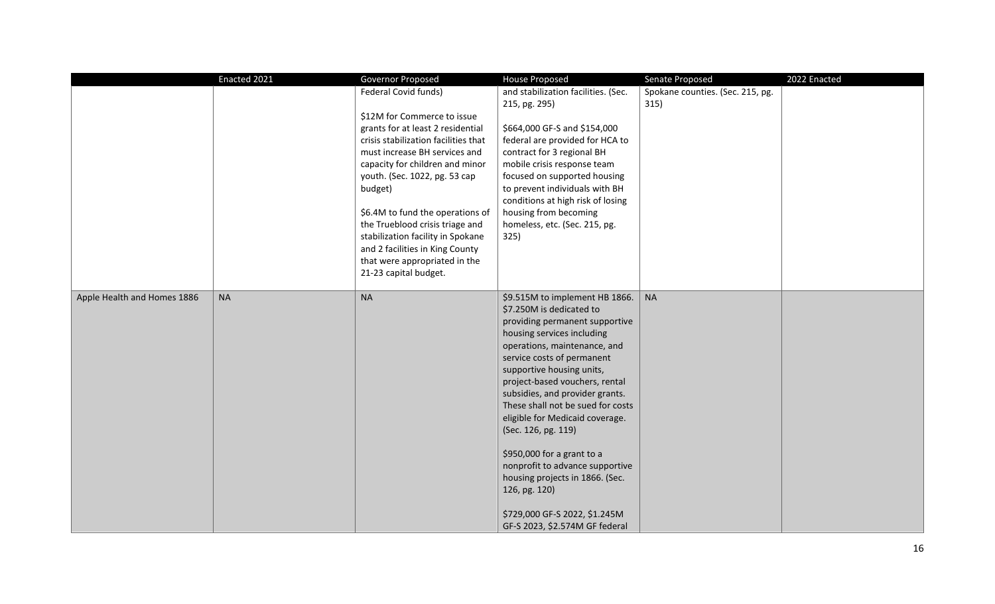|                             | Enacted 2021 | Governor Proposed                                                                                                                                                                                                                                                                                                                                                                                                                                         | House Proposed                                                                                                                                                                                                                                                                                                                                                                                                                                                                                                                                                                    | Senate Proposed                          | 2022 Enacted |
|-----------------------------|--------------|-----------------------------------------------------------------------------------------------------------------------------------------------------------------------------------------------------------------------------------------------------------------------------------------------------------------------------------------------------------------------------------------------------------------------------------------------------------|-----------------------------------------------------------------------------------------------------------------------------------------------------------------------------------------------------------------------------------------------------------------------------------------------------------------------------------------------------------------------------------------------------------------------------------------------------------------------------------------------------------------------------------------------------------------------------------|------------------------------------------|--------------|
|                             |              | Federal Covid funds)<br>\$12M for Commerce to issue<br>grants for at least 2 residential<br>crisis stabilization facilities that<br>must increase BH services and<br>capacity for children and minor<br>youth. (Sec. 1022, pg. 53 cap<br>budget)<br>\$6.4M to fund the operations of<br>the Trueblood crisis triage and<br>stabilization facility in Spokane<br>and 2 facilities in King County<br>that were appropriated in the<br>21-23 capital budget. | and stabilization facilities. (Sec.<br>215, pg. 295)<br>\$664,000 GF-S and \$154,000<br>federal are provided for HCA to<br>contract for 3 regional BH<br>mobile crisis response team<br>focused on supported housing<br>to prevent individuals with BH<br>conditions at high risk of losing<br>housing from becoming<br>homeless, etc. (Sec. 215, pg.<br>325)                                                                                                                                                                                                                     | Spokane counties. (Sec. 215, pg.<br>315) |              |
| Apple Health and Homes 1886 | <b>NA</b>    | $\sf NA$                                                                                                                                                                                                                                                                                                                                                                                                                                                  | \$9.515M to implement HB 1866.<br>\$7.250M is dedicated to<br>providing permanent supportive<br>housing services including<br>operations, maintenance, and<br>service costs of permanent<br>supportive housing units,<br>project-based vouchers, rental<br>subsidies, and provider grants.<br>These shall not be sued for costs<br>eligible for Medicaid coverage.<br>(Sec. 126, pg. 119)<br>\$950,000 for a grant to a<br>nonprofit to advance supportive<br>housing projects in 1866. (Sec.<br>126, pg. 120)<br>\$729,000 GF-S 2022, \$1.245M<br>GF-S 2023, \$2.574M GF federal | <b>NA</b>                                |              |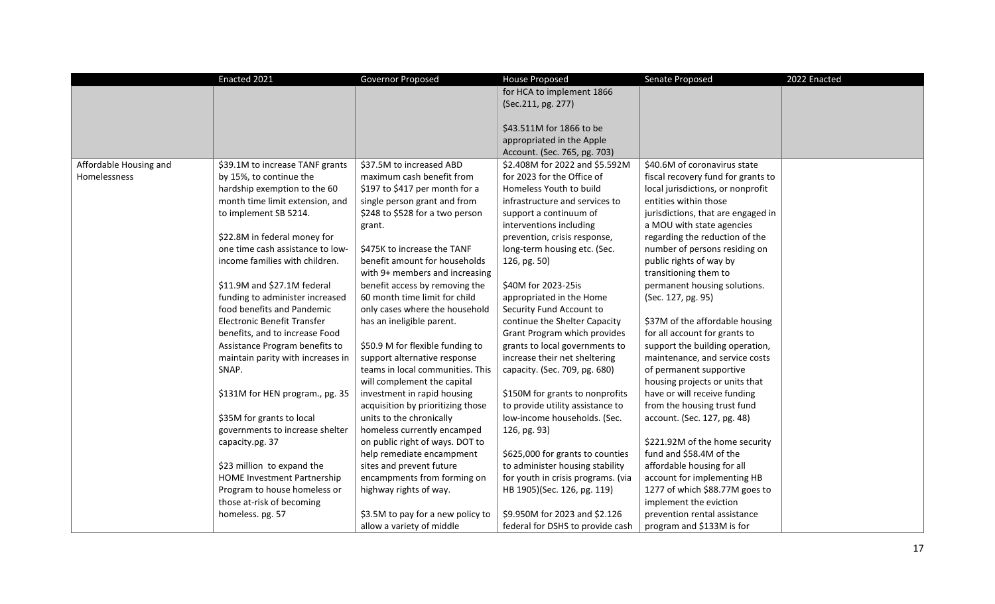|                        | Enacted 2021                       | Governor Proposed                 | <b>House Proposed</b>              | Senate Proposed                    | 2022 Enacted |
|------------------------|------------------------------------|-----------------------------------|------------------------------------|------------------------------------|--------------|
|                        |                                    |                                   | for HCA to implement 1866          |                                    |              |
|                        |                                    |                                   | (Sec.211, pg. 277)                 |                                    |              |
|                        |                                    |                                   |                                    |                                    |              |
|                        |                                    |                                   | \$43.511M for 1866 to be           |                                    |              |
|                        |                                    |                                   | appropriated in the Apple          |                                    |              |
|                        |                                    |                                   | Account. (Sec. 765, pg. 703)       |                                    |              |
| Affordable Housing and | \$39.1M to increase TANF grants    | \$37.5M to increased ABD          | \$2.408M for 2022 and \$5.592M     | \$40.6M of coronavirus state       |              |
| Homelessness           | by 15%, to continue the            | maximum cash benefit from         | for 2023 for the Office of         | fiscal recovery fund for grants to |              |
|                        | hardship exemption to the 60       | \$197 to \$417 per month for a    | Homeless Youth to build            | local jurisdictions, or nonprofit  |              |
|                        | month time limit extension, and    | single person grant and from      | infrastructure and services to     | entities within those              |              |
|                        | to implement SB 5214.              | \$248 to \$528 for a two person   | support a continuum of             | jurisdictions, that are engaged in |              |
|                        |                                    | grant.                            | interventions including            | a MOU with state agencies          |              |
|                        | \$22.8M in federal money for       |                                   | prevention, crisis response,       | regarding the reduction of the     |              |
|                        | one time cash assistance to low-   | \$475K to increase the TANF       | long-term housing etc. (Sec.       | number of persons residing on      |              |
|                        | income families with children.     | benefit amount for households     | 126, pg. 50)                       | public rights of way by            |              |
|                        |                                    | with 9+ members and increasing    |                                    | transitioning them to              |              |
|                        | \$11.9M and \$27.1M federal        | benefit access by removing the    | \$40M for 2023-25is                | permanent housing solutions.       |              |
|                        | funding to administer increased    | 60 month time limit for child     | appropriated in the Home           | (Sec. 127, pg. 95)                 |              |
|                        | food benefits and Pandemic         | only cases where the household    | Security Fund Account to           |                                    |              |
|                        | Electronic Benefit Transfer        | has an ineligible parent.         | continue the Shelter Capacity      | \$37M of the affordable housing    |              |
|                        | benefits, and to increase Food     |                                   | Grant Program which provides       | for all account for grants to      |              |
|                        | Assistance Program benefits to     | \$50.9 M for flexible funding to  | grants to local governments to     | support the building operation,    |              |
|                        | maintain parity with increases in  | support alternative response      | increase their net sheltering      | maintenance, and service costs     |              |
|                        | SNAP.                              | teams in local communities. This  | capacity. (Sec. 709, pg. 680)      | of permanent supportive            |              |
|                        |                                    | will complement the capital       |                                    | housing projects or units that     |              |
|                        | \$131M for HEN program., pg. 35    | investment in rapid housing       | \$150M for grants to nonprofits    | have or will receive funding       |              |
|                        |                                    | acquisition by prioritizing those | to provide utility assistance to   | from the housing trust fund        |              |
|                        | \$35M for grants to local          | units to the chronically          | low-income households. (Sec.       | account. (Sec. 127, pg. 48)        |              |
|                        | governments to increase shelter    | homeless currently encamped       | 126, pg. 93)                       |                                    |              |
|                        | capacity.pg. 37                    | on public right of ways. DOT to   |                                    | \$221.92M of the home security     |              |
|                        |                                    | help remediate encampment         | \$625,000 for grants to counties   | fund and \$58.4M of the            |              |
|                        | \$23 million to expand the         | sites and prevent future          | to administer housing stability    | affordable housing for all         |              |
|                        | <b>HOME Investment Partnership</b> | encampments from forming on       | for youth in crisis programs. (via | account for implementing HB        |              |
|                        | Program to house homeless or       | highway rights of way.            | HB 1905)(Sec. 126, pg. 119)        | 1277 of which \$88.77M goes to     |              |
|                        | those at-risk of becoming          |                                   |                                    | implement the eviction             |              |
|                        | homeless. pg. 57                   | \$3.5M to pay for a new policy to | \$9.950M for 2023 and \$2.126      | prevention rental assistance       |              |
|                        |                                    | allow a variety of middle         | federal for DSHS to provide cash   | program and \$133M is for          |              |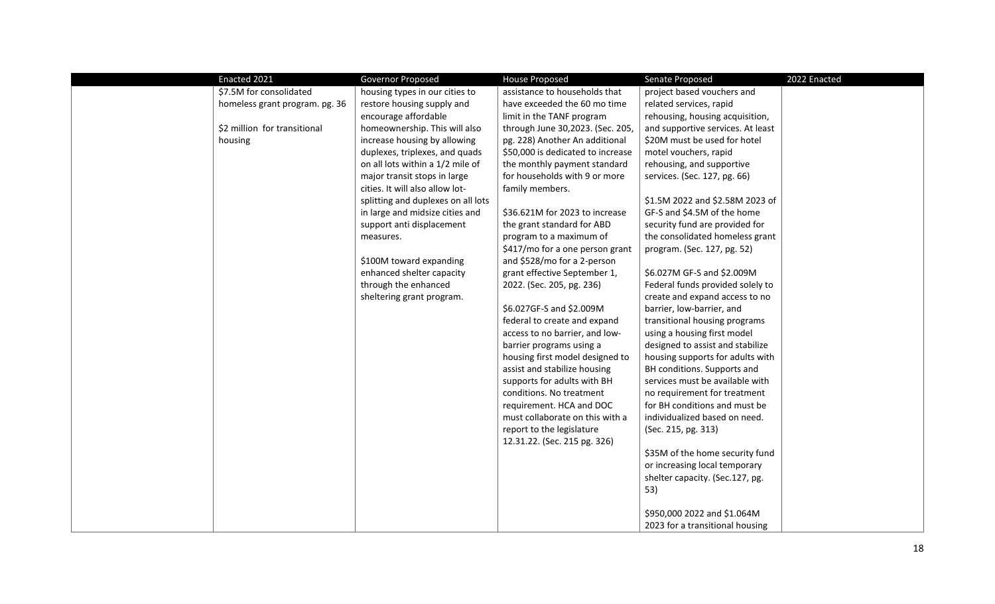| Enacted 2021                   | <b>Governor Proposed</b>           | <b>House Proposed</b>             | Senate Proposed                   | 2022 Enacted |
|--------------------------------|------------------------------------|-----------------------------------|-----------------------------------|--------------|
| \$7.5M for consolidated        | housing types in our cities to     | assistance to households that     | project based vouchers and        |              |
| homeless grant program. pg. 36 | restore housing supply and         | have exceeded the 60 mo time      | related services, rapid           |              |
|                                | encourage affordable               | limit in the TANF program         | rehousing, housing acquisition,   |              |
| \$2 million for transitional   | homeownership. This will also      | through June 30,2023. (Sec. 205,  | and supportive services. At least |              |
| housing                        | increase housing by allowing       | pg. 228) Another An additional    | \$20M must be used for hotel      |              |
|                                | duplexes, triplexes, and quads     | \$50,000 is dedicated to increase | motel vouchers, rapid             |              |
|                                | on all lots within a 1/2 mile of   | the monthly payment standard      | rehousing, and supportive         |              |
|                                | major transit stops in large       | for households with 9 or more     | services. (Sec. 127, pg. 66)      |              |
|                                | cities. It will also allow lot-    | family members.                   |                                   |              |
|                                | splitting and duplexes on all lots |                                   | \$1.5M 2022 and \$2.58M 2023 of   |              |
|                                | in large and midsize cities and    | \$36.621M for 2023 to increase    | GF-S and \$4.5M of the home       |              |
|                                | support anti displacement          | the grant standard for ABD        | security fund are provided for    |              |
|                                | measures.                          | program to a maximum of           | the consolidated homeless grant   |              |
|                                |                                    | \$417/mo for a one person grant   | program. (Sec. 127, pg. 52)       |              |
|                                | \$100M toward expanding            | and \$528/mo for a 2-person       |                                   |              |
|                                | enhanced shelter capacity          | grant effective September 1,      | \$6.027M GF-S and \$2.009M        |              |
|                                | through the enhanced               | 2022. (Sec. 205, pg. 236)         | Federal funds provided solely to  |              |
|                                | sheltering grant program.          |                                   | create and expand access to no    |              |
|                                |                                    | \$6.027GF-S and \$2.009M          | barrier, low-barrier, and         |              |
|                                |                                    | federal to create and expand      | transitional housing programs     |              |
|                                |                                    | access to no barrier, and low-    | using a housing first model       |              |
|                                |                                    | barrier programs using a          | designed to assist and stabilize  |              |
|                                |                                    | housing first model designed to   | housing supports for adults with  |              |
|                                |                                    | assist and stabilize housing      | BH conditions. Supports and       |              |
|                                |                                    | supports for adults with BH       | services must be available with   |              |
|                                |                                    | conditions. No treatment          | no requirement for treatment      |              |
|                                |                                    | requirement. HCA and DOC          | for BH conditions and must be     |              |
|                                |                                    | must collaborate on this with a   | individualized based on need.     |              |
|                                |                                    | report to the legislature         | (Sec. 215, pg. 313)               |              |
|                                |                                    | 12.31.22. (Sec. 215 pg. 326)      |                                   |              |
|                                |                                    |                                   | \$35M of the home security fund   |              |
|                                |                                    |                                   | or increasing local temporary     |              |
|                                |                                    |                                   | shelter capacity. (Sec.127, pg.   |              |
|                                |                                    |                                   | 53)                               |              |
|                                |                                    |                                   |                                   |              |
|                                |                                    |                                   | \$950,000 2022 and \$1.064M       |              |
|                                |                                    |                                   | 2023 for a transitional housing   |              |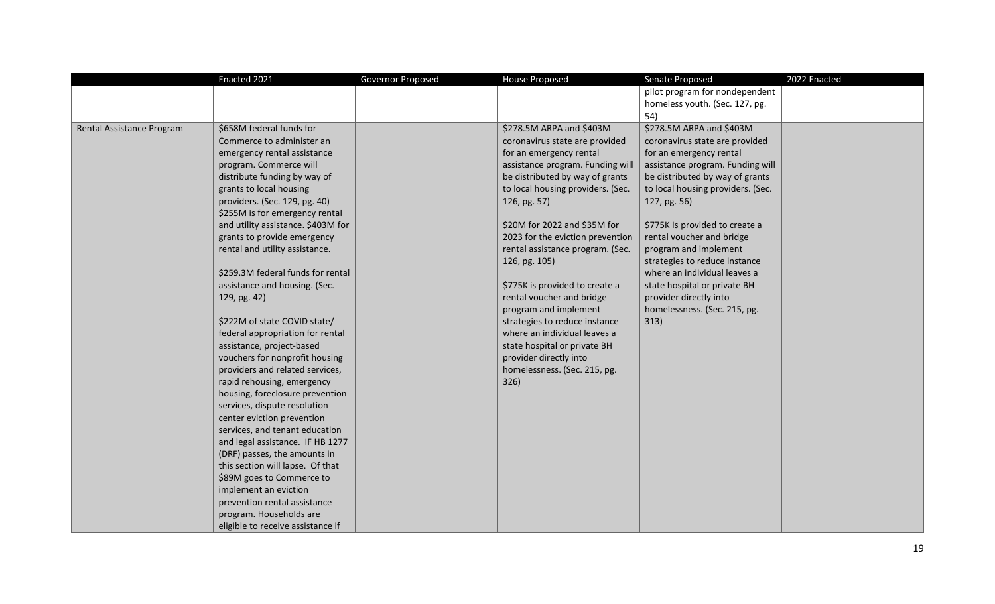|                           | Enacted 2021                       | Governor Proposed | <b>House Proposed</b>             | Senate Proposed                   | 2022 Enacted |
|---------------------------|------------------------------------|-------------------|-----------------------------------|-----------------------------------|--------------|
|                           |                                    |                   |                                   | pilot program for nondependent    |              |
|                           |                                    |                   |                                   | homeless youth. (Sec. 127, pg.    |              |
|                           |                                    |                   |                                   | 54)                               |              |
| Rental Assistance Program | \$658M federal funds for           |                   | \$278.5M ARPA and \$403M          | \$278.5M ARPA and \$403M          |              |
|                           | Commerce to administer an          |                   | coronavirus state are provided    | coronavirus state are provided    |              |
|                           | emergency rental assistance        |                   | for an emergency rental           | for an emergency rental           |              |
|                           | program. Commerce will             |                   | assistance program. Funding will  | assistance program. Funding will  |              |
|                           | distribute funding by way of       |                   | be distributed by way of grants   | be distributed by way of grants   |              |
|                           | grants to local housing            |                   | to local housing providers. (Sec. | to local housing providers. (Sec. |              |
|                           | providers. (Sec. 129, pg. 40)      |                   | 126, pg. 57)                      | 127, pg. 56)                      |              |
|                           | \$255M is for emergency rental     |                   |                                   |                                   |              |
|                           | and utility assistance. \$403M for |                   | \$20M for 2022 and \$35M for      | \$775K Is provided to create a    |              |
|                           | grants to provide emergency        |                   | 2023 for the eviction prevention  | rental voucher and bridge         |              |
|                           | rental and utility assistance.     |                   | rental assistance program. (Sec.  | program and implement             |              |
|                           |                                    |                   | 126, pg. 105)                     | strategies to reduce instance     |              |
|                           | \$259.3M federal funds for rental  |                   |                                   | where an individual leaves a      |              |
|                           | assistance and housing. (Sec.      |                   | \$775K is provided to create a    | state hospital or private BH      |              |
|                           | 129, pg. 42)                       |                   | rental voucher and bridge         | provider directly into            |              |
|                           |                                    |                   | program and implement             | homelessness. (Sec. 215, pg.      |              |
|                           | \$222M of state COVID state/       |                   | strategies to reduce instance     | 313)                              |              |
|                           | federal appropriation for rental   |                   | where an individual leaves a      |                                   |              |
|                           | assistance, project-based          |                   | state hospital or private BH      |                                   |              |
|                           | vouchers for nonprofit housing     |                   | provider directly into            |                                   |              |
|                           | providers and related services,    |                   | homelessness. (Sec. 215, pg.      |                                   |              |
|                           | rapid rehousing, emergency         |                   | 326)                              |                                   |              |
|                           | housing, foreclosure prevention    |                   |                                   |                                   |              |
|                           | services, dispute resolution       |                   |                                   |                                   |              |
|                           | center eviction prevention         |                   |                                   |                                   |              |
|                           | services, and tenant education     |                   |                                   |                                   |              |
|                           | and legal assistance. IF HB 1277   |                   |                                   |                                   |              |
|                           | (DRF) passes, the amounts in       |                   |                                   |                                   |              |
|                           | this section will lapse. Of that   |                   |                                   |                                   |              |
|                           | \$89M goes to Commerce to          |                   |                                   |                                   |              |
|                           | implement an eviction              |                   |                                   |                                   |              |
|                           | prevention rental assistance       |                   |                                   |                                   |              |
|                           | program. Households are            |                   |                                   |                                   |              |
|                           | eligible to receive assistance if  |                   |                                   |                                   |              |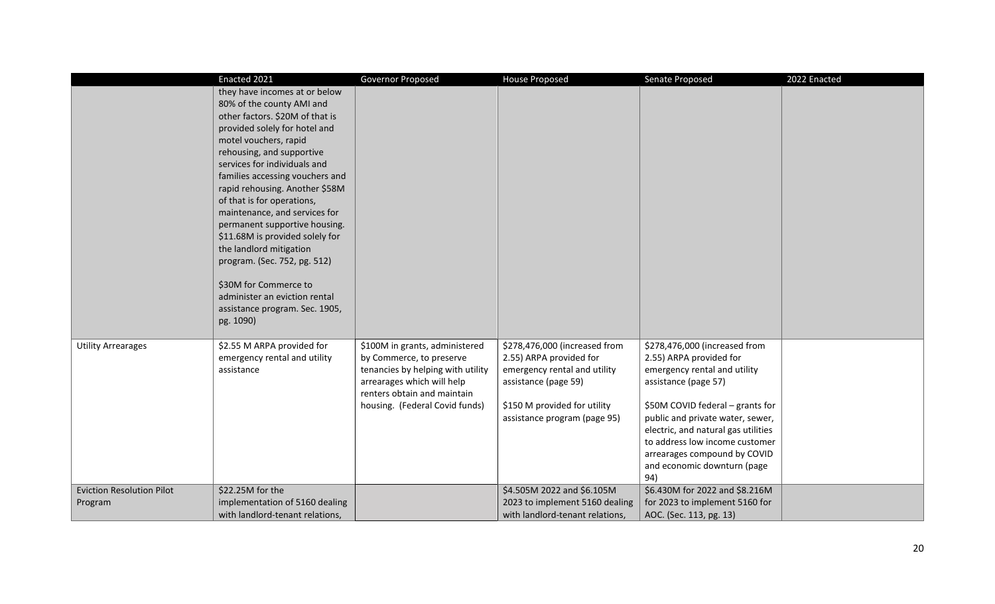|                                             | Enacted 2021                                                                                                                                                                                                                                                                                                                                                                                                                                                                                                                                                                                     | Governor Proposed                                                                                                                                                                              | <b>House Proposed</b>                                                                                                                                                            | Senate Proposed                                                                                                                                                                                                                                                                                                                         | 2022 Enacted |
|---------------------------------------------|--------------------------------------------------------------------------------------------------------------------------------------------------------------------------------------------------------------------------------------------------------------------------------------------------------------------------------------------------------------------------------------------------------------------------------------------------------------------------------------------------------------------------------------------------------------------------------------------------|------------------------------------------------------------------------------------------------------------------------------------------------------------------------------------------------|----------------------------------------------------------------------------------------------------------------------------------------------------------------------------------|-----------------------------------------------------------------------------------------------------------------------------------------------------------------------------------------------------------------------------------------------------------------------------------------------------------------------------------------|--------------|
|                                             | they have incomes at or below<br>80% of the county AMI and<br>other factors. \$20M of that is<br>provided solely for hotel and<br>motel vouchers, rapid<br>rehousing, and supportive<br>services for individuals and<br>families accessing vouchers and<br>rapid rehousing. Another \$58M<br>of that is for operations,<br>maintenance, and services for<br>permanent supportive housing.<br>\$11.68M is provided solely for<br>the landlord mitigation<br>program. (Sec. 752, pg. 512)<br>\$30M for Commerce to<br>administer an eviction rental<br>assistance program. Sec. 1905,<br>pg. 1090) |                                                                                                                                                                                                |                                                                                                                                                                                  |                                                                                                                                                                                                                                                                                                                                         |              |
| <b>Utility Arrearages</b>                   | \$2.55 M ARPA provided for<br>emergency rental and utility<br>assistance                                                                                                                                                                                                                                                                                                                                                                                                                                                                                                                         | \$100M in grants, administered<br>by Commerce, to preserve<br>tenancies by helping with utility<br>arrearages which will help<br>renters obtain and maintain<br>housing. (Federal Covid funds) | \$278,476,000 (increased from<br>2.55) ARPA provided for<br>emergency rental and utility<br>assistance (page 59)<br>\$150 M provided for utility<br>assistance program (page 95) | \$278,476,000 (increased from<br>2.55) ARPA provided for<br>emergency rental and utility<br>assistance (page 57)<br>\$50M COVID federal - grants for<br>public and private water, sewer,<br>electric, and natural gas utilities<br>to address low income customer<br>arrearages compound by COVID<br>and economic downturn (page<br>94) |              |
| <b>Eviction Resolution Pilot</b><br>Program | \$22.25M for the<br>implementation of 5160 dealing<br>with landlord-tenant relations,                                                                                                                                                                                                                                                                                                                                                                                                                                                                                                            |                                                                                                                                                                                                | \$4.505M 2022 and \$6.105M<br>2023 to implement 5160 dealing<br>with landlord-tenant relations,                                                                                  | \$6.430M for 2022 and \$8.216M<br>for 2023 to implement 5160 for<br>AOC. (Sec. 113, pg. 13)                                                                                                                                                                                                                                             |              |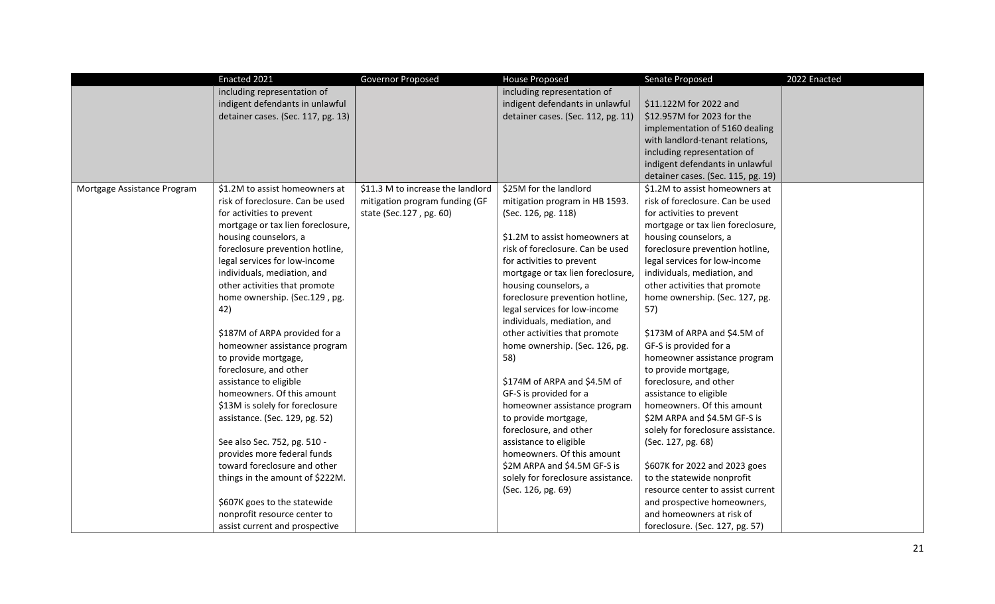|                             | Enacted 2021                       | Governor Proposed                 | <b>House Proposed</b>              | Senate Proposed                    | 2022 Enacted |
|-----------------------------|------------------------------------|-----------------------------------|------------------------------------|------------------------------------|--------------|
|                             | including representation of        |                                   | including representation of        |                                    |              |
|                             | indigent defendants in unlawful    |                                   | indigent defendants in unlawful    | \$11.122M for 2022 and             |              |
|                             | detainer cases. (Sec. 117, pg. 13) |                                   | detainer cases. (Sec. 112, pg. 11) | \$12.957M for 2023 for the         |              |
|                             |                                    |                                   |                                    | implementation of 5160 dealing     |              |
|                             |                                    |                                   |                                    | with landlord-tenant relations,    |              |
|                             |                                    |                                   |                                    | including representation of        |              |
|                             |                                    |                                   |                                    | indigent defendants in unlawful    |              |
|                             |                                    |                                   |                                    | detainer cases. (Sec. 115, pg. 19) |              |
| Mortgage Assistance Program | \$1.2M to assist homeowners at     | \$11.3 M to increase the landlord | \$25M for the landlord             | \$1.2M to assist homeowners at     |              |
|                             | risk of foreclosure. Can be used   | mitigation program funding (GF    | mitigation program in HB 1593.     | risk of foreclosure. Can be used   |              |
|                             | for activities to prevent          | state (Sec.127, pg. 60)           | (Sec. 126, pg. 118)                | for activities to prevent          |              |
|                             | mortgage or tax lien foreclosure,  |                                   |                                    | mortgage or tax lien foreclosure,  |              |
|                             | housing counselors, a              |                                   | \$1.2M to assist homeowners at     | housing counselors, a              |              |
|                             | foreclosure prevention hotline,    |                                   | risk of foreclosure. Can be used   | foreclosure prevention hotline,    |              |
|                             | legal services for low-income      |                                   | for activities to prevent          | legal services for low-income      |              |
|                             | individuals, mediation, and        |                                   | mortgage or tax lien foreclosure,  | individuals, mediation, and        |              |
|                             | other activities that promote      |                                   | housing counselors, a              | other activities that promote      |              |
|                             | home ownership. (Sec.129, pg.      |                                   | foreclosure prevention hotline,    | home ownership. (Sec. 127, pg.     |              |
|                             | 42)                                |                                   | legal services for low-income      | 57)                                |              |
|                             |                                    |                                   | individuals, mediation, and        |                                    |              |
|                             | \$187M of ARPA provided for a      |                                   | other activities that promote      | \$173M of ARPA and \$4.5M of       |              |
|                             | homeowner assistance program       |                                   | home ownership. (Sec. 126, pg.     | GF-S is provided for a             |              |
|                             | to provide mortgage,               |                                   | 58)                                | homeowner assistance program       |              |
|                             | foreclosure, and other             |                                   |                                    | to provide mortgage,               |              |
|                             | assistance to eligible             |                                   | \$174M of ARPA and \$4.5M of       | foreclosure, and other             |              |
|                             | homeowners. Of this amount         |                                   | GF-S is provided for a             | assistance to eligible             |              |
|                             | \$13M is solely for foreclosure    |                                   | homeowner assistance program       | homeowners. Of this amount         |              |
|                             | assistance. (Sec. 129, pg. 52)     |                                   | to provide mortgage,               | \$2M ARPA and \$4.5M GF-S is       |              |
|                             |                                    |                                   | foreclosure, and other             | solely for foreclosure assistance. |              |
|                             | See also Sec. 752, pg. 510 -       |                                   | assistance to eligible             | (Sec. 127, pg. 68)                 |              |
|                             | provides more federal funds        |                                   | homeowners. Of this amount         |                                    |              |
|                             | toward foreclosure and other       |                                   | \$2M ARPA and \$4.5M GF-S is       | \$607K for 2022 and 2023 goes      |              |
|                             | things in the amount of \$222M.    |                                   | solely for foreclosure assistance. | to the statewide nonprofit         |              |
|                             |                                    |                                   | (Sec. 126, pg. 69)                 | resource center to assist current  |              |
|                             | \$607K goes to the statewide       |                                   |                                    | and prospective homeowners,        |              |
|                             | nonprofit resource center to       |                                   |                                    | and homeowners at risk of          |              |
|                             | assist current and prospective     |                                   |                                    | foreclosure. (Sec. 127, pg. 57)    |              |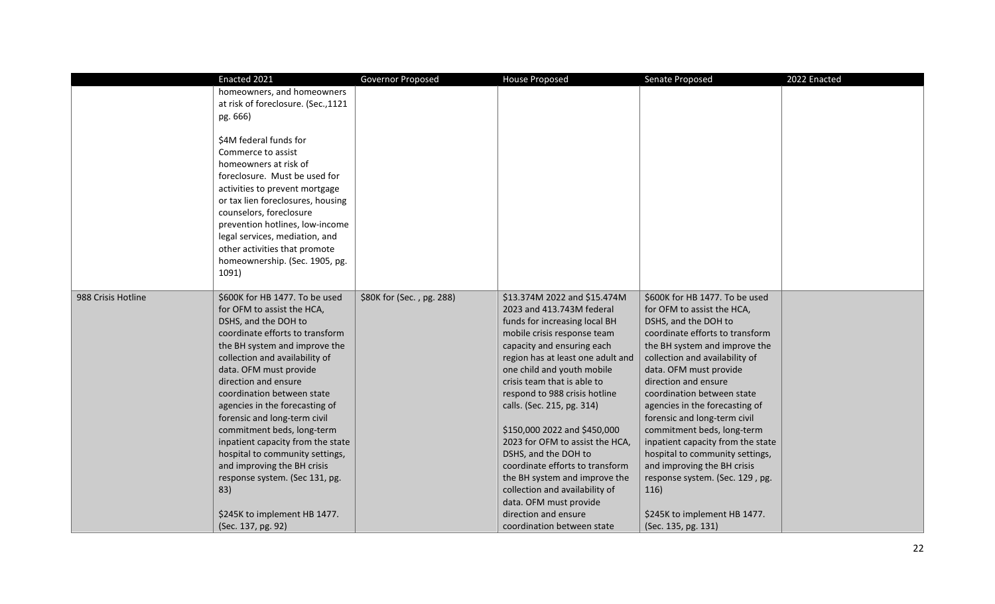|                    | Enacted 2021                                                   | Governor Proposed         | <b>House Proposed</b>             | Senate Proposed                                                | 2022 Enacted |
|--------------------|----------------------------------------------------------------|---------------------------|-----------------------------------|----------------------------------------------------------------|--------------|
|                    | homeowners, and homeowners                                     |                           |                                   |                                                                |              |
|                    | at risk of foreclosure. (Sec., 1121                            |                           |                                   |                                                                |              |
|                    | pg. 666)                                                       |                           |                                   |                                                                |              |
|                    |                                                                |                           |                                   |                                                                |              |
|                    | \$4M federal funds for                                         |                           |                                   |                                                                |              |
|                    | Commerce to assist                                             |                           |                                   |                                                                |              |
|                    | homeowners at risk of                                          |                           |                                   |                                                                |              |
|                    | foreclosure. Must be used for                                  |                           |                                   |                                                                |              |
|                    | activities to prevent mortgage                                 |                           |                                   |                                                                |              |
|                    | or tax lien foreclosures, housing                              |                           |                                   |                                                                |              |
|                    | counselors, foreclosure                                        |                           |                                   |                                                                |              |
|                    | prevention hotlines, low-income                                |                           |                                   |                                                                |              |
|                    | legal services, mediation, and                                 |                           |                                   |                                                                |              |
|                    | other activities that promote                                  |                           |                                   |                                                                |              |
|                    | homeownership. (Sec. 1905, pg.                                 |                           |                                   |                                                                |              |
|                    | 1091)                                                          |                           |                                   |                                                                |              |
|                    |                                                                |                           |                                   |                                                                |              |
| 988 Crisis Hotline | \$600K for HB 1477. To be used                                 | \$80K for (Sec., pg. 288) | \$13.374M 2022 and \$15.474M      | \$600K for HB 1477. To be used                                 |              |
|                    | for OFM to assist the HCA,                                     |                           | 2023 and 413.743M federal         | for OFM to assist the HCA,                                     |              |
|                    | DSHS, and the DOH to                                           |                           | funds for increasing local BH     | DSHS, and the DOH to                                           |              |
|                    | coordinate efforts to transform                                |                           | mobile crisis response team       | coordinate efforts to transform                                |              |
|                    | the BH system and improve the                                  |                           | capacity and ensuring each        | the BH system and improve the                                  |              |
|                    | collection and availability of                                 |                           | region has at least one adult and | collection and availability of                                 |              |
|                    | data. OFM must provide                                         |                           | one child and youth mobile        | data. OFM must provide                                         |              |
|                    | direction and ensure                                           |                           | crisis team that is able to       | direction and ensure                                           |              |
|                    | coordination between state                                     |                           | respond to 988 crisis hotline     | coordination between state                                     |              |
|                    | agencies in the forecasting of<br>forensic and long-term civil |                           | calls. (Sec. 215, pg. 314)        | agencies in the forecasting of<br>forensic and long-term civil |              |
|                    | commitment beds, long-term                                     |                           | \$150,000 2022 and \$450,000      | commitment beds, long-term                                     |              |
|                    | inpatient capacity from the state                              |                           | 2023 for OFM to assist the HCA,   | inpatient capacity from the state                              |              |
|                    | hospital to community settings,                                |                           | DSHS, and the DOH to              | hospital to community settings,                                |              |
|                    | and improving the BH crisis                                    |                           | coordinate efforts to transform   | and improving the BH crisis                                    |              |
|                    | response system. (Sec 131, pg.                                 |                           | the BH system and improve the     | response system. (Sec. 129, pg.                                |              |
|                    | 83)                                                            |                           | collection and availability of    | 116)                                                           |              |
|                    |                                                                |                           | data. OFM must provide            |                                                                |              |
|                    | \$245K to implement HB 1477.                                   |                           | direction and ensure              | \$245K to implement HB 1477.                                   |              |
|                    | (Sec. 137, pg. 92)                                             |                           | coordination between state        | (Sec. 135, pg. 131)                                            |              |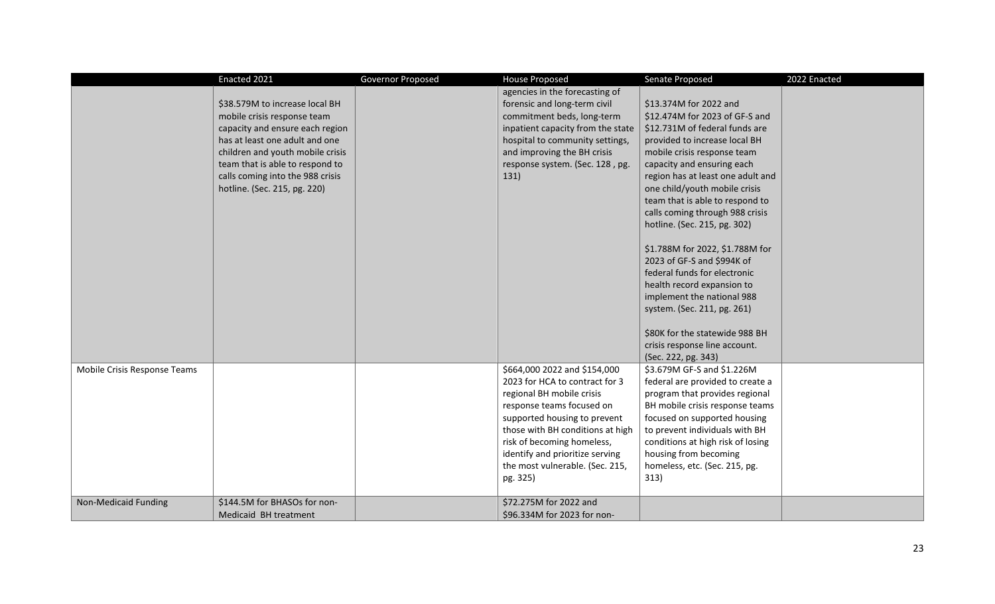|                              | Enacted 2021                                                                                                                                                                                                                                                                  | Governor Proposed | <b>House Proposed</b>                                                                                                                                                                                                                                                                                        | Senate Proposed                                                                                                                                                                                                                                                                                                                                                                                                                                                                                                                                                                                                                                            | 2022 Enacted |
|------------------------------|-------------------------------------------------------------------------------------------------------------------------------------------------------------------------------------------------------------------------------------------------------------------------------|-------------------|--------------------------------------------------------------------------------------------------------------------------------------------------------------------------------------------------------------------------------------------------------------------------------------------------------------|------------------------------------------------------------------------------------------------------------------------------------------------------------------------------------------------------------------------------------------------------------------------------------------------------------------------------------------------------------------------------------------------------------------------------------------------------------------------------------------------------------------------------------------------------------------------------------------------------------------------------------------------------------|--------------|
|                              | \$38.579M to increase local BH<br>mobile crisis response team<br>capacity and ensure each region<br>has at least one adult and one<br>children and youth mobile crisis<br>team that is able to respond to<br>calls coming into the 988 crisis<br>hotline. (Sec. 215, pg. 220) |                   | agencies in the forecasting of<br>forensic and long-term civil<br>commitment beds, long-term<br>inpatient capacity from the state<br>hospital to community settings,<br>and improving the BH crisis<br>response system. (Sec. 128, pg.<br>131)                                                               | \$13.374M for 2022 and<br>\$12.474M for 2023 of GF-S and<br>\$12.731M of federal funds are<br>provided to increase local BH<br>mobile crisis response team<br>capacity and ensuring each<br>region has at least one adult and<br>one child/youth mobile crisis<br>team that is able to respond to<br>calls coming through 988 crisis<br>hotline. (Sec. 215, pg. 302)<br>\$1.788M for 2022, \$1.788M for<br>2023 of GF-S and \$994K of<br>federal funds for electronic<br>health record expansion to<br>implement the national 988<br>system. (Sec. 211, pg. 261)<br>\$80K for the statewide 988 BH<br>crisis response line account.<br>(Sec. 222, pg. 343) |              |
| Mobile Crisis Response Teams |                                                                                                                                                                                                                                                                               |                   | \$664,000 2022 and \$154,000<br>2023 for HCA to contract for 3<br>regional BH mobile crisis<br>response teams focused on<br>supported housing to prevent<br>those with BH conditions at high<br>risk of becoming homeless,<br>identify and prioritize serving<br>the most vulnerable. (Sec. 215,<br>pg. 325) | \$3.679M GF-S and \$1.226M<br>federal are provided to create a<br>program that provides regional<br>BH mobile crisis response teams<br>focused on supported housing<br>to prevent individuals with BH<br>conditions at high risk of losing<br>housing from becoming<br>homeless, etc. (Sec. 215, pg.<br>313)                                                                                                                                                                                                                                                                                                                                               |              |
| Non-Medicaid Funding         | \$144.5M for BHASOs for non-<br>Medicaid BH treatment                                                                                                                                                                                                                         |                   | \$72.275M for 2022 and<br>\$96.334M for 2023 for non-                                                                                                                                                                                                                                                        |                                                                                                                                                                                                                                                                                                                                                                                                                                                                                                                                                                                                                                                            |              |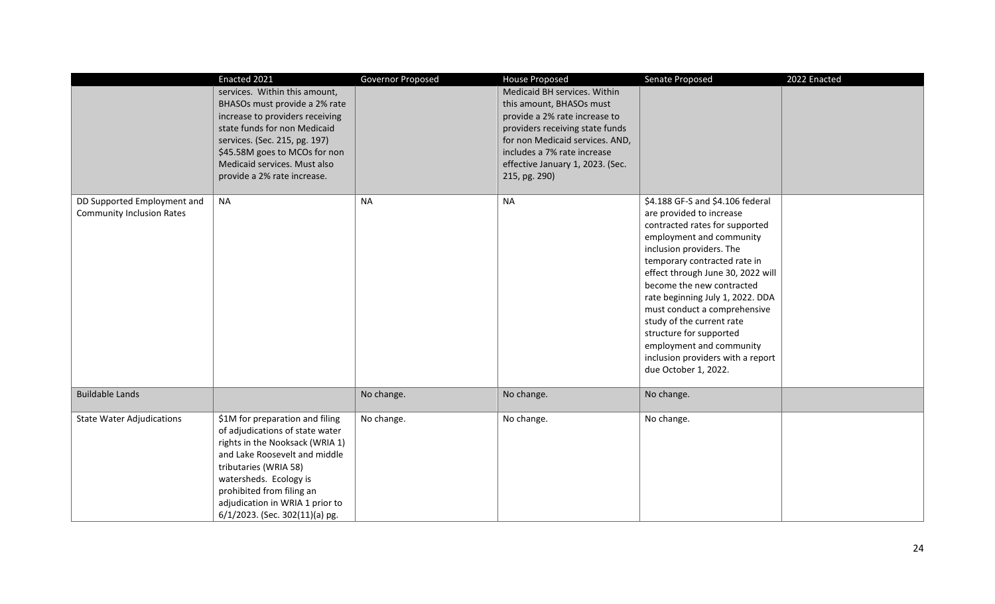|                                  | Enacted 2021                    | Governor Proposed | <b>House Proposed</b>            | Senate Proposed                                                   | 2022 Enacted |
|----------------------------------|---------------------------------|-------------------|----------------------------------|-------------------------------------------------------------------|--------------|
|                                  | services. Within this amount,   |                   | Medicaid BH services. Within     |                                                                   |              |
|                                  | BHASOs must provide a 2% rate   |                   | this amount, BHASOs must         |                                                                   |              |
|                                  | increase to providers receiving |                   | provide a 2% rate increase to    |                                                                   |              |
|                                  | state funds for non Medicaid    |                   | providers receiving state funds  |                                                                   |              |
|                                  | services. (Sec. 215, pg. 197)   |                   | for non Medicaid services. AND,  |                                                                   |              |
|                                  | \$45.58M goes to MCOs for non   |                   | includes a 7% rate increase      |                                                                   |              |
|                                  | Medicaid services. Must also    |                   | effective January 1, 2023. (Sec. |                                                                   |              |
|                                  | provide a 2% rate increase.     |                   | 215, pg. 290)                    |                                                                   |              |
|                                  |                                 | <b>NA</b>         |                                  |                                                                   |              |
| DD Supported Employment and      | <b>NA</b>                       |                   | <b>NA</b>                        | \$4.188 GF-S and \$4.106 federal                                  |              |
| <b>Community Inclusion Rates</b> |                                 |                   |                                  | are provided to increase                                          |              |
|                                  |                                 |                   |                                  | contracted rates for supported                                    |              |
|                                  |                                 |                   |                                  | employment and community                                          |              |
|                                  |                                 |                   |                                  | inclusion providers. The                                          |              |
|                                  |                                 |                   |                                  | temporary contracted rate in<br>effect through June 30, 2022 will |              |
|                                  |                                 |                   |                                  | become the new contracted                                         |              |
|                                  |                                 |                   |                                  | rate beginning July 1, 2022. DDA                                  |              |
|                                  |                                 |                   |                                  | must conduct a comprehensive                                      |              |
|                                  |                                 |                   |                                  | study of the current rate                                         |              |
|                                  |                                 |                   |                                  | structure for supported                                           |              |
|                                  |                                 |                   |                                  | employment and community                                          |              |
|                                  |                                 |                   |                                  |                                                                   |              |
|                                  |                                 |                   |                                  | inclusion providers with a report                                 |              |
|                                  |                                 |                   |                                  | due October 1, 2022.                                              |              |
| <b>Buildable Lands</b>           |                                 | No change.        | No change.                       | No change.                                                        |              |
| <b>State Water Adjudications</b> | \$1M for preparation and filing | No change.        | No change.                       | No change.                                                        |              |
|                                  | of adjudications of state water |                   |                                  |                                                                   |              |
|                                  | rights in the Nooksack (WRIA 1) |                   |                                  |                                                                   |              |
|                                  | and Lake Roosevelt and middle   |                   |                                  |                                                                   |              |
|                                  | tributaries (WRIA 58)           |                   |                                  |                                                                   |              |
|                                  | watersheds. Ecology is          |                   |                                  |                                                                   |              |
|                                  | prohibited from filing an       |                   |                                  |                                                                   |              |
|                                  | adjudication in WRIA 1 prior to |                   |                                  |                                                                   |              |
|                                  | 6/1/2023. (Sec. 302(11)(a) pg.  |                   |                                  |                                                                   |              |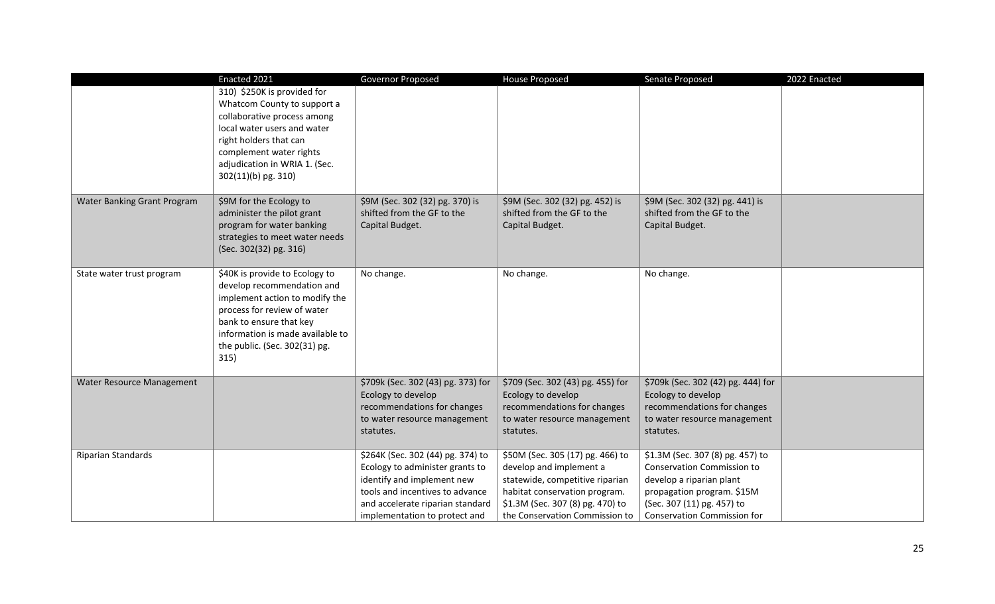|                             | Enacted 2021                                                | Governor Proposed                                                   | <b>House Proposed</b>                                             | Senate Proposed                                             | 2022 Enacted |
|-----------------------------|-------------------------------------------------------------|---------------------------------------------------------------------|-------------------------------------------------------------------|-------------------------------------------------------------|--------------|
|                             | 310) \$250K is provided for<br>Whatcom County to support a  |                                                                     |                                                                   |                                                             |              |
|                             | collaborative process among                                 |                                                                     |                                                                   |                                                             |              |
|                             | local water users and water                                 |                                                                     |                                                                   |                                                             |              |
|                             | right holders that can                                      |                                                                     |                                                                   |                                                             |              |
|                             | complement water rights                                     |                                                                     |                                                                   |                                                             |              |
|                             | adjudication in WRIA 1. (Sec.                               |                                                                     |                                                                   |                                                             |              |
|                             | 302(11)(b) pg. 310)                                         |                                                                     |                                                                   |                                                             |              |
| Water Banking Grant Program | \$9M for the Ecology to                                     | \$9M (Sec. 302 (32) pg. 370) is                                     | \$9M (Sec. 302 (32) pg. 452) is                                   | \$9M (Sec. 302 (32) pg. 441) is                             |              |
|                             | administer the pilot grant                                  | shifted from the GF to the                                          | shifted from the GF to the                                        | shifted from the GF to the                                  |              |
|                             | program for water banking                                   | Capital Budget.                                                     | Capital Budget.                                                   | Capital Budget.                                             |              |
|                             | strategies to meet water needs                              |                                                                     |                                                                   |                                                             |              |
|                             | (Sec. 302(32) pg. 316)                                      |                                                                     |                                                                   |                                                             |              |
| State water trust program   | \$40K is provide to Ecology to                              | No change.                                                          | No change.                                                        | No change.                                                  |              |
|                             | develop recommendation and                                  |                                                                     |                                                                   |                                                             |              |
|                             | implement action to modify the                              |                                                                     |                                                                   |                                                             |              |
|                             | process for review of water                                 |                                                                     |                                                                   |                                                             |              |
|                             | bank to ensure that key<br>information is made available to |                                                                     |                                                                   |                                                             |              |
|                             | the public. (Sec. 302(31) pg.                               |                                                                     |                                                                   |                                                             |              |
|                             | 315)                                                        |                                                                     |                                                                   |                                                             |              |
|                             |                                                             |                                                                     |                                                                   |                                                             |              |
| Water Resource Management   |                                                             | \$709k (Sec. 302 (43) pg. 373) for                                  | \$709 (Sec. 302 (43) pg. 455) for                                 | \$709k (Sec. 302 (42) pg. 444) for                          |              |
|                             |                                                             | Ecology to develop                                                  | Ecology to develop                                                | Ecology to develop                                          |              |
|                             |                                                             | recommendations for changes                                         | recommendations for changes                                       | recommendations for changes<br>to water resource management |              |
|                             |                                                             | to water resource management<br>statutes.                           | to water resource management<br>statutes.                         | statutes.                                                   |              |
|                             |                                                             |                                                                     |                                                                   |                                                             |              |
| Riparian Standards          |                                                             | \$264K (Sec. 302 (44) pg. 374) to                                   | \$50M (Sec. 305 (17) pg. 466) to                                  | \$1.3M (Sec. 307 (8) pg. 457) to                            |              |
|                             |                                                             | Ecology to administer grants to                                     | develop and implement a                                           | <b>Conservation Commission to</b>                           |              |
|                             |                                                             | identify and implement new                                          | statewide, competitive riparian                                   | develop a riparian plant                                    |              |
|                             |                                                             | tools and incentives to advance<br>and accelerate riparian standard | habitat conservation program.<br>\$1.3M (Sec. 307 (8) pg. 470) to | propagation program. \$15M<br>(Sec. 307 (11) pg. 457) to    |              |
|                             |                                                             | implementation to protect and                                       | the Conservation Commission to                                    | <b>Conservation Commission for</b>                          |              |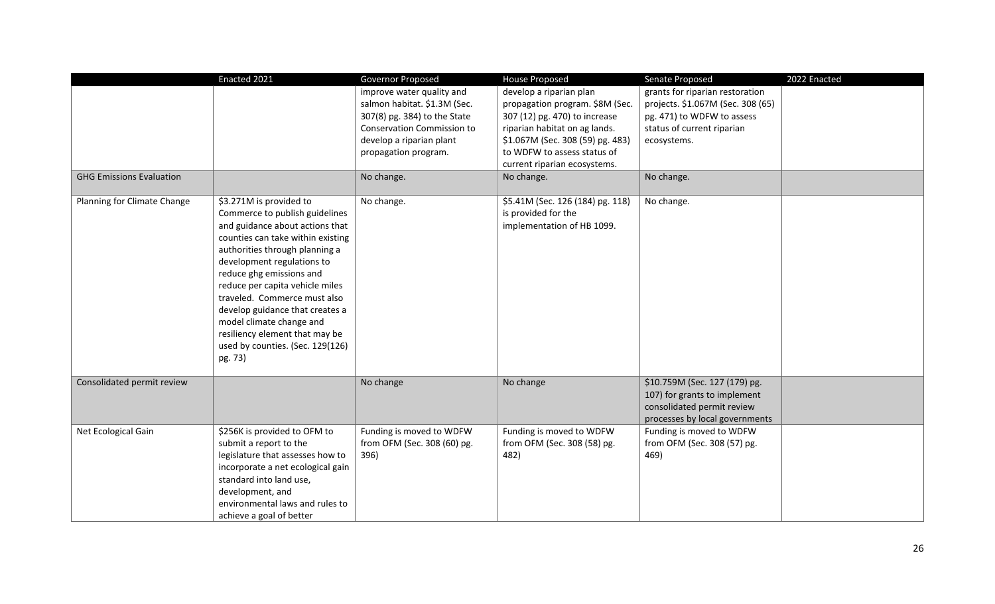|                                 | Enacted 2021                                                                                                                      | Governor Proposed                                         | <b>House Proposed</b>                                                                 | Senate Proposed                                                                                                               | 2022 Enacted |
|---------------------------------|-----------------------------------------------------------------------------------------------------------------------------------|-----------------------------------------------------------|---------------------------------------------------------------------------------------|-------------------------------------------------------------------------------------------------------------------------------|--------------|
|                                 |                                                                                                                                   | improve water quality and<br>salmon habitat. \$1.3M (Sec. | develop a riparian plan<br>propagation program. \$8M (Sec.                            | grants for riparian restoration<br>projects. \$1.067M (Sec. 308 (65)                                                          |              |
|                                 |                                                                                                                                   | 307(8) pg. 384) to the State                              | 307 (12) pg. 470) to increase                                                         | pg. 471) to WDFW to assess                                                                                                    |              |
|                                 |                                                                                                                                   | <b>Conservation Commission to</b>                         | riparian habitat on ag lands.                                                         | status of current riparian                                                                                                    |              |
|                                 |                                                                                                                                   | develop a riparian plant                                  | \$1.067M (Sec. 308 (59) pg. 483)                                                      | ecosystems.                                                                                                                   |              |
|                                 |                                                                                                                                   | propagation program.                                      | to WDFW to assess status of                                                           |                                                                                                                               |              |
|                                 |                                                                                                                                   |                                                           | current riparian ecosystems.                                                          |                                                                                                                               |              |
| <b>GHG Emissions Evaluation</b> |                                                                                                                                   | No change.                                                | No change.                                                                            | No change.                                                                                                                    |              |
| Planning for Climate Change     | \$3.271M is provided to<br>Commerce to publish guidelines<br>and guidance about actions that<br>counties can take within existing | No change.                                                | \$5.41M (Sec. 126 (184) pg. 118)<br>is provided for the<br>implementation of HB 1099. | No change.                                                                                                                    |              |
|                                 | authorities through planning a<br>development regulations to<br>reduce ghg emissions and                                          |                                                           |                                                                                       |                                                                                                                               |              |
|                                 | reduce per capita vehicle miles                                                                                                   |                                                           |                                                                                       |                                                                                                                               |              |
|                                 | traveled. Commerce must also<br>develop guidance that creates a                                                                   |                                                           |                                                                                       |                                                                                                                               |              |
|                                 | model climate change and                                                                                                          |                                                           |                                                                                       |                                                                                                                               |              |
|                                 | resiliency element that may be<br>used by counties. (Sec. 129(126)                                                                |                                                           |                                                                                       |                                                                                                                               |              |
|                                 | pg. 73)                                                                                                                           |                                                           |                                                                                       |                                                                                                                               |              |
| Consolidated permit review      |                                                                                                                                   | No change                                                 | No change                                                                             | \$10.759M (Sec. 127 (179) pg.<br>107) for grants to implement<br>consolidated permit review<br>processes by local governments |              |
| Net Ecological Gain             | \$256K is provided to OFM to                                                                                                      | Funding is moved to WDFW                                  | Funding is moved to WDFW                                                              | Funding is moved to WDFW                                                                                                      |              |
|                                 | submit a report to the                                                                                                            | from OFM (Sec. 308 (60) pg.                               | from OFM (Sec. 308 (58) pg.                                                           | from OFM (Sec. 308 (57) pg.                                                                                                   |              |
|                                 | legislature that assesses how to                                                                                                  | 396)                                                      | 482)                                                                                  | 469)                                                                                                                          |              |
|                                 | incorporate a net ecological gain                                                                                                 |                                                           |                                                                                       |                                                                                                                               |              |
|                                 | standard into land use,                                                                                                           |                                                           |                                                                                       |                                                                                                                               |              |
|                                 | development, and                                                                                                                  |                                                           |                                                                                       |                                                                                                                               |              |
|                                 | environmental laws and rules to                                                                                                   |                                                           |                                                                                       |                                                                                                                               |              |
|                                 | achieve a goal of better                                                                                                          |                                                           |                                                                                       |                                                                                                                               |              |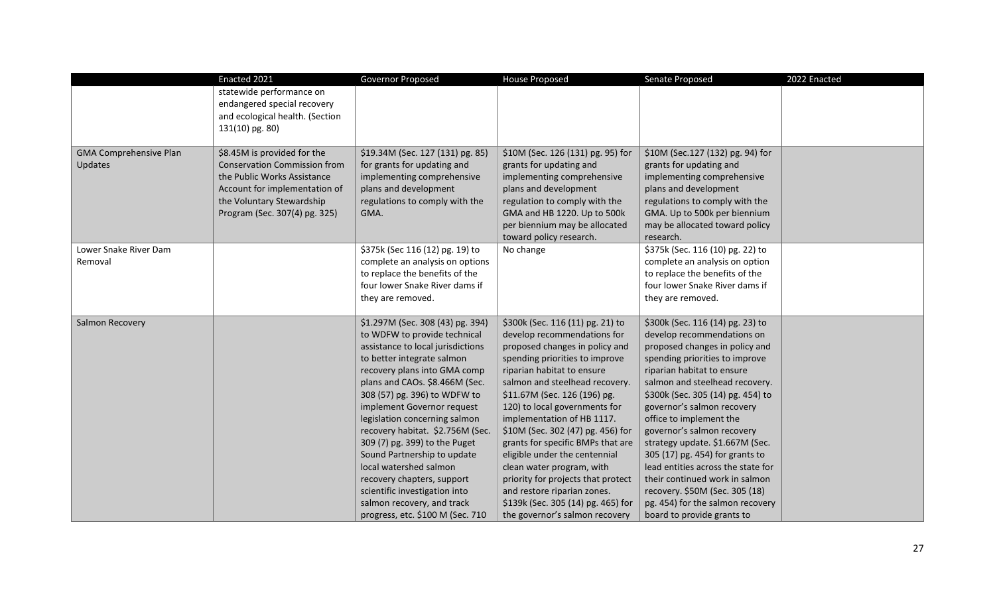|                               | Enacted 2021                        | Governor Proposed                 | <b>House Proposed</b>              | Senate Proposed                    | 2022 Enacted |
|-------------------------------|-------------------------------------|-----------------------------------|------------------------------------|------------------------------------|--------------|
|                               | statewide performance on            |                                   |                                    |                                    |              |
|                               | endangered special recovery         |                                   |                                    |                                    |              |
|                               | and ecological health. (Section     |                                   |                                    |                                    |              |
|                               | 131(10) pg. 80)                     |                                   |                                    |                                    |              |
|                               |                                     |                                   |                                    |                                    |              |
| <b>GMA Comprehensive Plan</b> | \$8.45M is provided for the         | \$19.34M (Sec. 127 (131) pg. 85)  | \$10M (Sec. 126 (131) pg. 95) for  | \$10M (Sec.127 (132) pg. 94) for   |              |
| Updates                       | <b>Conservation Commission from</b> | for grants for updating and       | grants for updating and            | grants for updating and            |              |
|                               | the Public Works Assistance         | implementing comprehensive        | implementing comprehensive         | implementing comprehensive         |              |
|                               | Account for implementation of       | plans and development             | plans and development              | plans and development              |              |
|                               | the Voluntary Stewardship           | regulations to comply with the    | regulation to comply with the      | regulations to comply with the     |              |
|                               | Program (Sec. 307(4) pg. 325)       | GMA.                              | GMA and HB 1220. Up to 500k        | GMA. Up to 500k per biennium       |              |
|                               |                                     |                                   | per biennium may be allocated      | may be allocated toward policy     |              |
|                               |                                     |                                   | toward policy research.            | research.                          |              |
| Lower Snake River Dam         |                                     | \$375k (Sec 116 (12) pg. 19) to   | No change                          | \$375k (Sec. 116 (10) pg. 22) to   |              |
| Removal                       |                                     | complete an analysis on options   |                                    | complete an analysis on option     |              |
|                               |                                     | to replace the benefits of the    |                                    | to replace the benefits of the     |              |
|                               |                                     | four lower Snake River dams if    |                                    | four lower Snake River dams if     |              |
|                               |                                     | they are removed.                 |                                    | they are removed.                  |              |
|                               |                                     |                                   |                                    |                                    |              |
| Salmon Recovery               |                                     | \$1.297M (Sec. 308 (43) pg. 394)  | \$300k (Sec. 116 (11) pg. 21) to   | \$300k (Sec. 116 (14) pg. 23) to   |              |
|                               |                                     | to WDFW to provide technical      | develop recommendations for        | develop recommendations on         |              |
|                               |                                     | assistance to local jurisdictions | proposed changes in policy and     | proposed changes in policy and     |              |
|                               |                                     | to better integrate salmon        | spending priorities to improve     | spending priorities to improve     |              |
|                               |                                     | recovery plans into GMA comp      | riparian habitat to ensure         | riparian habitat to ensure         |              |
|                               |                                     | plans and CAOs. \$8.466M (Sec.    | salmon and steelhead recovery.     | salmon and steelhead recovery.     |              |
|                               |                                     | 308 (57) pg. 396) to WDFW to      | \$11.67M (Sec. 126 (196) pg.       | \$300k (Sec. 305 (14) pg. 454) to  |              |
|                               |                                     | implement Governor request        | 120) to local governments for      | governor's salmon recovery         |              |
|                               |                                     | legislation concerning salmon     | implementation of HB 1117.         | office to implement the            |              |
|                               |                                     | recovery habitat. \$2.756M (Sec.  | \$10M (Sec. 302 (47) pg. 456) for  | governor's salmon recovery         |              |
|                               |                                     | 309 (7) pg. 399) to the Puget     | grants for specific BMPs that are  | strategy update. \$1.667M (Sec.    |              |
|                               |                                     | Sound Partnership to update       | eligible under the centennial      | 305 (17) pg. 454) for grants to    |              |
|                               |                                     | local watershed salmon            | clean water program, with          | lead entities across the state for |              |
|                               |                                     | recovery chapters, support        | priority for projects that protect | their continued work in salmon     |              |
|                               |                                     | scientific investigation into     | and restore riparian zones.        | recovery. \$50M (Sec. 305 (18)     |              |
|                               |                                     | salmon recovery, and track        | \$139k (Sec. 305 (14) pg. 465) for | pg. 454) for the salmon recovery   |              |
|                               |                                     | progress, etc. \$100 M (Sec. 710  | the governor's salmon recovery     | board to provide grants to         |              |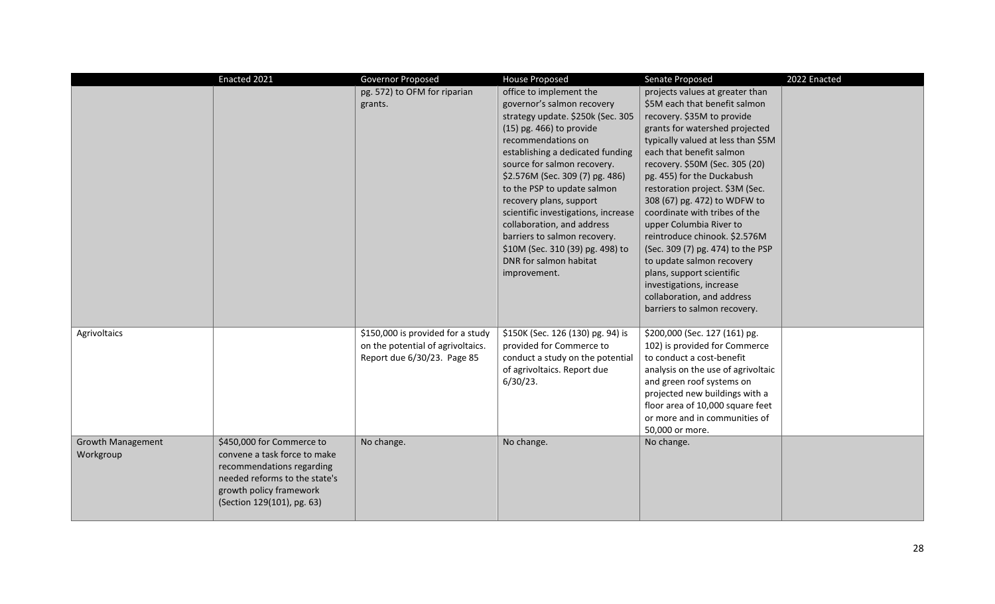|                                       | Enacted 2021                                                                                                                                                                     | Governor Proposed                                                                                     | <b>House Proposed</b>                                                                                                                                                                                                                                                                                                                                                                                                                                                                             | Senate Proposed                                                                                                                                                                                                                                                                                                                                                                                                                                                                                                                                                                                                             | 2022 Enacted |
|---------------------------------------|----------------------------------------------------------------------------------------------------------------------------------------------------------------------------------|-------------------------------------------------------------------------------------------------------|---------------------------------------------------------------------------------------------------------------------------------------------------------------------------------------------------------------------------------------------------------------------------------------------------------------------------------------------------------------------------------------------------------------------------------------------------------------------------------------------------|-----------------------------------------------------------------------------------------------------------------------------------------------------------------------------------------------------------------------------------------------------------------------------------------------------------------------------------------------------------------------------------------------------------------------------------------------------------------------------------------------------------------------------------------------------------------------------------------------------------------------------|--------------|
|                                       |                                                                                                                                                                                  | pg. 572) to OFM for riparian<br>grants.                                                               | office to implement the<br>governor's salmon recovery<br>strategy update. \$250k (Sec. 305<br>$(15)$ pg. 466) to provide<br>recommendations on<br>establishing a dedicated funding<br>source for salmon recovery.<br>\$2.576M (Sec. 309 (7) pg. 486)<br>to the PSP to update salmon<br>recovery plans, support<br>scientific investigations, increase<br>collaboration, and address<br>barriers to salmon recovery.<br>\$10M (Sec. 310 (39) pg. 498) to<br>DNR for salmon habitat<br>improvement. | projects values at greater than<br>\$5M each that benefit salmon<br>recovery. \$35M to provide<br>grants for watershed projected<br>typically valued at less than \$5M<br>each that benefit salmon<br>recovery. \$50M (Sec. 305 (20)<br>pg. 455) for the Duckabush<br>restoration project. \$3M (Sec.<br>308 (67) pg. 472) to WDFW to<br>coordinate with tribes of the<br>upper Columbia River to<br>reintroduce chinook. \$2.576M<br>(Sec. 309 (7) pg. 474) to the PSP<br>to update salmon recovery<br>plans, support scientific<br>investigations, increase<br>collaboration, and address<br>barriers to salmon recovery. |              |
| Agrivoltaics                          |                                                                                                                                                                                  | \$150,000 is provided for a study<br>on the potential of agrivoltaics.<br>Report due 6/30/23. Page 85 | \$150K (Sec. 126 (130) pg. 94) is<br>provided for Commerce to<br>conduct a study on the potential<br>of agrivoltaics. Report due<br>$6/30/23$ .                                                                                                                                                                                                                                                                                                                                                   | \$200,000 (Sec. 127 (161) pg.<br>102) is provided for Commerce<br>to conduct a cost-benefit<br>analysis on the use of agrivoltaic<br>and green roof systems on<br>projected new buildings with a<br>floor area of 10,000 square feet<br>or more and in communities of<br>50,000 or more.                                                                                                                                                                                                                                                                                                                                    |              |
| <b>Growth Management</b><br>Workgroup | \$450,000 for Commerce to<br>convene a task force to make<br>recommendations regarding<br>needed reforms to the state's<br>growth policy framework<br>(Section 129(101), pg. 63) | No change.                                                                                            | No change.                                                                                                                                                                                                                                                                                                                                                                                                                                                                                        | No change.                                                                                                                                                                                                                                                                                                                                                                                                                                                                                                                                                                                                                  |              |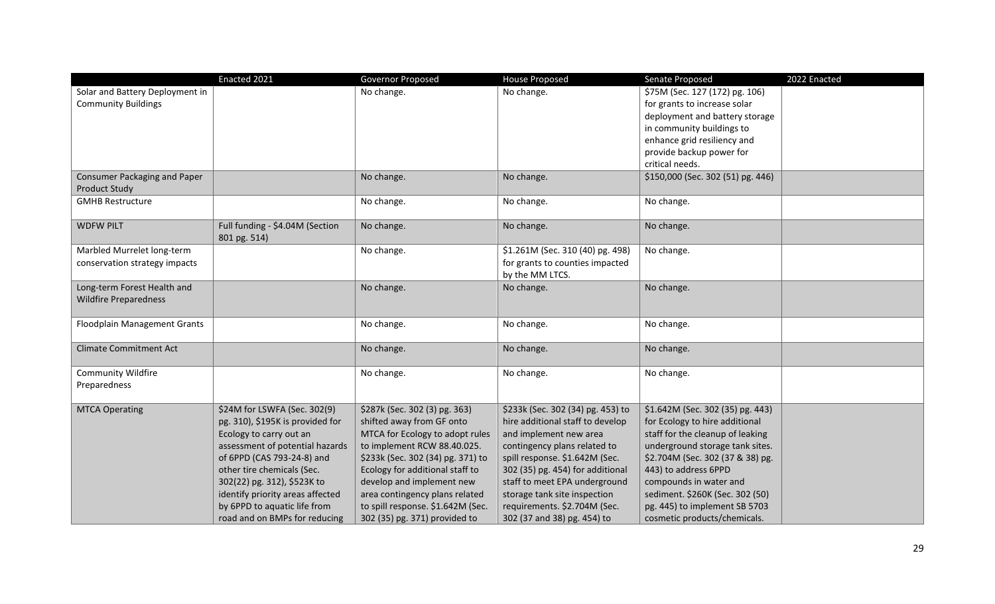|                                     | Enacted 2021                                                     | Governor Proposed                                                   | <b>House Proposed</b>                                              | Senate Proposed                                                  | 2022 Enacted |
|-------------------------------------|------------------------------------------------------------------|---------------------------------------------------------------------|--------------------------------------------------------------------|------------------------------------------------------------------|--------------|
| Solar and Battery Deployment in     |                                                                  | No change.                                                          | No change.                                                         | \$75M (Sec. 127 (172) pg. 106)                                   |              |
| <b>Community Buildings</b>          |                                                                  |                                                                     |                                                                    | for grants to increase solar                                     |              |
|                                     |                                                                  |                                                                     |                                                                    | deployment and battery storage                                   |              |
|                                     |                                                                  |                                                                     |                                                                    | in community buildings to                                        |              |
|                                     |                                                                  |                                                                     |                                                                    | enhance grid resiliency and                                      |              |
|                                     |                                                                  |                                                                     |                                                                    | provide backup power for                                         |              |
|                                     |                                                                  |                                                                     |                                                                    | critical needs.                                                  |              |
| <b>Consumer Packaging and Paper</b> |                                                                  | No change.                                                          | No change.                                                         | \$150,000 (Sec. 302 (51) pg. 446)                                |              |
| <b>Product Study</b>                |                                                                  |                                                                     |                                                                    |                                                                  |              |
| <b>GMHB Restructure</b>             |                                                                  | No change.                                                          | No change.                                                         | No change.                                                       |              |
|                                     |                                                                  |                                                                     |                                                                    |                                                                  |              |
| <b>WDFW PILT</b>                    | Full funding - \$4.04M (Section                                  | No change.                                                          | No change.                                                         | No change.                                                       |              |
|                                     | 801 pg. 514)                                                     |                                                                     |                                                                    |                                                                  |              |
| Marbled Murrelet long-term          |                                                                  | No change.                                                          | \$1.261M (Sec. 310 (40) pg. 498)                                   | No change.                                                       |              |
| conservation strategy impacts       |                                                                  |                                                                     | for grants to counties impacted                                    |                                                                  |              |
|                                     |                                                                  |                                                                     | by the MM LTCS.                                                    |                                                                  |              |
| Long-term Forest Health and         |                                                                  | No change.                                                          | No change.                                                         | No change.                                                       |              |
| <b>Wildfire Preparedness</b>        |                                                                  |                                                                     |                                                                    |                                                                  |              |
|                                     |                                                                  |                                                                     |                                                                    |                                                                  |              |
| Floodplain Management Grants        |                                                                  | No change.                                                          | No change.                                                         | No change.                                                       |              |
|                                     |                                                                  |                                                                     |                                                                    |                                                                  |              |
| <b>Climate Commitment Act</b>       |                                                                  | No change.                                                          | No change.                                                         | No change.                                                       |              |
|                                     |                                                                  |                                                                     |                                                                    |                                                                  |              |
| <b>Community Wildfire</b>           |                                                                  | No change.                                                          | No change.                                                         | No change.                                                       |              |
| Preparedness                        |                                                                  |                                                                     |                                                                    |                                                                  |              |
| <b>MTCA Operating</b>               | \$24M for LSWFA (Sec. 302(9)                                     | \$287k (Sec. 302 (3) pg. 363)                                       | \$233k (Sec. 302 (34) pg. 453) to                                  | \$1.642M (Sec. 302 (35) pg. 443)                                 |              |
|                                     | pg. 310), \$195K is provided for                                 | shifted away from GF onto                                           | hire additional staff to develop                                   | for Ecology to hire additional                                   |              |
|                                     |                                                                  | MTCA for Ecology to adopt rules                                     | and implement new area                                             | staff for the cleanup of leaking                                 |              |
|                                     | Ecology to carry out an                                          | to implement RCW 88.40.025.                                         |                                                                    |                                                                  |              |
|                                     | assessment of potential hazards                                  |                                                                     | contingency plans related to                                       | underground storage tank sites.                                  |              |
|                                     | of 6PPD (CAS 793-24-8) and                                       | \$233k (Sec. 302 (34) pg. 371) to                                   | spill response. \$1.642M (Sec.<br>302 (35) pg. 454) for additional | \$2.704M (Sec. 302 (37 & 38) pg.<br>443) to address 6PPD         |              |
|                                     | other tire chemicals (Sec.                                       | Ecology for additional staff to<br>develop and implement new        | staff to meet EPA underground                                      | compounds in water and                                           |              |
|                                     | 302(22) pg. 312), \$523K to                                      |                                                                     | storage tank site inspection                                       |                                                                  |              |
|                                     | identify priority areas affected<br>by 6PPD to aquatic life from | area contingency plans related<br>to spill response. \$1.642M (Sec. | requirements. \$2.704M (Sec.                                       | sediment. \$260K (Sec. 302 (50)<br>pg. 445) to implement SB 5703 |              |
|                                     |                                                                  |                                                                     |                                                                    |                                                                  |              |
|                                     | road and on BMPs for reducing                                    | 302 (35) pg. 371) provided to                                       | 302 (37 and 38) pg. 454) to                                        | cosmetic products/chemicals.                                     |              |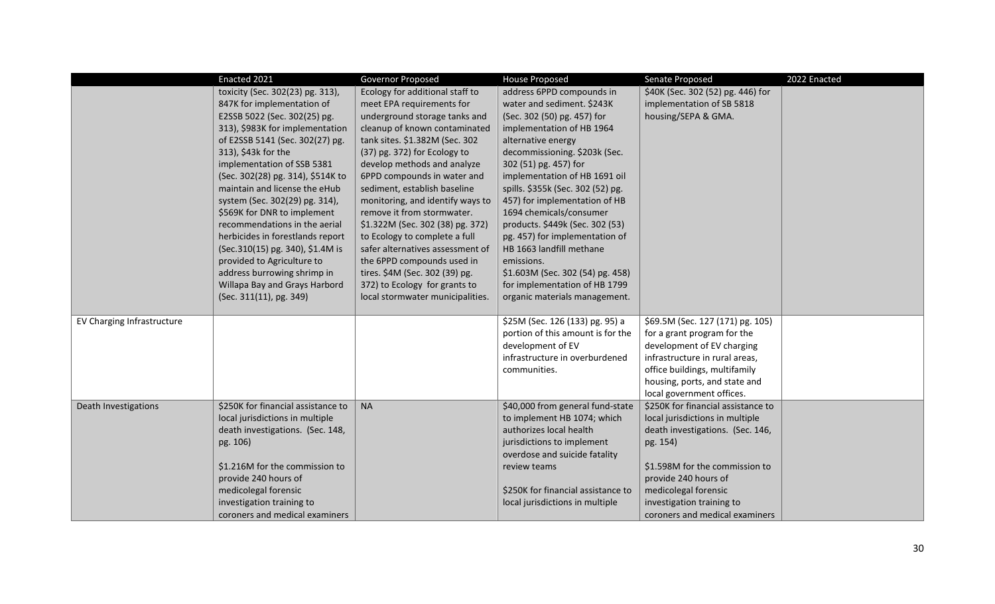|                            | Enacted 2021                                                                                                                                                                                                                                                                                                                                                                                                                                                                                                                                                                                       | Governor Proposed                                                                                                                                                                                                                                                                                                                                                                                                                                                                                                                                                                                              | <b>House Proposed</b>                                                                                                                                                                                                                                                                                                                                                                                                                                                                                                                                      | Senate Proposed                                                                                                                                                                                                                | 2022 Enacted |
|----------------------------|----------------------------------------------------------------------------------------------------------------------------------------------------------------------------------------------------------------------------------------------------------------------------------------------------------------------------------------------------------------------------------------------------------------------------------------------------------------------------------------------------------------------------------------------------------------------------------------------------|----------------------------------------------------------------------------------------------------------------------------------------------------------------------------------------------------------------------------------------------------------------------------------------------------------------------------------------------------------------------------------------------------------------------------------------------------------------------------------------------------------------------------------------------------------------------------------------------------------------|------------------------------------------------------------------------------------------------------------------------------------------------------------------------------------------------------------------------------------------------------------------------------------------------------------------------------------------------------------------------------------------------------------------------------------------------------------------------------------------------------------------------------------------------------------|--------------------------------------------------------------------------------------------------------------------------------------------------------------------------------------------------------------------------------|--------------|
|                            | toxicity (Sec. 302(23) pg. 313),<br>847K for implementation of<br>E2SSB 5022 (Sec. 302(25) pg.<br>313), \$983K for implementation<br>of E2SSB 5141 (Sec. 302(27) pg.<br>313), \$43k for the<br>implementation of SSB 5381<br>(Sec. 302(28) pg. 314), \$514K to<br>maintain and license the eHub<br>system (Sec. 302(29) pg. 314),<br>\$569K for DNR to implement<br>recommendations in the aerial<br>herbicides in forestlands report<br>(Sec.310(15) pg. 340), \$1.4M is<br>provided to Agriculture to<br>address burrowing shrimp in<br>Willapa Bay and Grays Harbord<br>(Sec. 311(11), pg. 349) | Ecology for additional staff to<br>meet EPA requirements for<br>underground storage tanks and<br>cleanup of known contaminated<br>tank sites. \$1.382M (Sec. 302<br>(37) pg. 372) for Ecology to<br>develop methods and analyze<br>6PPD compounds in water and<br>sediment, establish baseline<br>monitoring, and identify ways to<br>remove it from stormwater.<br>\$1.322M (Sec. 302 (38) pg. 372)<br>to Ecology to complete a full<br>safer alternatives assessment of<br>the 6PPD compounds used in<br>tires. \$4M (Sec. 302 (39) pg.<br>372) to Ecology for grants to<br>local stormwater municipalities. | address 6PPD compounds in<br>water and sediment. \$243K<br>(Sec. 302 (50) pg. 457) for<br>implementation of HB 1964<br>alternative energy<br>decommissioning. \$203k (Sec.<br>302 (51) pg. 457) for<br>implementation of HB 1691 oil<br>spills. \$355k (Sec. 302 (52) pg.<br>457) for implementation of HB<br>1694 chemicals/consumer<br>products. \$449k (Sec. 302 (53)<br>pg. 457) for implementation of<br>HB 1663 landfill methane<br>emissions.<br>\$1.603M (Sec. 302 (54) pg. 458)<br>for implementation of HB 1799<br>organic materials management. | \$40K (Sec. 302 (52) pg. 446) for<br>implementation of SB 5818<br>housing/SEPA & GMA.                                                                                                                                          |              |
| EV Charging Infrastructure |                                                                                                                                                                                                                                                                                                                                                                                                                                                                                                                                                                                                    |                                                                                                                                                                                                                                                                                                                                                                                                                                                                                                                                                                                                                | \$25M (Sec. 126 (133) pg. 95) a<br>portion of this amount is for the<br>development of EV<br>infrastructure in overburdened<br>communities.                                                                                                                                                                                                                                                                                                                                                                                                                | \$69.5M (Sec. 127 (171) pg. 105)<br>for a grant program for the<br>development of EV charging<br>infrastructure in rural areas,<br>office buildings, multifamily<br>housing, ports, and state and<br>local government offices. |              |
| Death Investigations       | \$250K for financial assistance to<br>local jurisdictions in multiple                                                                                                                                                                                                                                                                                                                                                                                                                                                                                                                              | <b>NA</b>                                                                                                                                                                                                                                                                                                                                                                                                                                                                                                                                                                                                      | \$40,000 from general fund-state<br>to implement HB 1074; which                                                                                                                                                                                                                                                                                                                                                                                                                                                                                            | \$250K for financial assistance to<br>local jurisdictions in multiple                                                                                                                                                          |              |
|                            | death investigations. (Sec. 148,<br>pg. 106)                                                                                                                                                                                                                                                                                                                                                                                                                                                                                                                                                       |                                                                                                                                                                                                                                                                                                                                                                                                                                                                                                                                                                                                                | authorizes local health<br>jurisdictions to implement<br>overdose and suicide fatality                                                                                                                                                                                                                                                                                                                                                                                                                                                                     | death investigations. (Sec. 146,<br>pg. 154)                                                                                                                                                                                   |              |
|                            | \$1.216M for the commission to<br>provide 240 hours of                                                                                                                                                                                                                                                                                                                                                                                                                                                                                                                                             |                                                                                                                                                                                                                                                                                                                                                                                                                                                                                                                                                                                                                | review teams                                                                                                                                                                                                                                                                                                                                                                                                                                                                                                                                               | \$1.598M for the commission to<br>provide 240 hours of                                                                                                                                                                         |              |
|                            | medicolegal forensic                                                                                                                                                                                                                                                                                                                                                                                                                                                                                                                                                                               |                                                                                                                                                                                                                                                                                                                                                                                                                                                                                                                                                                                                                | \$250K for financial assistance to                                                                                                                                                                                                                                                                                                                                                                                                                                                                                                                         | medicolegal forensic                                                                                                                                                                                                           |              |
|                            | investigation training to                                                                                                                                                                                                                                                                                                                                                                                                                                                                                                                                                                          |                                                                                                                                                                                                                                                                                                                                                                                                                                                                                                                                                                                                                | local jurisdictions in multiple                                                                                                                                                                                                                                                                                                                                                                                                                                                                                                                            | investigation training to                                                                                                                                                                                                      |              |
|                            | coroners and medical examiners                                                                                                                                                                                                                                                                                                                                                                                                                                                                                                                                                                     |                                                                                                                                                                                                                                                                                                                                                                                                                                                                                                                                                                                                                |                                                                                                                                                                                                                                                                                                                                                                                                                                                                                                                                                            | coroners and medical examiners                                                                                                                                                                                                 |              |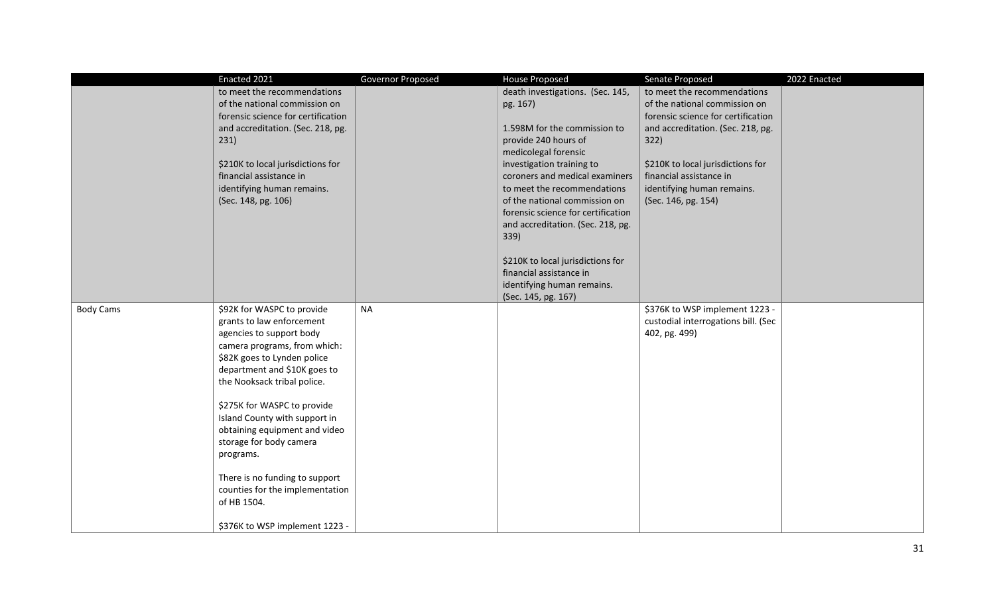|                  | Enacted 2021                                                      | Governor Proposed | <b>House Proposed</b>                                         | Senate Proposed                                       | 2022 Enacted |
|------------------|-------------------------------------------------------------------|-------------------|---------------------------------------------------------------|-------------------------------------------------------|--------------|
|                  | to meet the recommendations                                       |                   | death investigations. (Sec. 145,                              | to meet the recommendations                           |              |
|                  | of the national commission on                                     |                   | pg. 167)                                                      | of the national commission on                         |              |
|                  | forensic science for certification                                |                   |                                                               | forensic science for certification                    |              |
|                  | and accreditation. (Sec. 218, pg.                                 |                   | 1.598M for the commission to                                  | and accreditation. (Sec. 218, pg.                     |              |
|                  | 231)                                                              |                   | provide 240 hours of                                          | 322)                                                  |              |
|                  |                                                                   |                   | medicolegal forensic                                          |                                                       |              |
|                  | \$210K to local jurisdictions for                                 |                   | investigation training to                                     | \$210K to local jurisdictions for                     |              |
|                  | financial assistance in<br>identifying human remains.             |                   | coroners and medical examiners<br>to meet the recommendations | financial assistance in<br>identifying human remains. |              |
|                  | (Sec. 148, pg. 106)                                               |                   | of the national commission on                                 | (Sec. 146, pg. 154)                                   |              |
|                  |                                                                   |                   | forensic science for certification                            |                                                       |              |
|                  |                                                                   |                   | and accreditation. (Sec. 218, pg.                             |                                                       |              |
|                  |                                                                   |                   | 339)                                                          |                                                       |              |
|                  |                                                                   |                   |                                                               |                                                       |              |
|                  |                                                                   |                   | \$210K to local jurisdictions for                             |                                                       |              |
|                  |                                                                   |                   | financial assistance in                                       |                                                       |              |
|                  |                                                                   |                   | identifying human remains.                                    |                                                       |              |
|                  |                                                                   |                   | (Sec. 145, pg. 167)                                           |                                                       |              |
| <b>Body Cams</b> | \$92K for WASPC to provide                                        | <b>NA</b>         |                                                               | \$376K to WSP implement 1223 -                        |              |
|                  | grants to law enforcement                                         |                   |                                                               | custodial interrogations bill. (Sec                   |              |
|                  | agencies to support body<br>camera programs, from which:          |                   |                                                               | 402, pg. 499)                                         |              |
|                  | \$82K goes to Lynden police                                       |                   |                                                               |                                                       |              |
|                  | department and \$10K goes to                                      |                   |                                                               |                                                       |              |
|                  | the Nooksack tribal police.                                       |                   |                                                               |                                                       |              |
|                  |                                                                   |                   |                                                               |                                                       |              |
|                  | \$275K for WASPC to provide                                       |                   |                                                               |                                                       |              |
|                  | Island County with support in                                     |                   |                                                               |                                                       |              |
|                  | obtaining equipment and video                                     |                   |                                                               |                                                       |              |
|                  | storage for body camera                                           |                   |                                                               |                                                       |              |
|                  | programs.                                                         |                   |                                                               |                                                       |              |
|                  |                                                                   |                   |                                                               |                                                       |              |
|                  | There is no funding to support<br>counties for the implementation |                   |                                                               |                                                       |              |
|                  | of HB 1504.                                                       |                   |                                                               |                                                       |              |
|                  |                                                                   |                   |                                                               |                                                       |              |
|                  | \$376K to WSP implement 1223 -                                    |                   |                                                               |                                                       |              |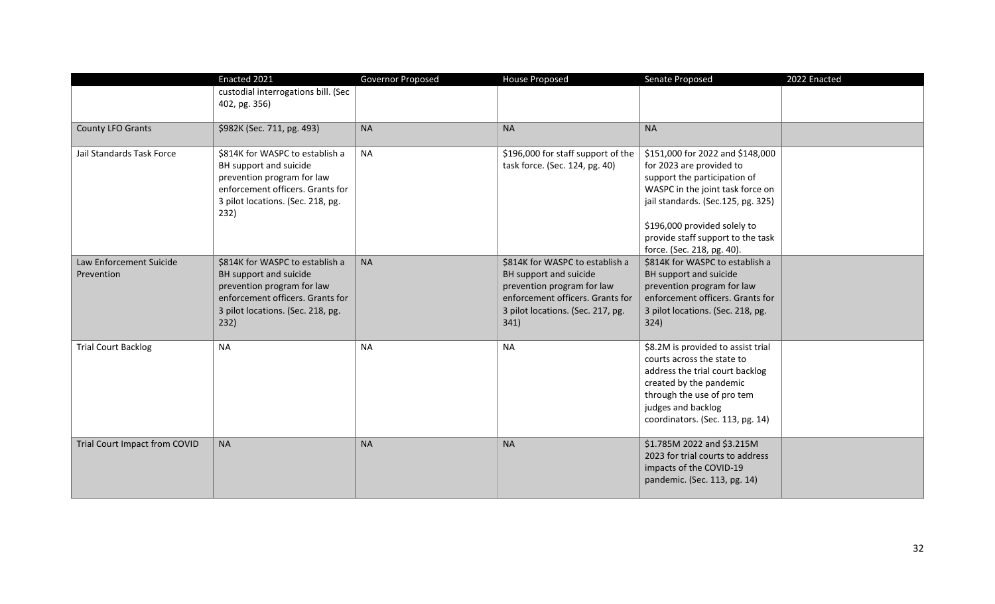|                                       | Enacted 2021                                                                                                                                                             | Governor Proposed | <b>House Proposed</b>                                                                                                                                                    | Senate Proposed                                                                                                                                                                                                                             | 2022 Enacted |
|---------------------------------------|--------------------------------------------------------------------------------------------------------------------------------------------------------------------------|-------------------|--------------------------------------------------------------------------------------------------------------------------------------------------------------------------|---------------------------------------------------------------------------------------------------------------------------------------------------------------------------------------------------------------------------------------------|--------------|
|                                       | custodial interrogations bill. (Sec<br>402, pg. 356)                                                                                                                     |                   |                                                                                                                                                                          |                                                                                                                                                                                                                                             |              |
| County LFO Grants                     | \$982K (Sec. 711, pg. 493)                                                                                                                                               | <b>NA</b>         | <b>NA</b>                                                                                                                                                                | <b>NA</b>                                                                                                                                                                                                                                   |              |
| Jail Standards Task Force             | \$814K for WASPC to establish a<br>BH support and suicide<br>prevention program for law<br>enforcement officers. Grants for<br>3 pilot locations. (Sec. 218, pg.<br>232) | <b>NA</b>         | \$196,000 for staff support of the<br>task force. (Sec. 124, pg. 40)                                                                                                     | \$151,000 for 2022 and \$148,000<br>for 2023 are provided to<br>support the participation of<br>WASPC in the joint task force on<br>jail standards. (Sec.125, pg. 325)<br>\$196,000 provided solely to<br>provide staff support to the task |              |
|                                       |                                                                                                                                                                          |                   |                                                                                                                                                                          | force. (Sec. 218, pg. 40).                                                                                                                                                                                                                  |              |
| Law Enforcement Suicide<br>Prevention | \$814K for WASPC to establish a<br>BH support and suicide<br>prevention program for law<br>enforcement officers. Grants for<br>3 pilot locations. (Sec. 218, pg.<br>232) | <b>NA</b>         | \$814K for WASPC to establish a<br>BH support and suicide<br>prevention program for law<br>enforcement officers. Grants for<br>3 pilot locations. (Sec. 217, pg.<br>341) | \$814K for WASPC to establish a<br>BH support and suicide<br>prevention program for law<br>enforcement officers. Grants for<br>3 pilot locations. (Sec. 218, pg.<br>324)                                                                    |              |
| <b>Trial Court Backlog</b>            | <b>NA</b>                                                                                                                                                                | <b>NA</b>         | <b>NA</b>                                                                                                                                                                | \$8.2M is provided to assist trial<br>courts across the state to<br>address the trial court backlog<br>created by the pandemic<br>through the use of pro tem<br>judges and backlog<br>coordinators. (Sec. 113, pg. 14)                      |              |
| Trial Court Impact from COVID         | <b>NA</b>                                                                                                                                                                | <b>NA</b>         | <b>NA</b>                                                                                                                                                                | \$1.785M 2022 and \$3.215M<br>2023 for trial courts to address<br>impacts of the COVID-19<br>pandemic. (Sec. 113, pg. 14)                                                                                                                   |              |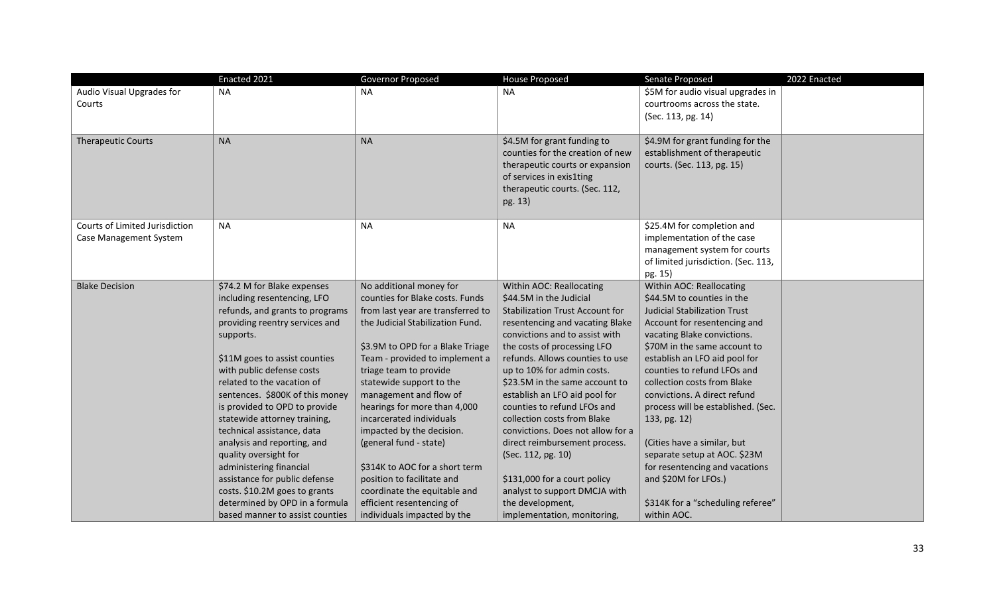|                                | Enacted 2021                                            | Governor Proposed                                  | <b>House Proposed</b>                                           | Senate Proposed                                                  | 2022 Enacted |
|--------------------------------|---------------------------------------------------------|----------------------------------------------------|-----------------------------------------------------------------|------------------------------------------------------------------|--------------|
| Audio Visual Upgrades for      | <b>NA</b>                                               | <b>NA</b>                                          | <b>NA</b>                                                       | \$5M for audio visual upgrades in                                |              |
| Courts                         |                                                         |                                                    |                                                                 | courtrooms across the state.                                     |              |
|                                |                                                         |                                                    |                                                                 | (Sec. 113, pg. 14)                                               |              |
|                                |                                                         |                                                    |                                                                 |                                                                  |              |
| <b>Therapeutic Courts</b>      | <b>NA</b>                                               | <b>NA</b>                                          | \$4.5M for grant funding to<br>counties for the creation of new | \$4.9M for grant funding for the<br>establishment of therapeutic |              |
|                                |                                                         |                                                    | therapeutic courts or expansion                                 | courts. (Sec. 113, pg. 15)                                       |              |
|                                |                                                         |                                                    | of services in exis1ting                                        |                                                                  |              |
|                                |                                                         |                                                    | therapeutic courts. (Sec. 112,                                  |                                                                  |              |
|                                |                                                         |                                                    | pg. 13)                                                         |                                                                  |              |
|                                |                                                         |                                                    |                                                                 |                                                                  |              |
| Courts of Limited Jurisdiction | <b>NA</b>                                               | <b>NA</b>                                          | <b>NA</b>                                                       | \$25.4M for completion and                                       |              |
| Case Management System         |                                                         |                                                    |                                                                 | implementation of the case                                       |              |
|                                |                                                         |                                                    |                                                                 | management system for courts                                     |              |
|                                |                                                         |                                                    |                                                                 | of limited jurisdiction. (Sec. 113,                              |              |
|                                |                                                         |                                                    |                                                                 | pg. 15)                                                          |              |
| <b>Blake Decision</b>          | \$74.2 M for Blake expenses                             | No additional money for                            | Within AOC: Reallocating                                        | Within AOC: Reallocating                                         |              |
|                                | including resentencing, LFO                             | counties for Blake costs. Funds                    | \$44.5M in the Judicial                                         | \$44.5M to counties in the                                       |              |
|                                | refunds, and grants to programs                         | from last year are transferred to                  | <b>Stabilization Trust Account for</b>                          | <b>Judicial Stabilization Trust</b>                              |              |
|                                | providing reentry services and                          | the Judicial Stabilization Fund.                   | resentencing and vacating Blake                                 | Account for resentencing and                                     |              |
|                                | supports.                                               |                                                    | convictions and to assist with                                  | vacating Blake convictions.                                      |              |
|                                |                                                         | \$3.9M to OPD for a Blake Triage                   | the costs of processing LFO                                     | \$70M in the same account to                                     |              |
|                                | \$11M goes to assist counties                           | Team - provided to implement a                     | refunds. Allows counties to use                                 | establish an LFO aid pool for                                    |              |
|                                | with public defense costs<br>related to the vacation of | triage team to provide                             | up to 10% for admin costs.                                      | counties to refund LFOs and<br>collection costs from Blake       |              |
|                                | sentences. \$800K of this money                         | statewide support to the<br>management and flow of | \$23.5M in the same account to<br>establish an LFO aid pool for | convictions. A direct refund                                     |              |
|                                | is provided to OPD to provide                           | hearings for more than 4,000                       | counties to refund LFOs and                                     | process will be established. (Sec.                               |              |
|                                | statewide attorney training,                            | incarcerated individuals                           | collection costs from Blake                                     | 133, pg. 12)                                                     |              |
|                                | technical assistance, data                              | impacted by the decision.                          | convictions. Does not allow for a                               |                                                                  |              |
|                                | analysis and reporting, and                             | (general fund - state)                             | direct reimbursement process.                                   | (Cities have a similar, but                                      |              |
|                                | quality oversight for                                   |                                                    | (Sec. 112, pg. 10)                                              | separate setup at AOC. \$23M                                     |              |
|                                | administering financial                                 | \$314K to AOC for a short term                     |                                                                 | for resentencing and vacations                                   |              |
|                                | assistance for public defense                           | position to facilitate and                         | \$131,000 for a court policy                                    | and \$20M for LFOs.)                                             |              |
|                                | costs. \$10.2M goes to grants                           | coordinate the equitable and                       | analyst to support DMCJA with                                   |                                                                  |              |
|                                | determined by OPD in a formula                          | efficient resentencing of                          | the development,                                                | \$314K for a "scheduling referee"                                |              |
|                                | based manner to assist counties                         | individuals impacted by the                        | implementation, monitoring,                                     | within AOC.                                                      |              |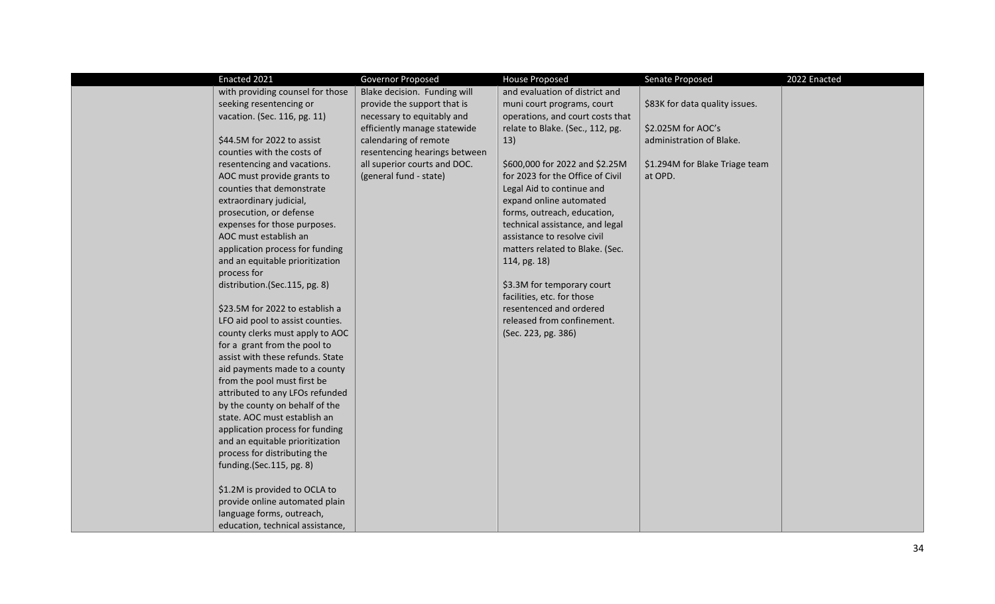| Enacted 2021                     | Governor Proposed             | <b>House Proposed</b>            | Senate Proposed                | 2022 Enacted |
|----------------------------------|-------------------------------|----------------------------------|--------------------------------|--------------|
| with providing counsel for those | Blake decision. Funding will  | and evaluation of district and   |                                |              |
| seeking resentencing or          | provide the support that is   | muni court programs, court       | \$83K for data quality issues. |              |
| vacation. (Sec. 116, pg. 11)     | necessary to equitably and    | operations, and court costs that |                                |              |
|                                  | efficiently manage statewide  | relate to Blake. (Sec., 112, pg. | \$2.025M for AOC's             |              |
| \$44.5M for 2022 to assist       | calendaring of remote         | 13)                              | administration of Blake.       |              |
| counties with the costs of       | resentencing hearings between |                                  |                                |              |
| resentencing and vacations.      | all superior courts and DOC.  | \$600,000 for 2022 and \$2.25M   | \$1.294M for Blake Triage team |              |
| AOC must provide grants to       | (general fund - state)        | for 2023 for the Office of Civil | at OPD.                        |              |
| counties that demonstrate        |                               | Legal Aid to continue and        |                                |              |
| extraordinary judicial,          |                               | expand online automated          |                                |              |
| prosecution, or defense          |                               | forms, outreach, education,      |                                |              |
| expenses for those purposes.     |                               | technical assistance, and legal  |                                |              |
| AOC must establish an            |                               | assistance to resolve civil      |                                |              |
| application process for funding  |                               | matters related to Blake. (Sec.  |                                |              |
| and an equitable prioritization  |                               | 114, pg. 18)                     |                                |              |
| process for                      |                               |                                  |                                |              |
| distribution.(Sec.115, pg. 8)    |                               | \$3.3M for temporary court       |                                |              |
|                                  |                               | facilities, etc. for those       |                                |              |
| \$23.5M for 2022 to establish a  |                               | resentenced and ordered          |                                |              |
| LFO aid pool to assist counties. |                               | released from confinement.       |                                |              |
| county clerks must apply to AOC  |                               | (Sec. 223, pg. 386)              |                                |              |
| for a grant from the pool to     |                               |                                  |                                |              |
| assist with these refunds. State |                               |                                  |                                |              |
| aid payments made to a county    |                               |                                  |                                |              |
| from the pool must first be      |                               |                                  |                                |              |
| attributed to any LFOs refunded  |                               |                                  |                                |              |
| by the county on behalf of the   |                               |                                  |                                |              |
| state. AOC must establish an     |                               |                                  |                                |              |
| application process for funding  |                               |                                  |                                |              |
| and an equitable prioritization  |                               |                                  |                                |              |
| process for distributing the     |                               |                                  |                                |              |
| funding.(Sec.115, pg. 8)         |                               |                                  |                                |              |
| \$1.2M is provided to OCLA to    |                               |                                  |                                |              |
| provide online automated plain   |                               |                                  |                                |              |
| language forms, outreach,        |                               |                                  |                                |              |
| education, technical assistance, |                               |                                  |                                |              |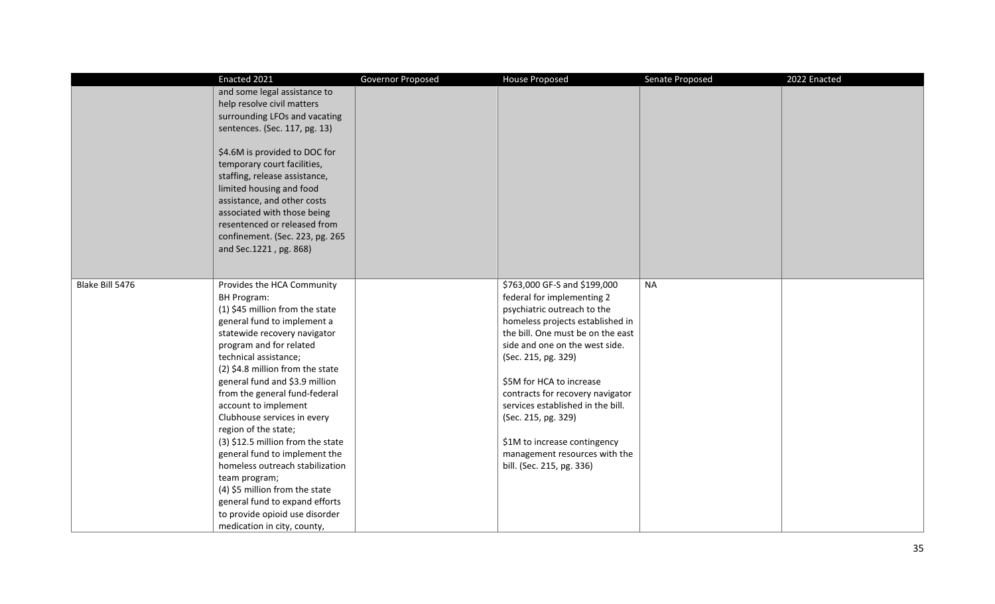|                 | Enacted 2021                                                                                                                                                                                                                                                                         | Governor Proposed | <b>House Proposed</b>             | Senate Proposed | 2022 Enacted |
|-----------------|--------------------------------------------------------------------------------------------------------------------------------------------------------------------------------------------------------------------------------------------------------------------------------------|-------------------|-----------------------------------|-----------------|--------------|
|                 | and some legal assistance to                                                                                                                                                                                                                                                         |                   |                                   |                 |              |
|                 | help resolve civil matters                                                                                                                                                                                                                                                           |                   |                                   |                 |              |
|                 | surrounding LFOs and vacating                                                                                                                                                                                                                                                        |                   |                                   |                 |              |
|                 | sentences. (Sec. 117, pg. 13)                                                                                                                                                                                                                                                        |                   |                                   |                 |              |
|                 | \$4.6M is provided to DOC for<br>temporary court facilities,<br>staffing, release assistance,<br>limited housing and food<br>assistance, and other costs<br>associated with those being<br>resentenced or released from<br>confinement. (Sec. 223, pg. 265<br>and Sec.1221, pg. 868) |                   |                                   |                 |              |
| Blake Bill 5476 | Provides the HCA Community                                                                                                                                                                                                                                                           |                   | \$763,000 GF-S and \$199,000      | <b>NA</b>       |              |
|                 | <b>BH Program:</b>                                                                                                                                                                                                                                                                   |                   | federal for implementing 2        |                 |              |
|                 | (1) \$45 million from the state                                                                                                                                                                                                                                                      |                   | psychiatric outreach to the       |                 |              |
|                 | general fund to implement a                                                                                                                                                                                                                                                          |                   | homeless projects established in  |                 |              |
|                 | statewide recovery navigator                                                                                                                                                                                                                                                         |                   | the bill. One must be on the east |                 |              |
|                 | program and for related                                                                                                                                                                                                                                                              |                   | side and one on the west side.    |                 |              |
|                 | technical assistance;                                                                                                                                                                                                                                                                |                   | (Sec. 215, pg. 329)               |                 |              |
|                 | (2) \$4.8 million from the state                                                                                                                                                                                                                                                     |                   |                                   |                 |              |
|                 | general fund and \$3.9 million                                                                                                                                                                                                                                                       |                   | \$5M for HCA to increase          |                 |              |
|                 | from the general fund-federal                                                                                                                                                                                                                                                        |                   | contracts for recovery navigator  |                 |              |
|                 | account to implement                                                                                                                                                                                                                                                                 |                   | services established in the bill. |                 |              |
|                 | Clubhouse services in every                                                                                                                                                                                                                                                          |                   | (Sec. 215, pg. 329)               |                 |              |
|                 | region of the state;                                                                                                                                                                                                                                                                 |                   |                                   |                 |              |
|                 | (3) \$12.5 million from the state                                                                                                                                                                                                                                                    |                   | \$1M to increase contingency      |                 |              |
|                 | general fund to implement the                                                                                                                                                                                                                                                        |                   | management resources with the     |                 |              |
|                 | homeless outreach stabilization                                                                                                                                                                                                                                                      |                   | bill. (Sec. 215, pg. 336)         |                 |              |
|                 | team program;                                                                                                                                                                                                                                                                        |                   |                                   |                 |              |
|                 | (4) \$5 million from the state                                                                                                                                                                                                                                                       |                   |                                   |                 |              |
|                 | general fund to expand efforts                                                                                                                                                                                                                                                       |                   |                                   |                 |              |
|                 | to provide opioid use disorder                                                                                                                                                                                                                                                       |                   |                                   |                 |              |
|                 | medication in city, county,                                                                                                                                                                                                                                                          |                   |                                   |                 |              |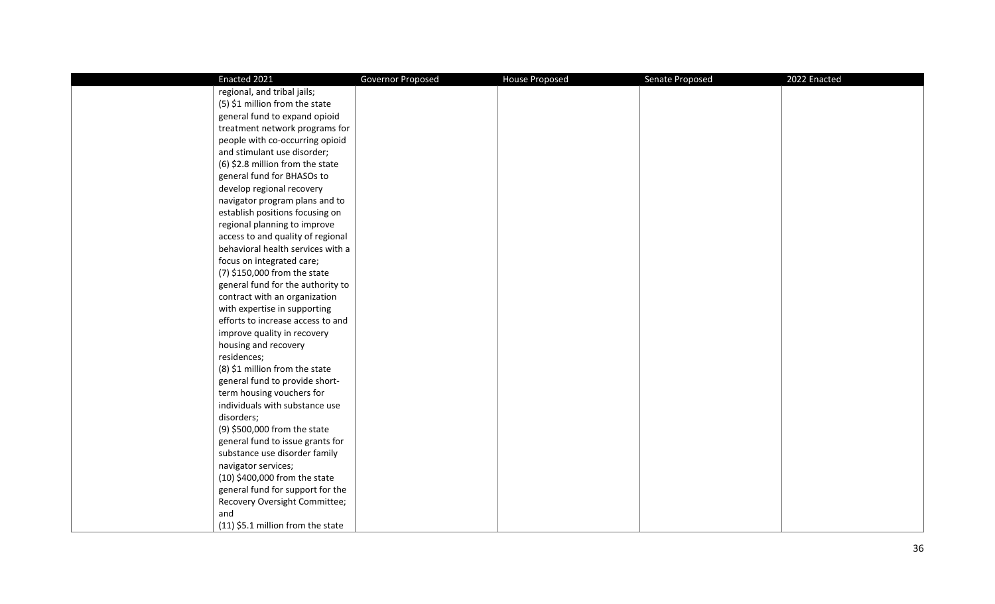| Enacted 2021                      | Governor Proposed | <b>House Proposed</b> | Senate Proposed | 2022 Enacted |
|-----------------------------------|-------------------|-----------------------|-----------------|--------------|
| regional, and tribal jails;       |                   |                       |                 |              |
| (5) \$1 million from the state    |                   |                       |                 |              |
| general fund to expand opioid     |                   |                       |                 |              |
| treatment network programs for    |                   |                       |                 |              |
| people with co-occurring opioid   |                   |                       |                 |              |
| and stimulant use disorder;       |                   |                       |                 |              |
| (6) \$2.8 million from the state  |                   |                       |                 |              |
| general fund for BHASOs to        |                   |                       |                 |              |
| develop regional recovery         |                   |                       |                 |              |
| navigator program plans and to    |                   |                       |                 |              |
| establish positions focusing on   |                   |                       |                 |              |
| regional planning to improve      |                   |                       |                 |              |
| access to and quality of regional |                   |                       |                 |              |
| behavioral health services with a |                   |                       |                 |              |
| focus on integrated care;         |                   |                       |                 |              |
| (7) \$150,000 from the state      |                   |                       |                 |              |
| general fund for the authority to |                   |                       |                 |              |
| contract with an organization     |                   |                       |                 |              |
| with expertise in supporting      |                   |                       |                 |              |
| efforts to increase access to and |                   |                       |                 |              |
| improve quality in recovery       |                   |                       |                 |              |
| housing and recovery              |                   |                       |                 |              |
| residences;                       |                   |                       |                 |              |
| (8) \$1 million from the state    |                   |                       |                 |              |
| general fund to provide short-    |                   |                       |                 |              |
| term housing vouchers for         |                   |                       |                 |              |
| individuals with substance use    |                   |                       |                 |              |
| disorders;                        |                   |                       |                 |              |
| (9) \$500,000 from the state      |                   |                       |                 |              |
| general fund to issue grants for  |                   |                       |                 |              |
| substance use disorder family     |                   |                       |                 |              |
| navigator services;               |                   |                       |                 |              |
| (10) \$400,000 from the state     |                   |                       |                 |              |
| general fund for support for the  |                   |                       |                 |              |
| Recovery Oversight Committee;     |                   |                       |                 |              |
| and                               |                   |                       |                 |              |
| (11) \$5.1 million from the state |                   |                       |                 |              |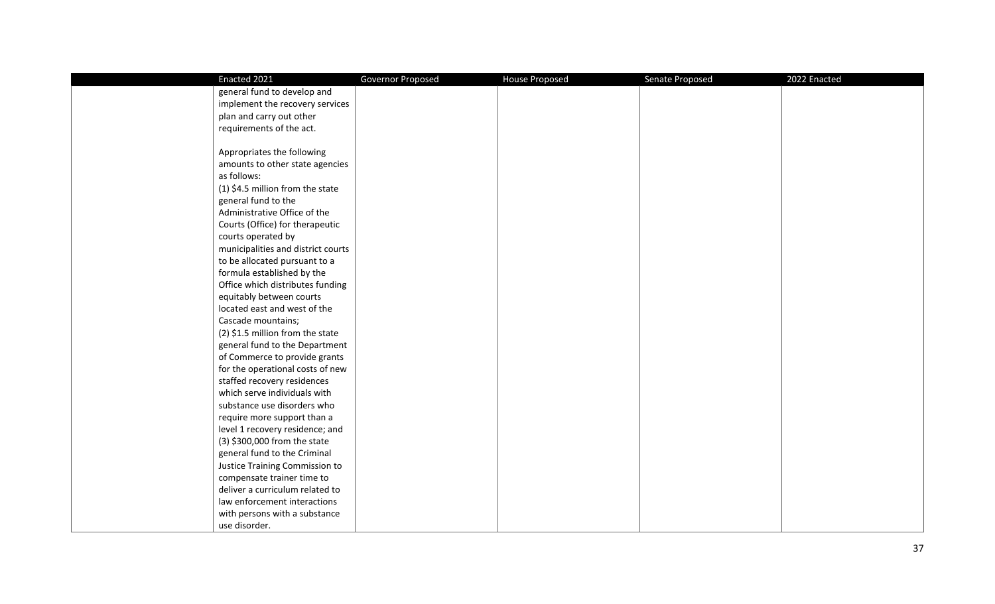| Enacted 2021                       | Governor Proposed | <b>House Proposed</b> | Senate Proposed | 2022 Enacted |
|------------------------------------|-------------------|-----------------------|-----------------|--------------|
| general fund to develop and        |                   |                       |                 |              |
| implement the recovery services    |                   |                       |                 |              |
| plan and carry out other           |                   |                       |                 |              |
| requirements of the act.           |                   |                       |                 |              |
|                                    |                   |                       |                 |              |
| Appropriates the following         |                   |                       |                 |              |
| amounts to other state agencies    |                   |                       |                 |              |
| as follows:                        |                   |                       |                 |              |
| (1) \$4.5 million from the state   |                   |                       |                 |              |
| general fund to the                |                   |                       |                 |              |
| Administrative Office of the       |                   |                       |                 |              |
| Courts (Office) for therapeutic    |                   |                       |                 |              |
| courts operated by                 |                   |                       |                 |              |
| municipalities and district courts |                   |                       |                 |              |
| to be allocated pursuant to a      |                   |                       |                 |              |
| formula established by the         |                   |                       |                 |              |
| Office which distributes funding   |                   |                       |                 |              |
| equitably between courts           |                   |                       |                 |              |
| located east and west of the       |                   |                       |                 |              |
| Cascade mountains;                 |                   |                       |                 |              |
| (2) \$1.5 million from the state   |                   |                       |                 |              |
| general fund to the Department     |                   |                       |                 |              |
| of Commerce to provide grants      |                   |                       |                 |              |
| for the operational costs of new   |                   |                       |                 |              |
| staffed recovery residences        |                   |                       |                 |              |
| which serve individuals with       |                   |                       |                 |              |
| substance use disorders who        |                   |                       |                 |              |
| require more support than a        |                   |                       |                 |              |
| level 1 recovery residence; and    |                   |                       |                 |              |
| (3) \$300,000 from the state       |                   |                       |                 |              |
| general fund to the Criminal       |                   |                       |                 |              |
| Justice Training Commission to     |                   |                       |                 |              |
| compensate trainer time to         |                   |                       |                 |              |
| deliver a curriculum related to    |                   |                       |                 |              |
| law enforcement interactions       |                   |                       |                 |              |
| with persons with a substance      |                   |                       |                 |              |
| use disorder.                      |                   |                       |                 |              |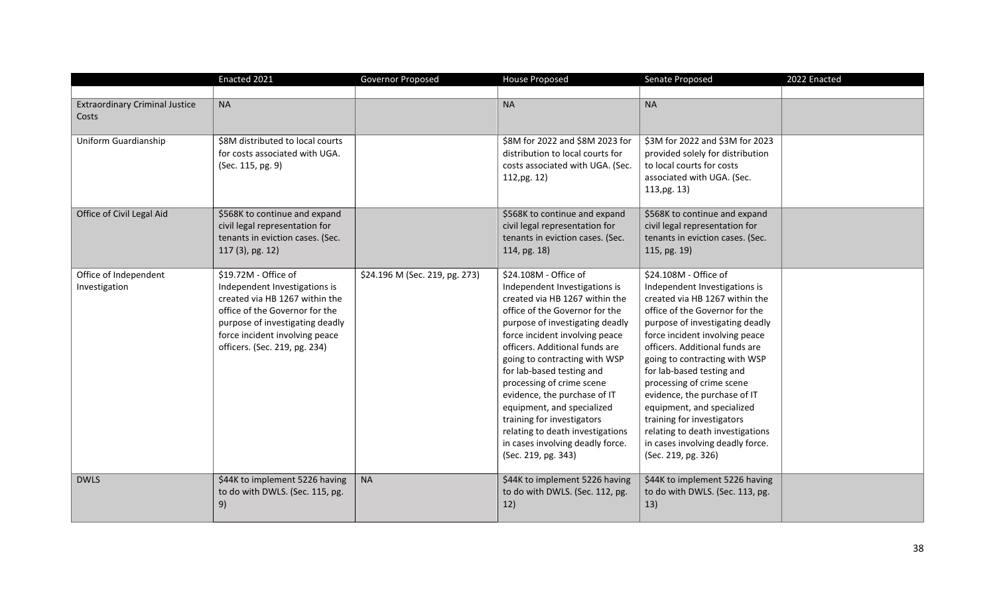|                                                | Enacted 2021                                                                                                                                                                                                                    | Governor Proposed              | <b>House Proposed</b>                                                                                                                                                                                                                                                                                                                                                                                                                                                                                                   | Senate Proposed                                                                                                                                                                                                                                                                                                                                                                                                                                                                                                         | 2022 Enacted |
|------------------------------------------------|---------------------------------------------------------------------------------------------------------------------------------------------------------------------------------------------------------------------------------|--------------------------------|-------------------------------------------------------------------------------------------------------------------------------------------------------------------------------------------------------------------------------------------------------------------------------------------------------------------------------------------------------------------------------------------------------------------------------------------------------------------------------------------------------------------------|-------------------------------------------------------------------------------------------------------------------------------------------------------------------------------------------------------------------------------------------------------------------------------------------------------------------------------------------------------------------------------------------------------------------------------------------------------------------------------------------------------------------------|--------------|
| <b>Extraordinary Criminal Justice</b><br>Costs | <b>NA</b>                                                                                                                                                                                                                       |                                | <b>NA</b>                                                                                                                                                                                                                                                                                                                                                                                                                                                                                                               | <b>NA</b>                                                                                                                                                                                                                                                                                                                                                                                                                                                                                                               |              |
| Uniform Guardianship                           | \$8M distributed to local courts<br>for costs associated with UGA.<br>(Sec. 115, pg. 9)                                                                                                                                         |                                | \$8M for 2022 and \$8M 2023 for<br>distribution to local courts for<br>costs associated with UGA. (Sec.<br>112, pg. 12)                                                                                                                                                                                                                                                                                                                                                                                                 | \$3M for 2022 and \$3M for 2023<br>provided solely for distribution<br>to local courts for costs<br>associated with UGA. (Sec.<br>113,pg. 13)                                                                                                                                                                                                                                                                                                                                                                           |              |
| Office of Civil Legal Aid                      | \$568K to continue and expand<br>civil legal representation for<br>tenants in eviction cases. (Sec.<br>117 (3), pg. 12)                                                                                                         |                                | \$568K to continue and expand<br>civil legal representation for<br>tenants in eviction cases. (Sec.<br>114, pg. 18)                                                                                                                                                                                                                                                                                                                                                                                                     | \$568K to continue and expand<br>civil legal representation for<br>tenants in eviction cases. (Sec.<br>115, pg. 19)                                                                                                                                                                                                                                                                                                                                                                                                     |              |
| Office of Independent<br>Investigation         | \$19.72M - Office of<br>Independent Investigations is<br>created via HB 1267 within the<br>office of the Governor for the<br>purpose of investigating deadly<br>force incident involving peace<br>officers. (Sec. 219, pg. 234) | \$24.196 M (Sec. 219, pg. 273) | \$24.108M - Office of<br>Independent Investigations is<br>created via HB 1267 within the<br>office of the Governor for the<br>purpose of investigating deadly<br>force incident involving peace<br>officers. Additional funds are<br>going to contracting with WSP<br>for lab-based testing and<br>processing of crime scene<br>evidence, the purchase of IT<br>equipment, and specialized<br>training for investigators<br>relating to death investigations<br>in cases involving deadly force.<br>(Sec. 219, pg. 343) | \$24.108M - Office of<br>Independent Investigations is<br>created via HB 1267 within the<br>office of the Governor for the<br>purpose of investigating deadly<br>force incident involving peace<br>officers. Additional funds are<br>going to contracting with WSP<br>for lab-based testing and<br>processing of crime scene<br>evidence, the purchase of IT<br>equipment, and specialized<br>training for investigators<br>relating to death investigations<br>in cases involving deadly force.<br>(Sec. 219, pg. 326) |              |
| <b>DWLS</b>                                    | \$44K to implement 5226 having<br>to do with DWLS. (Sec. 115, pg.<br>9)                                                                                                                                                         | <b>NA</b>                      | \$44K to implement 5226 having<br>to do with DWLS. (Sec. 112, pg.<br>12)                                                                                                                                                                                                                                                                                                                                                                                                                                                | \$44K to implement 5226 having<br>to do with DWLS. (Sec. 113, pg.<br>13)                                                                                                                                                                                                                                                                                                                                                                                                                                                |              |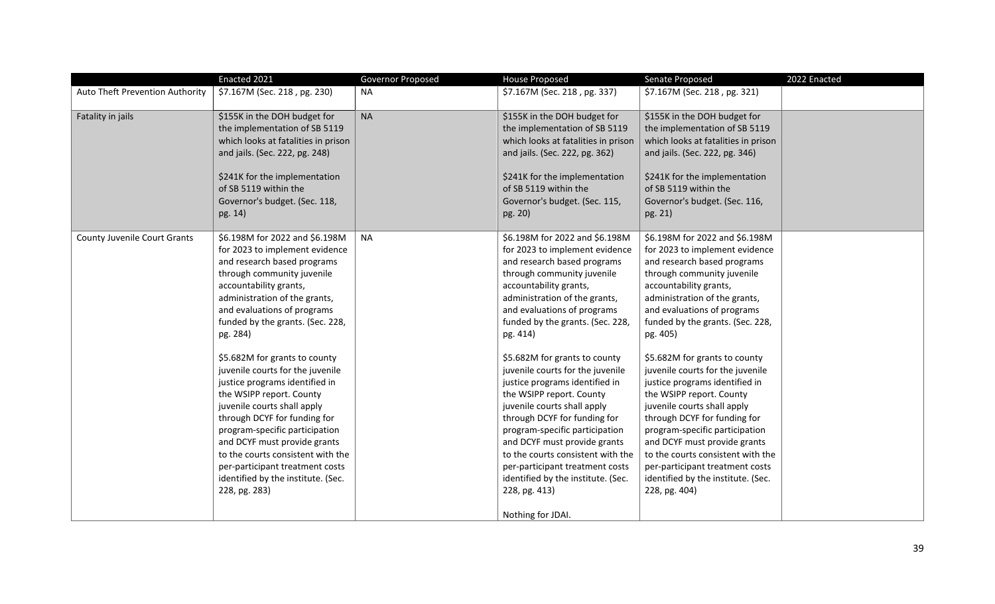|                                 | Enacted 2021                                                                                                                                                                                                                                                                                                                                                                                    | Governor Proposed | <b>House Proposed</b>                                                                                                                                                                                                                                                                                                                                                                                                | Senate Proposed                                                                                                                                                                                                                                                                                                                                                                                 | 2022 Enacted |
|---------------------------------|-------------------------------------------------------------------------------------------------------------------------------------------------------------------------------------------------------------------------------------------------------------------------------------------------------------------------------------------------------------------------------------------------|-------------------|----------------------------------------------------------------------------------------------------------------------------------------------------------------------------------------------------------------------------------------------------------------------------------------------------------------------------------------------------------------------------------------------------------------------|-------------------------------------------------------------------------------------------------------------------------------------------------------------------------------------------------------------------------------------------------------------------------------------------------------------------------------------------------------------------------------------------------|--------------|
| Auto Theft Prevention Authority | \$7.167M (Sec. 218, pg. 230)                                                                                                                                                                                                                                                                                                                                                                    | <b>NA</b>         | \$7.167M (Sec. 218, pg. 337)                                                                                                                                                                                                                                                                                                                                                                                         | \$7.167M (Sec. 218, pg. 321)                                                                                                                                                                                                                                                                                                                                                                    |              |
| Fatality in jails               | \$155K in the DOH budget for<br>the implementation of SB 5119<br>which looks at fatalities in prison<br>and jails. (Sec. 222, pg. 248)<br>\$241K for the implementation<br>of SB 5119 within the<br>Governor's budget. (Sec. 118,<br>pg. 14)                                                                                                                                                    | <b>NA</b>         | \$155K in the DOH budget for<br>the implementation of SB 5119<br>which looks at fatalities in prison<br>and jails. (Sec. 222, pg. 362)<br>\$241K for the implementation<br>of SB 5119 within the<br>Governor's budget. (Sec. 115,<br>pg. 20)                                                                                                                                                                         | \$155K in the DOH budget for<br>the implementation of SB 5119<br>which looks at fatalities in prison<br>and jails. (Sec. 222, pg. 346)<br>\$241K for the implementation<br>of SB 5119 within the<br>Governor's budget. (Sec. 116,<br>pg. 21)                                                                                                                                                    |              |
| County Juvenile Court Grants    | \$6.198M for 2022 and \$6.198M<br>for 2023 to implement evidence<br>and research based programs<br>through community juvenile<br>accountability grants,<br>administration of the grants,<br>and evaluations of programs<br>funded by the grants. (Sec. 228,<br>pg. 284)                                                                                                                         | <b>NA</b>         | \$6.198M for 2022 and \$6.198M<br>for 2023 to implement evidence<br>and research based programs<br>through community juvenile<br>accountability grants,<br>administration of the grants,<br>and evaluations of programs<br>funded by the grants. (Sec. 228,<br>pg. 414)                                                                                                                                              | \$6.198M for 2022 and \$6.198M<br>for 2023 to implement evidence<br>and research based programs<br>through community juvenile<br>accountability grants,<br>administration of the grants,<br>and evaluations of programs<br>funded by the grants. (Sec. 228,<br>pg. 405)                                                                                                                         |              |
|                                 | \$5.682M for grants to county<br>juvenile courts for the juvenile<br>justice programs identified in<br>the WSIPP report. County<br>juvenile courts shall apply<br>through DCYF for funding for<br>program-specific participation<br>and DCYF must provide grants<br>to the courts consistent with the<br>per-participant treatment costs<br>identified by the institute. (Sec.<br>228, pg. 283) |                   | \$5.682M for grants to county<br>juvenile courts for the juvenile<br>justice programs identified in<br>the WSIPP report. County<br>juvenile courts shall apply<br>through DCYF for funding for<br>program-specific participation<br>and DCYF must provide grants<br>to the courts consistent with the<br>per-participant treatment costs<br>identified by the institute. (Sec.<br>228, pg. 413)<br>Nothing for JDAI. | \$5.682M for grants to county<br>juvenile courts for the juvenile<br>justice programs identified in<br>the WSIPP report. County<br>juvenile courts shall apply<br>through DCYF for funding for<br>program-specific participation<br>and DCYF must provide grants<br>to the courts consistent with the<br>per-participant treatment costs<br>identified by the institute. (Sec.<br>228, pg. 404) |              |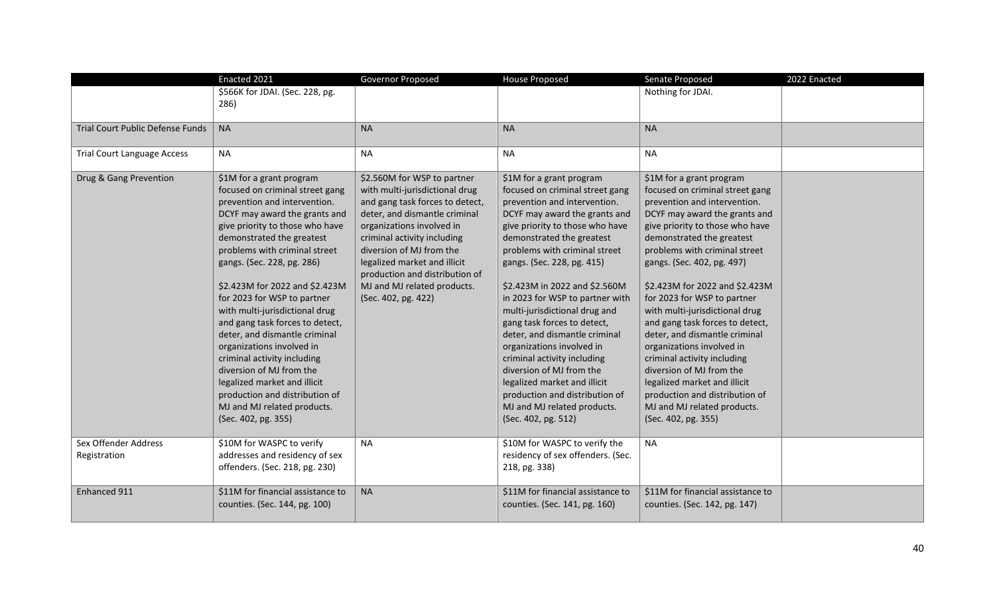|                                         | Enacted 2021                                                                                                                                                                                                                                                                                                                                                                                                                                                                                                                                                                                                                                       | Governor Proposed                                                                                                                                                                                                                                                                                                                                 | <b>House Proposed</b>                                                                                                                                                                                                                                                                                                                                                                                                                                                                                                                                                                                                                            | Senate Proposed                                                                                                                                                                                                                                                                                                                                                                                                                                                                                                                                                                                                                                    | 2022 Enacted |
|-----------------------------------------|----------------------------------------------------------------------------------------------------------------------------------------------------------------------------------------------------------------------------------------------------------------------------------------------------------------------------------------------------------------------------------------------------------------------------------------------------------------------------------------------------------------------------------------------------------------------------------------------------------------------------------------------------|---------------------------------------------------------------------------------------------------------------------------------------------------------------------------------------------------------------------------------------------------------------------------------------------------------------------------------------------------|--------------------------------------------------------------------------------------------------------------------------------------------------------------------------------------------------------------------------------------------------------------------------------------------------------------------------------------------------------------------------------------------------------------------------------------------------------------------------------------------------------------------------------------------------------------------------------------------------------------------------------------------------|----------------------------------------------------------------------------------------------------------------------------------------------------------------------------------------------------------------------------------------------------------------------------------------------------------------------------------------------------------------------------------------------------------------------------------------------------------------------------------------------------------------------------------------------------------------------------------------------------------------------------------------------------|--------------|
|                                         | \$566K for JDAI. (Sec. 228, pg.<br>286)                                                                                                                                                                                                                                                                                                                                                                                                                                                                                                                                                                                                            |                                                                                                                                                                                                                                                                                                                                                   |                                                                                                                                                                                                                                                                                                                                                                                                                                                                                                                                                                                                                                                  | Nothing for JDAI.                                                                                                                                                                                                                                                                                                                                                                                                                                                                                                                                                                                                                                  |              |
| <b>Trial Court Public Defense Funds</b> | <b>NA</b>                                                                                                                                                                                                                                                                                                                                                                                                                                                                                                                                                                                                                                          | <b>NA</b>                                                                                                                                                                                                                                                                                                                                         | <b>NA</b>                                                                                                                                                                                                                                                                                                                                                                                                                                                                                                                                                                                                                                        | <b>NA</b>                                                                                                                                                                                                                                                                                                                                                                                                                                                                                                                                                                                                                                          |              |
| <b>Trial Court Language Access</b>      | <b>NA</b>                                                                                                                                                                                                                                                                                                                                                                                                                                                                                                                                                                                                                                          | <b>NA</b>                                                                                                                                                                                                                                                                                                                                         | <b>NA</b>                                                                                                                                                                                                                                                                                                                                                                                                                                                                                                                                                                                                                                        | <b>NA</b>                                                                                                                                                                                                                                                                                                                                                                                                                                                                                                                                                                                                                                          |              |
| Drug & Gang Prevention                  | \$1M for a grant program<br>focused on criminal street gang<br>prevention and intervention.<br>DCYF may award the grants and<br>give priority to those who have<br>demonstrated the greatest<br>problems with criminal street<br>gangs. (Sec. 228, pg. 286)<br>\$2.423M for 2022 and \$2.423M<br>for 2023 for WSP to partner<br>with multi-jurisdictional drug<br>and gang task forces to detect,<br>deter, and dismantle criminal<br>organizations involved in<br>criminal activity including<br>diversion of MJ from the<br>legalized market and illicit<br>production and distribution of<br>MJ and MJ related products.<br>(Sec. 402, pg. 355) | \$2.560M for WSP to partner<br>with multi-jurisdictional drug<br>and gang task forces to detect,<br>deter, and dismantle criminal<br>organizations involved in<br>criminal activity including<br>diversion of MJ from the<br>legalized market and illicit<br>production and distribution of<br>MJ and MJ related products.<br>(Sec. 402, pg. 422) | \$1M for a grant program<br>focused on criminal street gang<br>prevention and intervention.<br>DCYF may award the grants and<br>give priority to those who have<br>demonstrated the greatest<br>problems with criminal street<br>gangs. (Sec. 228, pg. 415)<br>\$2.423M in 2022 and \$2.560M<br>in 2023 for WSP to partner with<br>multi-jurisdictional drug and<br>gang task forces to detect,<br>deter, and dismantle criminal<br>organizations involved in<br>criminal activity including<br>diversion of MJ from the<br>legalized market and illicit<br>production and distribution of<br>MJ and MJ related products.<br>(Sec. 402, pg. 512) | \$1M for a grant program<br>focused on criminal street gang<br>prevention and intervention.<br>DCYF may award the grants and<br>give priority to those who have<br>demonstrated the greatest<br>problems with criminal street<br>gangs. (Sec. 402, pg. 497)<br>\$2.423M for 2022 and \$2.423M<br>for 2023 for WSP to partner<br>with multi-jurisdictional drug<br>and gang task forces to detect,<br>deter, and dismantle criminal<br>organizations involved in<br>criminal activity including<br>diversion of MJ from the<br>legalized market and illicit<br>production and distribution of<br>MJ and MJ related products.<br>(Sec. 402, pg. 355) |              |
| Sex Offender Address<br>Registration    | \$10M for WASPC to verify<br>addresses and residency of sex<br>offenders. (Sec. 218, pg. 230)                                                                                                                                                                                                                                                                                                                                                                                                                                                                                                                                                      | <b>NA</b>                                                                                                                                                                                                                                                                                                                                         | \$10M for WASPC to verify the<br>residency of sex offenders. (Sec.<br>218, pg. 338)                                                                                                                                                                                                                                                                                                                                                                                                                                                                                                                                                              | <b>NA</b>                                                                                                                                                                                                                                                                                                                                                                                                                                                                                                                                                                                                                                          |              |
| Enhanced 911                            | \$11M for financial assistance to<br>counties. (Sec. 144, pg. 100)                                                                                                                                                                                                                                                                                                                                                                                                                                                                                                                                                                                 | <b>NA</b>                                                                                                                                                                                                                                                                                                                                         | \$11M for financial assistance to<br>counties. (Sec. 141, pg. 160)                                                                                                                                                                                                                                                                                                                                                                                                                                                                                                                                                                               | \$11M for financial assistance to<br>counties. (Sec. 142, pg. 147)                                                                                                                                                                                                                                                                                                                                                                                                                                                                                                                                                                                 |              |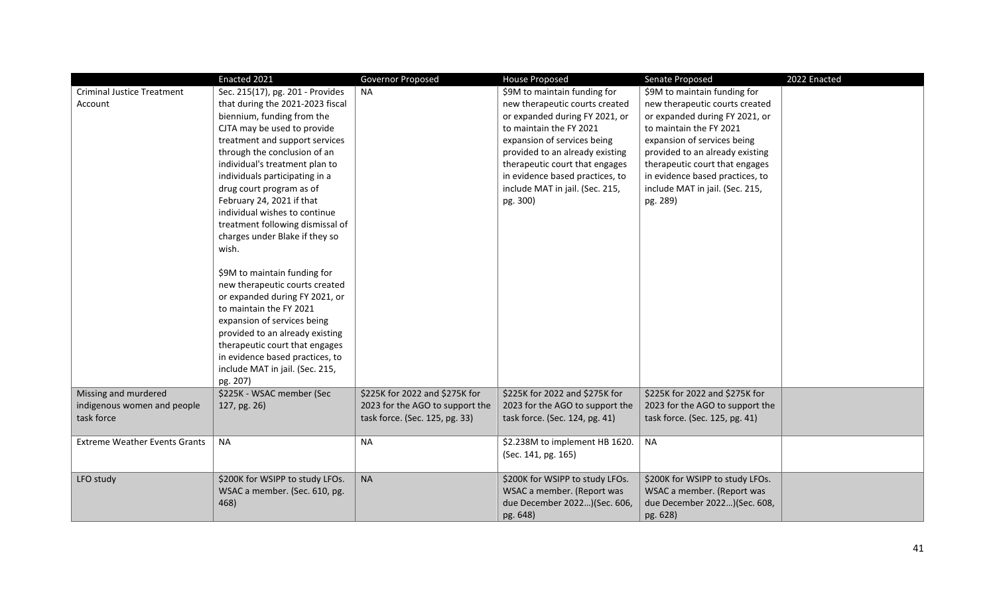|                                      | Enacted 2021                     | Governor Proposed               | <b>House Proposed</b>           | Senate Proposed                 | 2022 Enacted |
|--------------------------------------|----------------------------------|---------------------------------|---------------------------------|---------------------------------|--------------|
| <b>Criminal Justice Treatment</b>    | Sec. 215(17), pg. 201 - Provides | <b>NA</b>                       | \$9M to maintain funding for    | \$9M to maintain funding for    |              |
| Account                              | that during the 2021-2023 fiscal |                                 | new therapeutic courts created  | new therapeutic courts created  |              |
|                                      | biennium, funding from the       |                                 | or expanded during FY 2021, or  | or expanded during FY 2021, or  |              |
|                                      | CJTA may be used to provide      |                                 | to maintain the FY 2021         | to maintain the FY 2021         |              |
|                                      | treatment and support services   |                                 | expansion of services being     | expansion of services being     |              |
|                                      | through the conclusion of an     |                                 | provided to an already existing | provided to an already existing |              |
|                                      | individual's treatment plan to   |                                 | therapeutic court that engages  | therapeutic court that engages  |              |
|                                      | individuals participating in a   |                                 | in evidence based practices, to | in evidence based practices, to |              |
|                                      | drug court program as of         |                                 | include MAT in jail. (Sec. 215, | include MAT in jail. (Sec. 215, |              |
|                                      | February 24, 2021 if that        |                                 | pg. 300)                        | pg. 289)                        |              |
|                                      | individual wishes to continue    |                                 |                                 |                                 |              |
|                                      | treatment following dismissal of |                                 |                                 |                                 |              |
|                                      | charges under Blake if they so   |                                 |                                 |                                 |              |
|                                      | wish.                            |                                 |                                 |                                 |              |
|                                      |                                  |                                 |                                 |                                 |              |
|                                      | \$9M to maintain funding for     |                                 |                                 |                                 |              |
|                                      | new therapeutic courts created   |                                 |                                 |                                 |              |
|                                      | or expanded during FY 2021, or   |                                 |                                 |                                 |              |
|                                      | to maintain the FY 2021          |                                 |                                 |                                 |              |
|                                      | expansion of services being      |                                 |                                 |                                 |              |
|                                      | provided to an already existing  |                                 |                                 |                                 |              |
|                                      | therapeutic court that engages   |                                 |                                 |                                 |              |
|                                      | in evidence based practices, to  |                                 |                                 |                                 |              |
|                                      | include MAT in jail. (Sec. 215,  |                                 |                                 |                                 |              |
|                                      | pg. 207)                         |                                 |                                 |                                 |              |
| Missing and murdered                 | \$225K - WSAC member (Sec        | \$225K for 2022 and \$275K for  | \$225K for 2022 and \$275K for  | \$225K for 2022 and \$275K for  |              |
| indigenous women and people          | 127, pg. 26)                     | 2023 for the AGO to support the | 2023 for the AGO to support the | 2023 for the AGO to support the |              |
| task force                           |                                  | task force. (Sec. 125, pg. 33)  | task force. (Sec. 124, pg. 41)  | task force. (Sec. 125, pg. 41)  |              |
|                                      |                                  |                                 |                                 |                                 |              |
| <b>Extreme Weather Events Grants</b> | <b>NA</b>                        | NA                              | \$2.238M to implement HB 1620.  | <b>NA</b>                       |              |
|                                      |                                  |                                 | (Sec. 141, pg. 165)             |                                 |              |
|                                      |                                  |                                 |                                 |                                 |              |
| LFO study                            | \$200K for WSIPP to study LFOs.  | <b>NA</b>                       | \$200K for WSIPP to study LFOs. | \$200K for WSIPP to study LFOs. |              |
|                                      | WSAC a member. (Sec. 610, pg.    |                                 | WSAC a member. (Report was      | WSAC a member. (Report was      |              |
|                                      | 468)                             |                                 | due December 2022)(Sec. 606,    | due December 2022)(Sec. 608,    |              |
|                                      |                                  |                                 | pg. 648)                        | pg. 628)                        |              |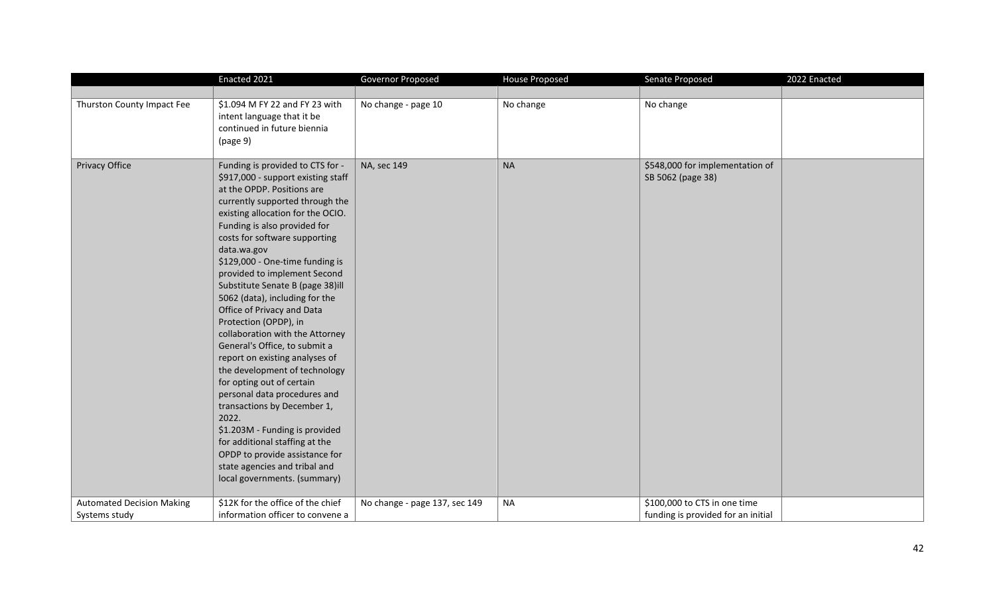|                                  | Enacted 2021                                                                                                                                                                                                                                                                                                                                                                                                                                                                                                                                                                                                                                                                                                                                                                                                                                                                    | Governor Proposed             | <b>House Proposed</b> | Senate Proposed                                      | 2022 Enacted |
|----------------------------------|---------------------------------------------------------------------------------------------------------------------------------------------------------------------------------------------------------------------------------------------------------------------------------------------------------------------------------------------------------------------------------------------------------------------------------------------------------------------------------------------------------------------------------------------------------------------------------------------------------------------------------------------------------------------------------------------------------------------------------------------------------------------------------------------------------------------------------------------------------------------------------|-------------------------------|-----------------------|------------------------------------------------------|--------------|
|                                  |                                                                                                                                                                                                                                                                                                                                                                                                                                                                                                                                                                                                                                                                                                                                                                                                                                                                                 |                               |                       |                                                      |              |
| Thurston County Impact Fee       | \$1.094 M FY 22 and FY 23 with<br>intent language that it be<br>continued in future biennia<br>(page 9)                                                                                                                                                                                                                                                                                                                                                                                                                                                                                                                                                                                                                                                                                                                                                                         | No change - page 10           | No change             | No change                                            |              |
| Privacy Office                   | Funding is provided to CTS for -<br>\$917,000 - support existing staff<br>at the OPDP. Positions are<br>currently supported through the<br>existing allocation for the OCIO.<br>Funding is also provided for<br>costs for software supporting<br>data.wa.gov<br>\$129,000 - One-time funding is<br>provided to implement Second<br>Substitute Senate B (page 38)ill<br>5062 (data), including for the<br>Office of Privacy and Data<br>Protection (OPDP), in<br>collaboration with the Attorney<br>General's Office, to submit a<br>report on existing analyses of<br>the development of technology<br>for opting out of certain<br>personal data procedures and<br>transactions by December 1,<br>2022.<br>\$1.203M - Funding is provided<br>for additional staffing at the<br>OPDP to provide assistance for<br>state agencies and tribal and<br>local governments. (summary) | NA, sec 149                   | <b>NA</b>             | \$548,000 for implementation of<br>SB 5062 (page 38) |              |
| <b>Automated Decision Making</b> | \$12K for the office of the chief                                                                                                                                                                                                                                                                                                                                                                                                                                                                                                                                                                                                                                                                                                                                                                                                                                               | No change - page 137, sec 149 | <b>NA</b>             | \$100,000 to CTS in one time                         |              |
| Systems study                    | information officer to convene a                                                                                                                                                                                                                                                                                                                                                                                                                                                                                                                                                                                                                                                                                                                                                                                                                                                |                               |                       | funding is provided for an initial                   |              |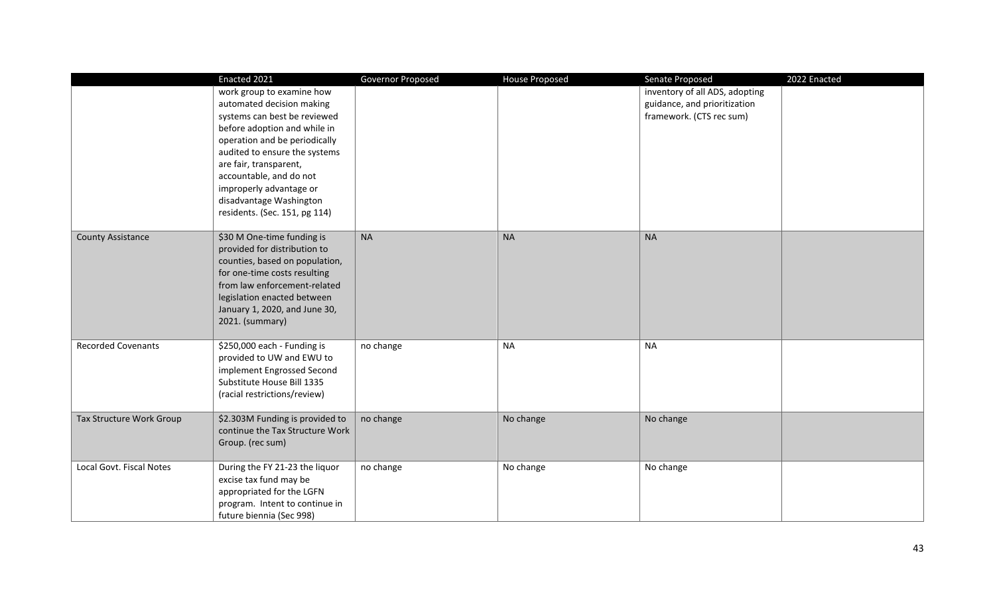|                           | Enacted 2021                                                                                                                                                                                                                                                                                                                         | Governor Proposed | <b>House Proposed</b> | Senate Proposed                                                                            | 2022 Enacted |
|---------------------------|--------------------------------------------------------------------------------------------------------------------------------------------------------------------------------------------------------------------------------------------------------------------------------------------------------------------------------------|-------------------|-----------------------|--------------------------------------------------------------------------------------------|--------------|
|                           | work group to examine how<br>automated decision making<br>systems can best be reviewed<br>before adoption and while in<br>operation and be periodically<br>audited to ensure the systems<br>are fair, transparent,<br>accountable, and do not<br>improperly advantage or<br>disadvantage Washington<br>residents. (Sec. 151, pg 114) |                   |                       | inventory of all ADS, adopting<br>guidance, and prioritization<br>framework. (CTS rec sum) |              |
| <b>County Assistance</b>  | \$30 M One-time funding is<br>provided for distribution to<br>counties, based on population,<br>for one-time costs resulting<br>from law enforcement-related<br>legislation enacted between<br>January 1, 2020, and June 30,<br>2021. (summary)                                                                                      | <b>NA</b>         | <b>NA</b>             | <b>NA</b>                                                                                  |              |
| <b>Recorded Covenants</b> | \$250,000 each - Funding is<br>provided to UW and EWU to<br>implement Engrossed Second<br>Substitute House Bill 1335<br>(racial restrictions/review)                                                                                                                                                                                 | no change         | <b>NA</b>             | <b>NA</b>                                                                                  |              |
| Tax Structure Work Group  | \$2.303M Funding is provided to<br>continue the Tax Structure Work<br>Group. (rec sum)                                                                                                                                                                                                                                               | no change         | No change             | No change                                                                                  |              |
| Local Govt. Fiscal Notes  | During the FY 21-23 the liquor<br>excise tax fund may be<br>appropriated for the LGFN<br>program. Intent to continue in<br>future biennia (Sec 998)                                                                                                                                                                                  | no change         | No change             | No change                                                                                  |              |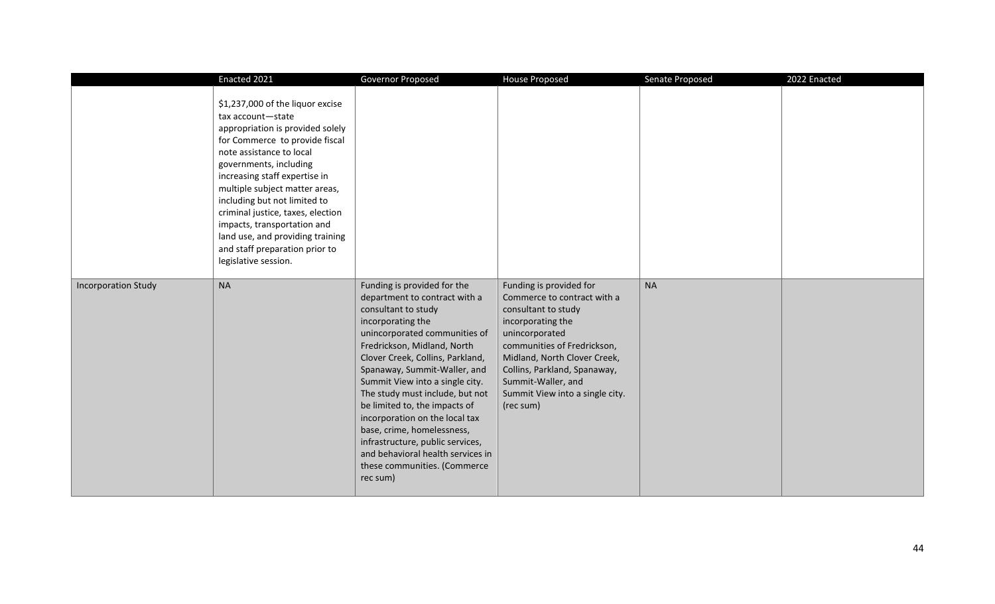|                            | Enacted 2021                                                                                                                                                                                                                                                                                                                                                                                                                                           | Governor Proposed                                                                                                                                                                                                                                                                                                                                                                                                                                                                                                                        | House Proposed                                                                                                                                                                                                                                                                            | Senate Proposed | 2022 Enacted |
|----------------------------|--------------------------------------------------------------------------------------------------------------------------------------------------------------------------------------------------------------------------------------------------------------------------------------------------------------------------------------------------------------------------------------------------------------------------------------------------------|------------------------------------------------------------------------------------------------------------------------------------------------------------------------------------------------------------------------------------------------------------------------------------------------------------------------------------------------------------------------------------------------------------------------------------------------------------------------------------------------------------------------------------------|-------------------------------------------------------------------------------------------------------------------------------------------------------------------------------------------------------------------------------------------------------------------------------------------|-----------------|--------------|
|                            | \$1,237,000 of the liquor excise<br>tax account-state<br>appropriation is provided solely<br>for Commerce to provide fiscal<br>note assistance to local<br>governments, including<br>increasing staff expertise in<br>multiple subject matter areas,<br>including but not limited to<br>criminal justice, taxes, election<br>impacts, transportation and<br>land use, and providing training<br>and staff preparation prior to<br>legislative session. |                                                                                                                                                                                                                                                                                                                                                                                                                                                                                                                                          |                                                                                                                                                                                                                                                                                           |                 |              |
| <b>Incorporation Study</b> | <b>NA</b>                                                                                                                                                                                                                                                                                                                                                                                                                                              | Funding is provided for the<br>department to contract with a<br>consultant to study<br>incorporating the<br>unincorporated communities of<br>Fredrickson, Midland, North<br>Clover Creek, Collins, Parkland,<br>Spanaway, Summit-Waller, and<br>Summit View into a single city.<br>The study must include, but not<br>be limited to, the impacts of<br>incorporation on the local tax<br>base, crime, homelessness,<br>infrastructure, public services,<br>and behavioral health services in<br>these communities. (Commerce<br>rec sum) | Funding is provided for<br>Commerce to contract with a<br>consultant to study<br>incorporating the<br>unincorporated<br>communities of Fredrickson,<br>Midland, North Clover Creek,<br>Collins, Parkland, Spanaway,<br>Summit-Waller, and<br>Summit View into a single city.<br>(rec sum) | <b>NA</b>       |              |